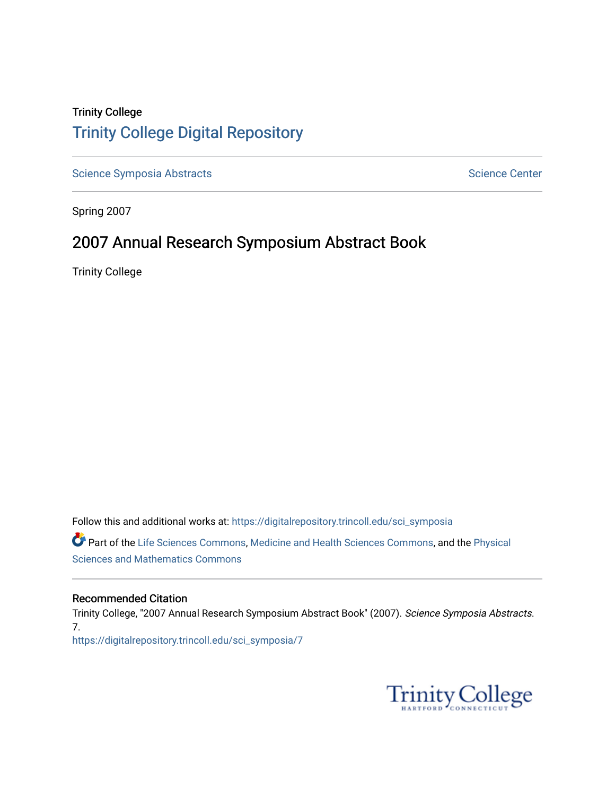## Trinity College [Trinity College Digital Repository](https://digitalrepository.trincoll.edu/)

[Science Symposia Abstracts](https://digitalrepository.trincoll.edu/sci_symposia) **Science Center** Science Center

Spring 2007

## 2007 Annual Research Symposium Abstract Book

Trinity College

Follow this and additional works at: [https://digitalrepository.trincoll.edu/sci\\_symposia](https://digitalrepository.trincoll.edu/sci_symposia?utm_source=digitalrepository.trincoll.edu%2Fsci_symposia%2F7&utm_medium=PDF&utm_campaign=PDFCoverPages)  Part of the [Life Sciences Commons,](http://network.bepress.com/hgg/discipline/1016?utm_source=digitalrepository.trincoll.edu%2Fsci_symposia%2F7&utm_medium=PDF&utm_campaign=PDFCoverPages) [Medicine and Health Sciences Commons,](http://network.bepress.com/hgg/discipline/648?utm_source=digitalrepository.trincoll.edu%2Fsci_symposia%2F7&utm_medium=PDF&utm_campaign=PDFCoverPages) and the [Physical](http://network.bepress.com/hgg/discipline/114?utm_source=digitalrepository.trincoll.edu%2Fsci_symposia%2F7&utm_medium=PDF&utm_campaign=PDFCoverPages)  [Sciences and Mathematics Commons](http://network.bepress.com/hgg/discipline/114?utm_source=digitalrepository.trincoll.edu%2Fsci_symposia%2F7&utm_medium=PDF&utm_campaign=PDFCoverPages) 

#### Recommended Citation

Trinity College, "2007 Annual Research Symposium Abstract Book" (2007). Science Symposia Abstracts. 7. [https://digitalrepository.trincoll.edu/sci\\_symposia/7](https://digitalrepository.trincoll.edu/sci_symposia/7?utm_source=digitalrepository.trincoll.edu%2Fsci_symposia%2F7&utm_medium=PDF&utm_campaign=PDFCoverPages) 

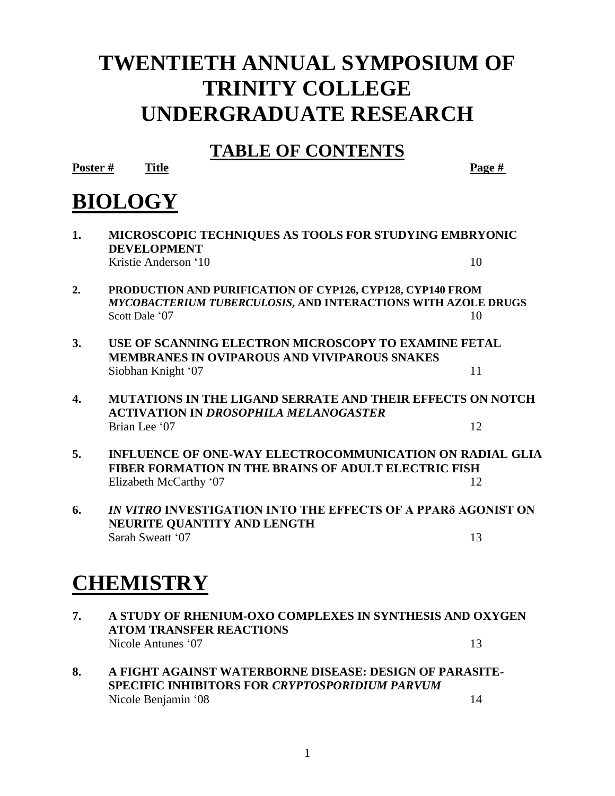## **TWENTIETH ANNUAL SYMPOSIUM OF TRINITY COLLEGE UNDERGRADUATE RESEARCH**

## **TABLE OF CONTENTS**

**Poster # Title Page #**

## **BIOLOGY**

| 1. | MICROSCOPIC TECHNIQUES AS TOOLS FOR STUDYING EMBRYONIC<br><b>DEVELOPMENT</b>                                                                  |    |
|----|-----------------------------------------------------------------------------------------------------------------------------------------------|----|
|    | Kristie Anderson '10                                                                                                                          | 10 |
| 2. | PRODUCTION AND PURIFICATION OF CYP126, CYP128, CYP140 FROM<br>MYCOBACTERIUM TUBERCULOSIS, AND INTERACTIONS WITH AZOLE DRUGS<br>Scott Dale '07 | 10 |
| 3. | USE OF SCANNING ELECTRON MICROSCOPY TO EXAMINE FETAL<br><b>MEMBRANES IN OVIPAROUS AND VIVIPAROUS SNAKES</b><br>Siobhan Knight '07             | 11 |
| 4. | <b>MUTATIONS IN THE LIGAND SERRATE AND THEIR EFFECTS ON NOTCH</b><br><b>ACTIVATION IN DROSOPHILA MELANOGASTER</b>                             |    |
|    | Brian Lee '07                                                                                                                                 | 12 |
| 5. | <b>INFLUENCE OF ONE-WAY ELECTROCOMMUNICATION ON RADIAL GLIA</b><br><b>FIBER FORMATION IN THE BRAINS OF ADULT ELECTRIC FISH</b>                |    |
|    | Elizabeth McCarthy '07                                                                                                                        | 12 |
| 6. | IN VITRO INVESTIGATION INTO THE EFFECTS OF A PPARS AGONIST ON<br>NEURITE QUANTITY AND LENGTH                                                  |    |
|    | Sarah Sweatt '07                                                                                                                              | 13 |
|    | <b>CHEMISTRY</b>                                                                                                                              |    |
| 7. | A STUDY OF RHENIUM-OXO COMPLEXES IN SYNTHESIS AND OXYGEN<br><b>ATOM TRANSFER REACTIONS</b>                                                    |    |
|    | Nicole Antunes '07                                                                                                                            | 13 |
| 8. | A FIGHT AGAINST WATERBORNE DISEASE: DESIGN OF PARASITE-<br>SPECIFIC INHIBITORS FOR CRYPTOSPORIDIUM PARVUM                                     |    |
|    | Nicole Benjamin '08                                                                                                                           | 14 |

1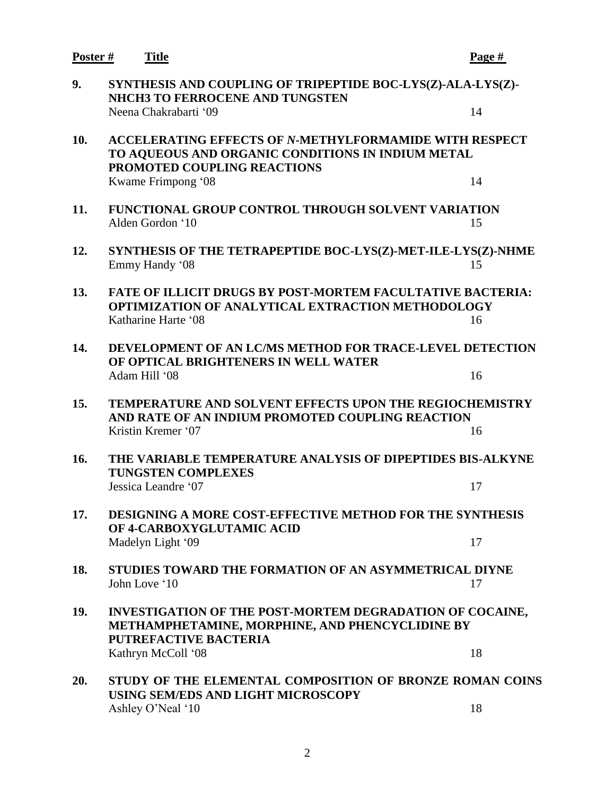| Poster # | <b>Title</b>                                                                                                                                         | Page # |
|----------|------------------------------------------------------------------------------------------------------------------------------------------------------|--------|
| 9.       | SYNTHESIS AND COUPLING OF TRIPEPTIDE BOC-LYS(Z)-ALA-LYS(Z)-<br><b>NHCH3 TO FERROCENE AND TUNGSTEN</b>                                                |        |
|          | Neena Chakrabarti '09                                                                                                                                | 14     |
| 10.      | <b>ACCELERATING EFFECTS OF N-METHYLFORMAMIDE WITH RESPECT</b><br>TO AQUEOUS AND ORGANIC CONDITIONS IN INDIUM METAL<br>PROMOTED COUPLING REACTIONS    |        |
|          | Kwame Frimpong '08                                                                                                                                   | 14     |
| 11.      | <b>FUNCTIONAL GROUP CONTROL THROUGH SOLVENT VARIATION</b><br>Alden Gordon '10                                                                        | 15     |
| 12.      | SYNTHESIS OF THE TETRAPEPTIDE BOC-LYS(Z)-MET-ILE-LYS(Z)-NHME<br>Emmy Handy '08                                                                       | 15     |
| 13.      | <b>FATE OF ILLICIT DRUGS BY POST-MORTEM FACULTATIVE BACTERIA:</b><br><b>OPTIMIZATION OF ANALYTICAL EXTRACTION METHODOLOGY</b><br>Katharine Harte '08 | 16     |
|          |                                                                                                                                                      |        |
| 14.      | DEVELOPMENT OF AN LC/MS METHOD FOR TRACE-LEVEL DETECTION<br>OF OPTICAL BRIGHTENERS IN WELL WATER                                                     |        |
|          | Adam Hill '08                                                                                                                                        | 16     |
| 15.      | <b>TEMPERATURE AND SOLVENT EFFECTS UPON THE REGIOCHEMISTRY</b><br>AND RATE OF AN INDIUM PROMOTED COUPLING REACTION                                   |        |
|          | Kristin Kremer '07                                                                                                                                   | 16     |
| 16.      | THE VARIABLE TEMPERATURE ANALYSIS OF DIPEPTIDES BIS-ALKYNE<br><b>TUNGSTEN COMPLEXES</b>                                                              |        |
|          | Jessica Leandre '07                                                                                                                                  | 17     |
| 17.      | DESIGNING A MORE COST-EFFECTIVE METHOD FOR THE SYNTHESIS<br>OF 4-CARBOXYGLUTAMIC ACID                                                                |        |
|          | Madelyn Light '09                                                                                                                                    | 17     |
| 18.      | STUDIES TOWARD THE FORMATION OF AN ASYMMETRICAL DIYNE<br>John Love '10                                                                               | 17     |
| 19.      | INVESTIGATION OF THE POST-MORTEM DEGRADATION OF COCAINE,<br>METHAMPHETAMINE, MORPHINE, AND PHENCYCLIDINE BY<br><b>PUTREFACTIVE BACTERIA</b>          |        |
|          | Kathryn McColl '08                                                                                                                                   | 18     |
| 20.      | STUDY OF THE ELEMENTAL COMPOSITION OF BRONZE ROMAN COINS<br>USING SEM/EDS AND LIGHT MICROSCOPY                                                       |        |
|          | Ashley O'Neal '10                                                                                                                                    | 18     |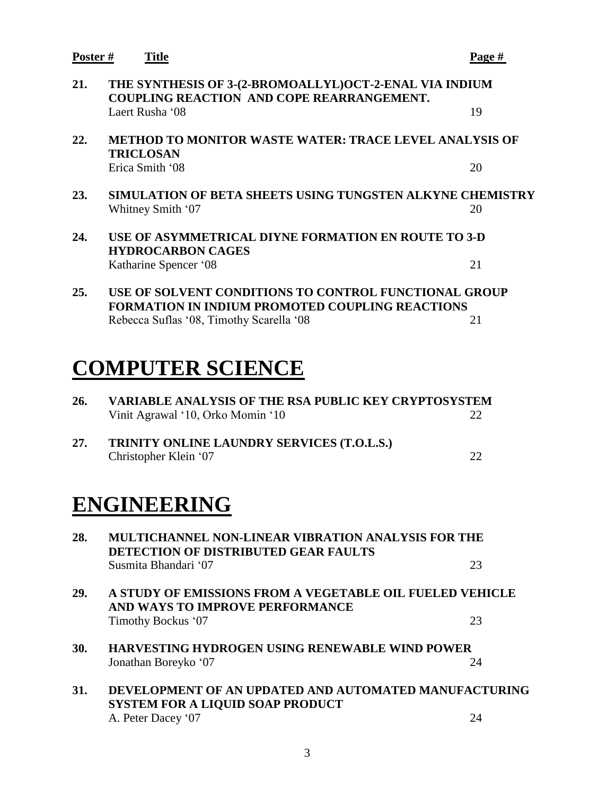**Poster # Title Page # 21. THE SYNTHESIS OF 3-(2-BROMOALLYL)OCT-2-ENAL VIA INDIUM COUPLING REACTION AND COPE REARRANGEMENT.** Laert Rusha '08 19 **22. METHOD TO MONITOR WASTE WATER: TRACE LEVEL ANALYSIS OF TRICLOSAN** Erica Smith '08 20 **23. SIMULATION OF BETA SHEETS USING TUNGSTEN ALKYNE CHEMISTRY** Whitney Smith '07 20 **24. USE OF ASYMMETRICAL DIYNE FORMATION EN ROUTE TO 3-D HYDROCARBON CAGES** Katharine Spencer '08 21 **25. USE OF SOLVENT CONDITIONS TO CONTROL FUNCTIONAL GROUP FORMATION IN INDIUM PROMOTED COUPLING REACTIONS** Rebecca Suflas '08, Timothy Scarella '08 21 **COMPUTER SCIENCE 26. VARIABLE ANALYSIS OF THE RSA PUBLIC KEY CRYPTOSYSTEM** Vinit Agrawal '10, Orko Momin '10 22 **27. TRINITY ONLINE LAUNDRY SERVICES (T.O.L.S.)** Christopher Klein '07 22 **ENGINEERING 28. MULTICHANNEL NON-LINEAR VIBRATION ANALYSIS FOR THE DETECTION OF DISTRIBUTED GEAR FAULTS** Susmita Bhandari '07 23 **29. A STUDY OF EMISSIONS FROM A VEGETABLE OIL FUELED VEHICLE AND WAYS TO IMPROVE PERFORMANCE** Timothy Bockus '07 23 **30. HARVESTING HYDROGEN USING RENEWABLE WIND POWER** Jonathan Boreyko '07 24 **31. DEVELOPMENT OF AN UPDATED AND AUTOMATED MANUFACTURING SYSTEM FOR A LIQUID SOAP PRODUCT**

3

A. Peter Dacey '07 24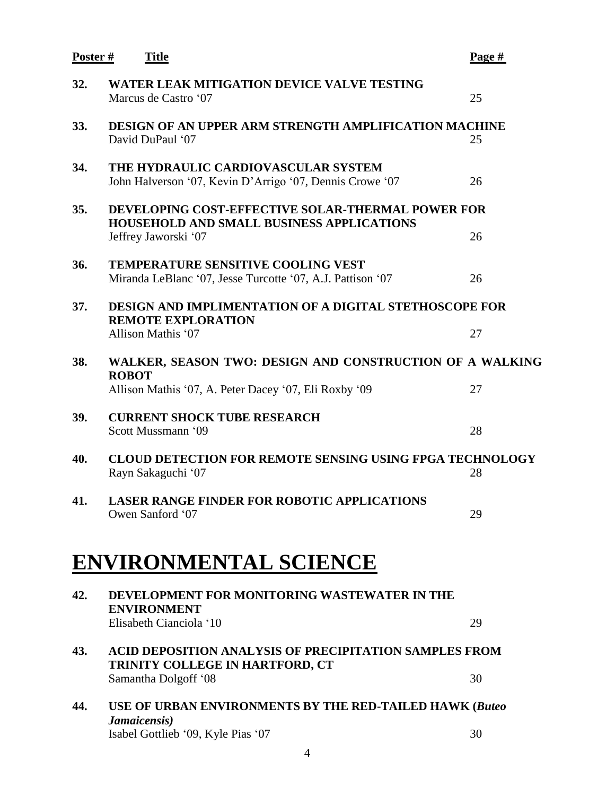| Poster# | <b>Title</b>                                                                                                                         | Page $#$ |
|---------|--------------------------------------------------------------------------------------------------------------------------------------|----------|
| 32.     | <b>WATER LEAK MITIGATION DEVICE VALVE TESTING</b><br>Marcus de Castro '07                                                            | 25       |
| 33.     | <b>DESIGN OF AN UPPER ARM STRENGTH AMPLIFICATION MACHINE</b><br>David DuPaul '07                                                     | 25       |
| 34.     | THE HYDRAULIC CARDIOVASCULAR SYSTEM<br>John Halverson '07, Kevin D'Arrigo '07, Dennis Crowe '07                                      | 26       |
| 35.     | <b>DEVELOPING COST-EFFECTIVE SOLAR-THERMAL POWER FOR</b><br><b>HOUSEHOLD AND SMALL BUSINESS APPLICATIONS</b><br>Jeffrey Jaworski '07 | 26       |
| 36.     | <b>TEMPERATURE SENSITIVE COOLING VEST</b><br>Miranda LeBlanc '07, Jesse Turcotte '07, A.J. Pattison '07                              | 26       |
| 37.     | <b>DESIGN AND IMPLIMENTATION OF A DIGITAL STETHOSCOPE FOR</b><br><b>REMOTE EXPLORATION</b><br>Allison Mathis '07                     | 27       |
| 38.     | WALKER, SEASON TWO: DESIGN AND CONSTRUCTION OF A WALKING<br><b>ROBOT</b>                                                             |          |
| 39.     | Allison Mathis '07, A. Peter Dacey '07, Eli Roxby '09<br><b>CURRENT SHOCK TUBE RESEARCH</b><br>Scott Mussmann '09                    | 27<br>28 |
| 40.     | <b>CLOUD DETECTION FOR REMOTE SENSING USING FPGA TECHNOLOGY</b><br>Rayn Sakaguchi '07                                                | 28       |
| 41.     | <b>LASER RANGE FINDER FOR ROBOTIC APPLICATIONS</b><br>Owen Sanford '07                                                               | 29       |
|         | <b>ENVIRONMENTAL SCIENCE</b>                                                                                                         |          |
| 42.     | DEVELOPMENT FOR MONITORING WASTEWATER IN THE<br><b>ENVIRONMENT</b><br>Elisabeth Cianciola '10                                        | 29       |
| 43.     | <b>ACID DEPOSITION ANALYSIS OF PRECIPITATION SAMPLES FROM</b><br>TRINITY COLLEGE IN HARTFORD, CT                                     |          |
|         | Samantha Dolgoff '08                                                                                                                 | 30       |
| 44.     | USE OF URBAN ENVIRONMENTS BY THE RED-TAILED HAWK (Buteo<br>Jamaicensis)                                                              |          |
|         | Isabel Gottlieb '09, Kyle Pias '07                                                                                                   | 30       |

4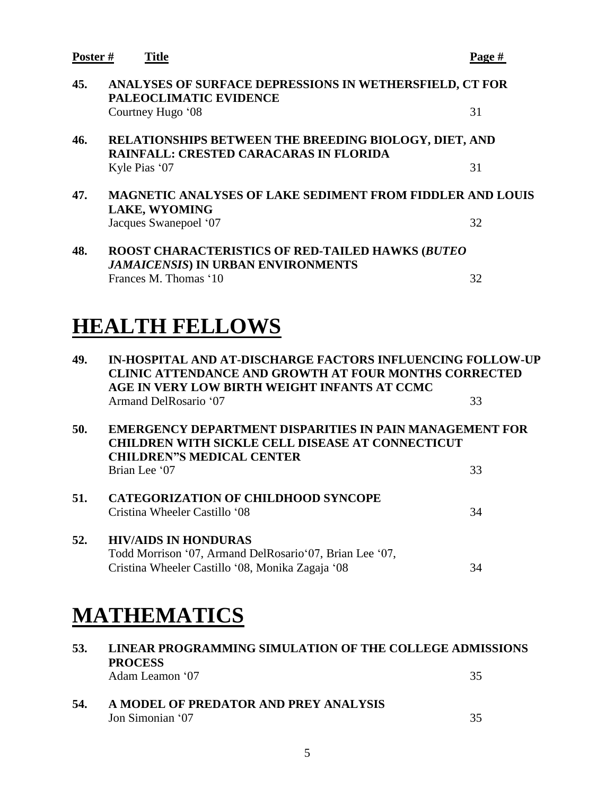| Poster# | <b>Title</b>                                                                                                  | Page # |
|---------|---------------------------------------------------------------------------------------------------------------|--------|
| 45.     | ANALYSES OF SURFACE DEPRESSIONS IN WETHERSFIELD, CT FOR<br>PALEOCLIMATIC EVIDENCE                             |        |
|         | Courtney Hugo '08                                                                                             | 31     |
| 46.     | <b>RELATIONSHIPS BETWEEN THE BREEDING BIOLOGY, DIET, AND</b><br><b>RAINFALL: CRESTED CARACARAS IN FLORIDA</b> |        |
|         | Kyle Pias '07                                                                                                 | 31     |
| 47.     | <b>MAGNETIC ANALYSES OF LAKE SEDIMENT FROM FIDDLER AND LOUIS</b><br><b>LAKE, WYOMING</b>                      |        |
|         | Jacques Swanepoel '07                                                                                         | 32     |
| 48.     | <b>ROOST CHARACTERISTICS OF RED-TAILED HAWKS (BUTEO</b><br><b>JAMAICENSIS) IN URBAN ENVIRONMENTS</b>          |        |
|         | Frances M. Thomas '10                                                                                         | 32     |

# **HEALTH FELLOWS**

| 49.<br><b>IN-HOSPITAL AND AT-DISCHARGE FACTORS INFLUENCING FOLLOW-UP</b><br><b>CLINIC ATTENDANCE AND GROWTH AT FOUR MONTHS CORRECTED</b><br>AGE IN VERY LOW BIRTH WEIGHT INFANTS AT CCMC |                                                                                                                                                                         |    |
|------------------------------------------------------------------------------------------------------------------------------------------------------------------------------------------|-------------------------------------------------------------------------------------------------------------------------------------------------------------------------|----|
|                                                                                                                                                                                          | Armand DelRosario '07                                                                                                                                                   | 33 |
| 50.                                                                                                                                                                                      | EMERGENCY DEPARTMENT DISPARITIES IN PAIN MANAGEMENT FOR<br><b>CHILDREN WITH SICKLE CELL DISEASE AT CONNECTICUT</b><br><b>CHILDREN"S MEDICAL CENTER</b><br>Brian Lee '07 | 33 |
|                                                                                                                                                                                          |                                                                                                                                                                         |    |
| 51.                                                                                                                                                                                      | <b>CATEGORIZATION OF CHILDHOOD SYNCOPE</b><br>Cristina Wheeler Castillo '08                                                                                             | 34 |
| 52.                                                                                                                                                                                      | <b>HIV/AIDS IN HONDURAS</b><br>Todd Morrison '07, Armand DelRosario'07, Brian Lee '07,<br>Cristina Wheeler Castillo '08, Monika Zagaja '08                              | 34 |

## **MATHEMATICS**

| 53. | LINEAR PROGRAMMING SIMULATION OF THE COLLEGE ADMISSIONS<br><b>PROCESS</b><br>Adam Leamon '07 | 35 |
|-----|----------------------------------------------------------------------------------------------|----|
| 54. | A MODEL OF PREDATOR AND PREY ANALYSIS<br>Jon Simonian '07                                    | 35 |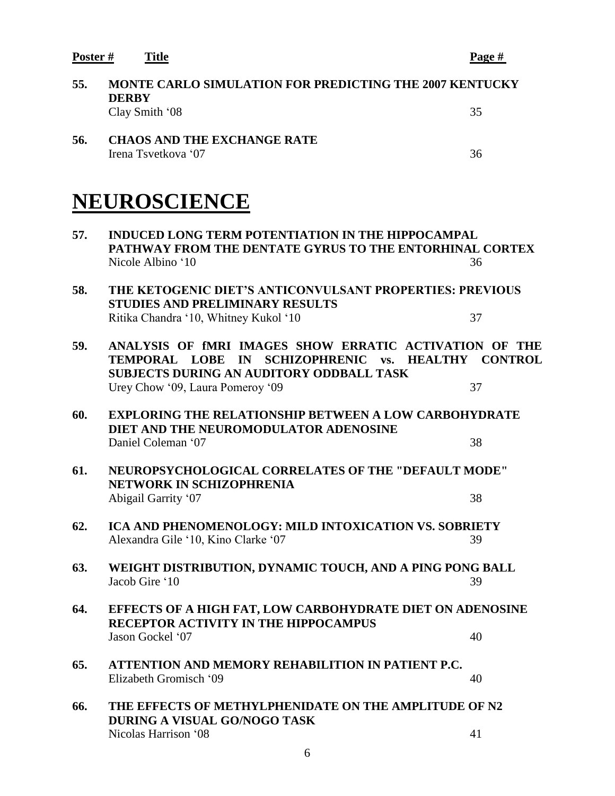**Poster # Title Page #**

| 55. | <b>MONTE CARLO SIMULATION FOR PREDICTING THE 2007 KENTUCKY</b><br><b>DERBY</b>                                                                                                                      |    |
|-----|-----------------------------------------------------------------------------------------------------------------------------------------------------------------------------------------------------|----|
|     | Clay Smith '08                                                                                                                                                                                      | 35 |
| 56. | <b>CHAOS AND THE EXCHANGE RATE</b><br>Irena Tsvetkova '07                                                                                                                                           | 36 |
|     | NEUROSCIENCE                                                                                                                                                                                        |    |
| 57. | <b>INDUCED LONG TERM POTENTIATION IN THE HIPPOCAMPAL</b><br>PATHWAY FROM THE DENTATE GYRUS TO THE ENTORHINAL CORTEX<br>Nicole Albino '10                                                            | 36 |
| 58. | THE KETOGENIC DIET'S ANTICONVULSANT PROPERTIES: PREVIOUS<br><b>STUDIES AND PRELIMINARY RESULTS</b><br>Ritika Chandra '10, Whitney Kukol '10                                                         | 37 |
| 59. | ANALYSIS OF fMRI IMAGES SHOW ERRATIC ACTIVATION OF THE<br>TEMPORAL LOBE IN SCHIZOPHRENIC vs. HEALTHY CONTROL<br><b>SUBJECTS DURING AN AUDITORY ODDBALL TASK</b><br>Urey Chow '09, Laura Pomeroy '09 | 37 |
| 60. | <b>EXPLORING THE RELATIONSHIP BETWEEN A LOW CARBOHYDRATE</b><br>DIET AND THE NEUROMODULATOR ADENOSINE                                                                                               |    |
|     | Daniel Coleman '07                                                                                                                                                                                  | 38 |
| 61. | <b>NEUROPSYCHOLOGICAL CORRELATES OF THE "DEFAULT MODE"</b><br><b>NETWORK IN SCHIZOPHRENIA</b>                                                                                                       |    |
|     | Abigail Garrity '07                                                                                                                                                                                 | 38 |
| 62. | ICA AND PHENOMENOLOGY: MILD INTOXICATION VS. SOBRIETY<br>Alexandra Gile '10, Kino Clarke '07                                                                                                        | 39 |
| 63. | WEIGHT DISTRIBUTION, DYNAMIC TOUCH, AND A PING PONG BALL<br>Jacob Gire '10                                                                                                                          | 39 |
| 64. | EFFECTS OF A HIGH FAT, LOW CARBOHYDRATE DIET ON ADENOSINE<br>RECEPTOR ACTIVITY IN THE HIPPOCAMPUS                                                                                                   |    |
|     | Jason Gockel '07                                                                                                                                                                                    | 40 |
| 65. | ATTENTION AND MEMORY REHABILITION IN PATIENT P.C.<br>Elizabeth Gromisch '09                                                                                                                         | 40 |
| 66. | THE EFFECTS OF METHYLPHENIDATE ON THE AMPLITUDE OF N2<br>DURING A VISUAL GO/NOGO TASK                                                                                                               |    |
|     | Nicolas Harrison '08                                                                                                                                                                                | 41 |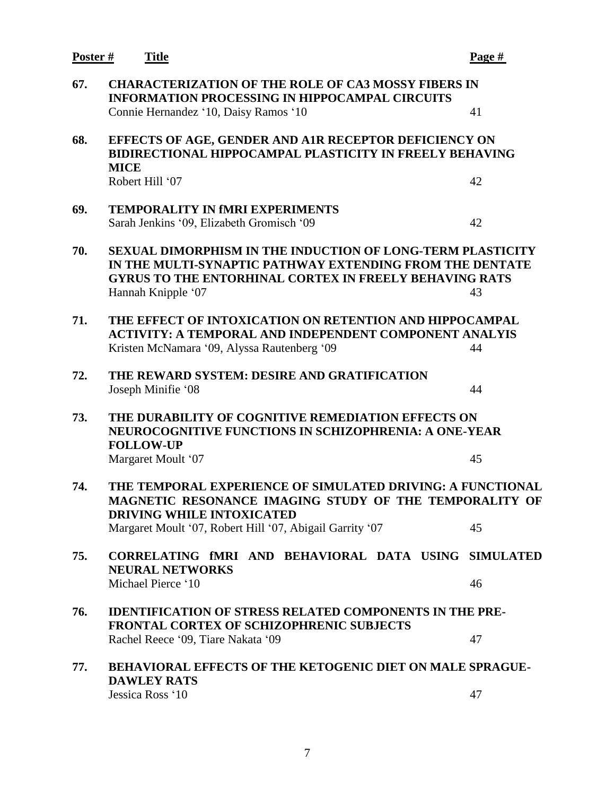**Poster # Title Page # 67. CHARACTERIZATION OF THE ROLE OF CA3 MOSSY FIBERS IN INFORMATION PROCESSING IN HIPPOCAMPAL CIRCUITS** Connie Hernandez '10, Daisy Ramos '10 41 **68. EFFECTS OF AGE, GENDER AND A1R RECEPTOR DEFICIENCY ON BIDIRECTIONAL HIPPOCAMPAL PLASTICITY IN FREELY BEHAVING MICE** Robert Hill '07 42 **69. TEMPORALITY IN fMRI EXPERIMENTS** Sarah Jenkins '09, Elizabeth Gromisch '09 42 **70. SEXUAL DIMORPHISM IN THE INDUCTION OF LONG-TERM PLASTICITY IN THE MULTI-SYNAPTIC PATHWAY EXTENDING FROM THE DENTATE GYRUS TO THE ENTORHINAL CORTEX IN FREELY BEHAVING RATS** Hannah Knipple '07 43 **71. THE EFFECT OF INTOXICATION ON RETENTION AND HIPPOCAMPAL ACTIVITY: A TEMPORAL AND INDEPENDENT COMPONENT ANALYIS** Kristen McNamara '09, Alyssa Rautenberg '09 44 **72. THE REWARD SYSTEM: DESIRE AND GRATIFICATION** Joseph Minifie '08 44 **73. THE DURABILITY OF COGNITIVE REMEDIATION EFFECTS ON NEUROCOGNITIVE FUNCTIONS IN SCHIZOPHRENIA: A ONE-YEAR FOLLOW-UP** Margaret Moult '07 45 **74. THE TEMPORAL EXPERIENCE OF SIMULATED DRIVING: A FUNCTIONAL MAGNETIC RESONANCE IMAGING STUDY OF THE TEMPORALITY OF DRIVING WHILE INTOXICATED** Margaret Moult '07, Robert Hill '07, Abigail Garrity '07 45 **75. CORRELATING fMRI AND BEHAVIORAL DATA USING SIMULATED NEURAL NETWORKS** Michael Pierce '10 46 **76. IDENTIFICATION OF STRESS RELATED COMPONENTS IN THE PRE-FRONTAL CORTEX OF SCHIZOPHRENIC SUBJECTS** Rachel Reece '09, Tiare Nakata '09 47 **77. BEHAVIORAL EFFECTS OF THE KETOGENIC DIET ON MALE SPRAGUE-DAWLEY RATS** Jessica Ross '10 47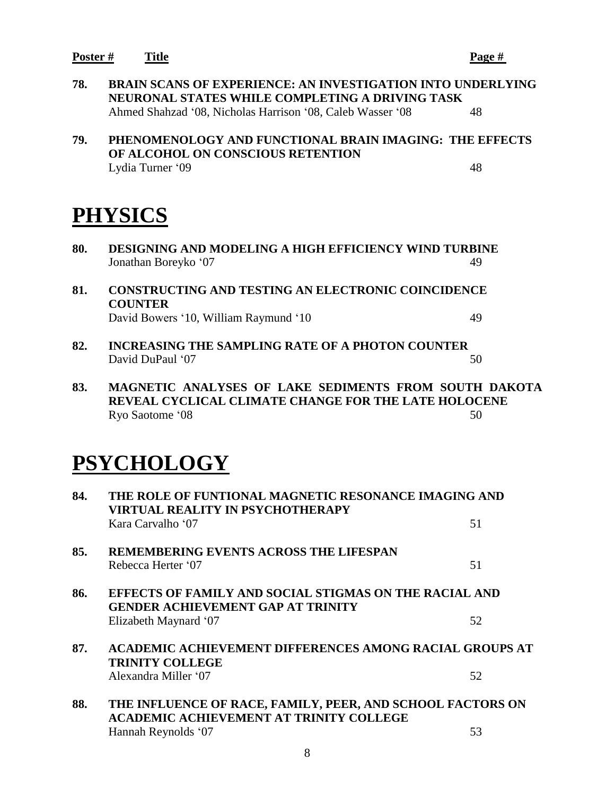**Poster # Title Page #**

**78. BRAIN SCANS OF EXPERIENCE: AN INVESTIGATION INTO UNDERLYING NEURONAL STATES WHILE COMPLETING A DRIVING TASK** Ahmed Shahzad '08, Nicholas Harrison '08, Caleb Wasser '08 48

#### **79. PHENOMENOLOGY AND FUNCTIONAL BRAIN IMAGING: THE EFFECTS OF ALCOHOL ON CONSCIOUS RETENTION** Lydia Turner '09 48

## **PHYSICS**

- **80. DESIGNING AND MODELING A HIGH EFFICIENCY WIND TURBINE** Jonathan Boreyko '07 49
- **81. CONSTRUCTING AND TESTING AN ELECTRONIC COINCIDENCE COUNTER** David Bowers '10, William Raymund '10 49
- **82. INCREASING THE SAMPLING RATE OF A PHOTON COUNTER** David DuPaul '07 50
- **83. MAGNETIC ANALYSES OF LAKE SEDIMENTS FROM SOUTH DAKOTA REVEAL CYCLICAL CLIMATE CHANGE FOR THE LATE HOLOCENE** Ryo Saotome '08 50

## **PSYCHOLOGY**

| 84.                                                                                                       | THE ROLE OF FUNTIONAL MAGNETIC RESONANCE IMAGING AND<br>VIRTUAL REALITY IN PSYCHOTHERAPY                     |    |
|-----------------------------------------------------------------------------------------------------------|--------------------------------------------------------------------------------------------------------------|----|
|                                                                                                           | Kara Carvalho '07                                                                                            | 51 |
| 85.                                                                                                       | <b>REMEMBERING EVENTS ACROSS THE LIFESPAN</b>                                                                |    |
|                                                                                                           | Rebecca Herter '07                                                                                           | 51 |
| 86.<br>EFFECTS OF FAMILY AND SOCIAL STIGMAS ON THE RACIAL AND<br><b>GENDER ACHIEVEMENT GAP AT TRINITY</b> |                                                                                                              |    |
|                                                                                                           | Elizabeth Maynard '07                                                                                        | 52 |
| 87.                                                                                                       | <b>ACADEMIC ACHIEVEMENT DIFFERENCES AMONG RACIAL GROUPS AT</b>                                               |    |
|                                                                                                           | <b>TRINITY COLLEGE</b>                                                                                       |    |
|                                                                                                           | Alexandra Miller '07                                                                                         | 52 |
| 88.                                                                                                       | THE INFLUENCE OF RACE, FAMILY, PEER, AND SCHOOL FACTORS ON<br><b>ACADEMIC ACHIEVEMENT AT TRINITY COLLEGE</b> |    |
|                                                                                                           | Hannah Reynolds '07                                                                                          | 53 |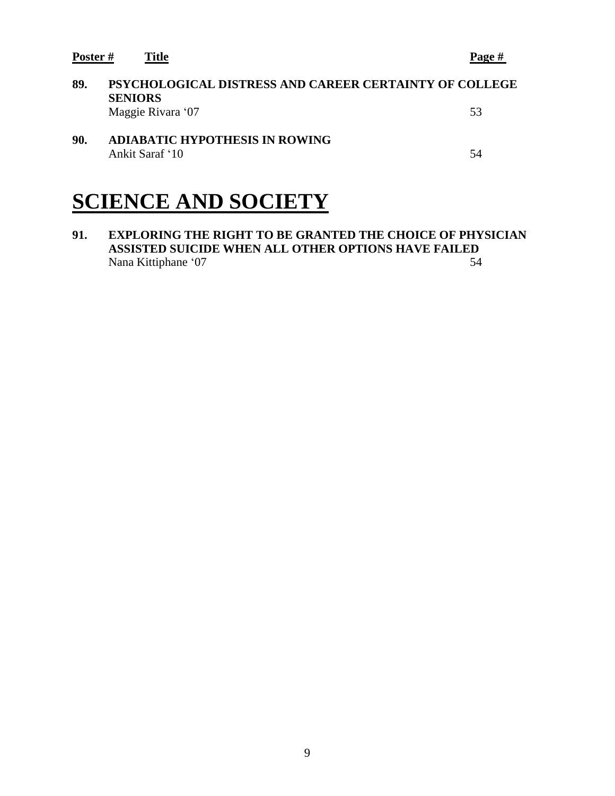**Poster # Title Page #**

| 89. | PSYCHOLOGICAL DISTRESS AND CAREER CERTAINTY OF COLLEGE<br><b>SENIORS</b><br>Maggie Rivara '07 | 53  |
|-----|-----------------------------------------------------------------------------------------------|-----|
| 90. | <b>ADIABATIC HYPOTHESIS IN ROWING</b><br>Ankit Saraf '10                                      | .54 |

## **SCIENCE AND SOCIETY**

**91. EXPLORING THE RIGHT TO BE GRANTED THE CHOICE OF PHYSICIAN ASSISTED SUICIDE WHEN ALL OTHER OPTIONS HAVE FAILED**<br>Nana Kittiphane '07 Nana Kittiphane '07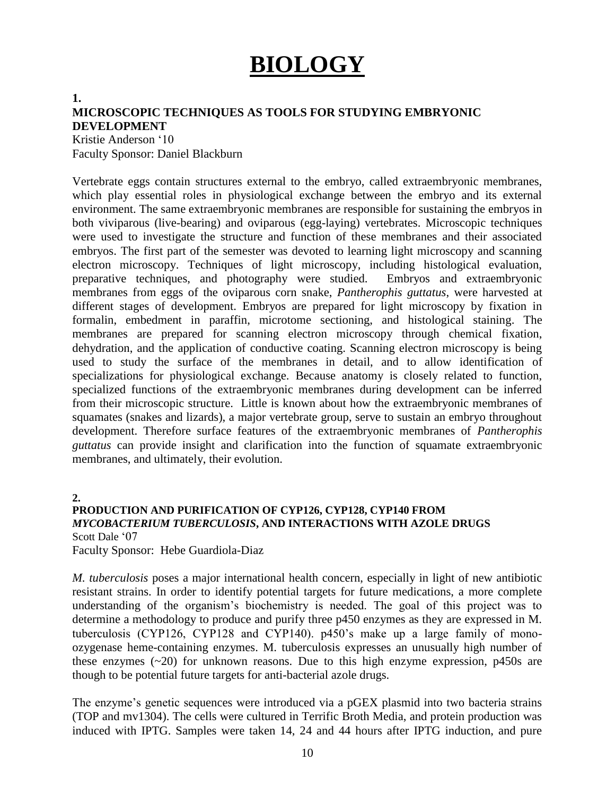# **BIOLOGY**

#### **1.**

#### **MICROSCOPIC TECHNIQUES AS TOOLS FOR STUDYING EMBRYONIC DEVELOPMENT**

Kristie Anderson '10 Faculty Sponsor: Daniel Blackburn

Vertebrate eggs contain structures external to the embryo, called extraembryonic membranes, which play essential roles in physiological exchange between the embryo and its external environment. The same extraembryonic membranes are responsible for sustaining the embryos in both viviparous (live-bearing) and oviparous (egg-laying) vertebrates. Microscopic techniques were used to investigate the structure and function of these membranes and their associated embryos. The first part of the semester was devoted to learning light microscopy and scanning electron microscopy. Techniques of light microscopy, including histological evaluation, preparative techniques, and photography were studied. Embryos and extraembryonic membranes from eggs of the oviparous corn snake, *Pantherophis guttatus*, were harvested at different stages of development. Embryos are prepared for light microscopy by fixation in formalin, embedment in paraffin, microtome sectioning, and histological staining. The membranes are prepared for scanning electron microscopy through chemical fixation, dehydration, and the application of conductive coating. Scanning electron microscopy is being used to study the surface of the membranes in detail, and to allow identification of specializations for physiological exchange. Because anatomy is closely related to function, specialized functions of the extraembryonic membranes during development can be inferred from their microscopic structure. Little is known about how the extraembryonic membranes of squamates (snakes and lizards), a major vertebrate group, serve to sustain an embryo throughout development. Therefore surface features of the extraembryonic membranes of *Pantherophis guttatus* can provide insight and clarification into the function of squamate extraembryonic membranes, and ultimately, their evolution.

**2.**

#### **PRODUCTION AND PURIFICATION OF CYP126, CYP128, CYP140 FROM**  *MYCOBACTERIUM TUBERCULOSIS***, AND INTERACTIONS WITH AZOLE DRUGS** Scott Dale '07

Faculty Sponsor: Hebe Guardiola-Diaz

*M. tuberculosis* poses a major international health concern, especially in light of new antibiotic resistant strains. In order to identify potential targets for future medications, a more complete understanding of the organism's biochemistry is needed. The goal of this project was to determine a methodology to produce and purify three p450 enzymes as they are expressed in M. tuberculosis (CYP126, CYP128 and CYP140). p450's make up a large family of monoozygenase heme-containing enzymes. M. tuberculosis expresses an unusually high number of these enzymes (~20) for unknown reasons. Due to this high enzyme expression, p450s are though to be potential future targets for anti-bacterial azole drugs.

The enzyme's genetic sequences were introduced via a pGEX plasmid into two bacteria strains (TOP and mv1304). The cells were cultured in Terrific Broth Media, and protein production was induced with IPTG. Samples were taken 14, 24 and 44 hours after IPTG induction, and pure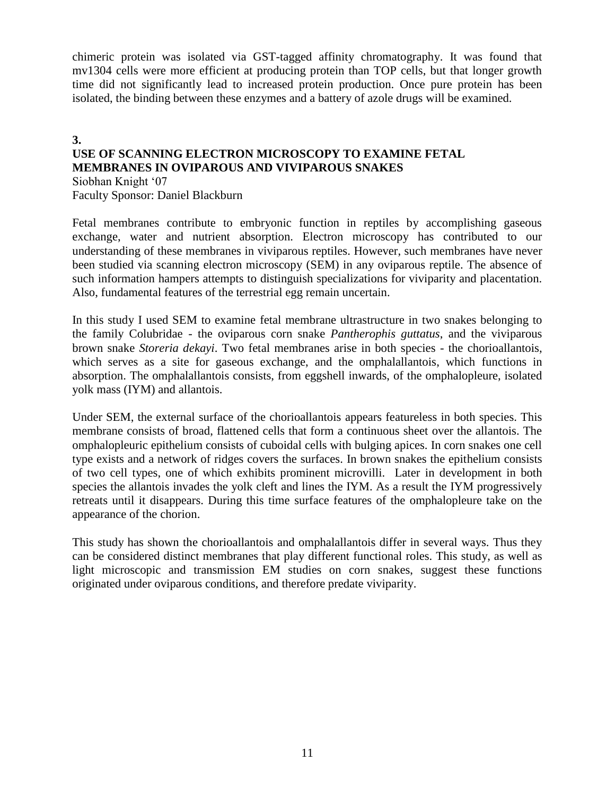chimeric protein was isolated via GST-tagged affinity chromatography. It was found that mv1304 cells were more efficient at producing protein than TOP cells, but that longer growth time did not significantly lead to increased protein production. Once pure protein has been isolated, the binding between these enzymes and a battery of azole drugs will be examined.

#### **3. USE OF SCANNING ELECTRON MICROSCOPY TO EXAMINE FETAL MEMBRANES IN OVIPAROUS AND VIVIPAROUS SNAKES** Siobhan Knight '07

Faculty Sponsor: Daniel Blackburn

Fetal membranes contribute to embryonic function in reptiles by accomplishing gaseous exchange, water and nutrient absorption. Electron microscopy has contributed to our understanding of these membranes in viviparous reptiles. However, such membranes have never been studied via scanning electron microscopy (SEM) in any oviparous reptile. The absence of such information hampers attempts to distinguish specializations for viviparity and placentation. Also, fundamental features of the terrestrial egg remain uncertain.

In this study I used SEM to examine fetal membrane ultrastructure in two snakes belonging to the family Colubridae - the oviparous corn snake *Pantherophis guttatus*, and the viviparous brown snake *Storeria dekayi*. Two fetal membranes arise in both species - the chorioallantois, which serves as a site for gaseous exchange, and the omphalallantois, which functions in absorption. The omphalallantois consists, from eggshell inwards, of the omphalopleure, isolated yolk mass (IYM) and allantois.

Under SEM, the external surface of the chorioallantois appears featureless in both species. This membrane consists of broad, flattened cells that form a continuous sheet over the allantois. The omphalopleuric epithelium consists of cuboidal cells with bulging apices. In corn snakes one cell type exists and a network of ridges covers the surfaces. In brown snakes the epithelium consists of two cell types, one of which exhibits prominent microvilli. Later in development in both species the allantois invades the yolk cleft and lines the IYM. As a result the IYM progressively retreats until it disappears. During this time surface features of the omphalopleure take on the appearance of the chorion.

This study has shown the chorioallantois and omphalallantois differ in several ways. Thus they can be considered distinct membranes that play different functional roles. This study, as well as light microscopic and transmission EM studies on corn snakes, suggest these functions originated under oviparous conditions, and therefore predate viviparity.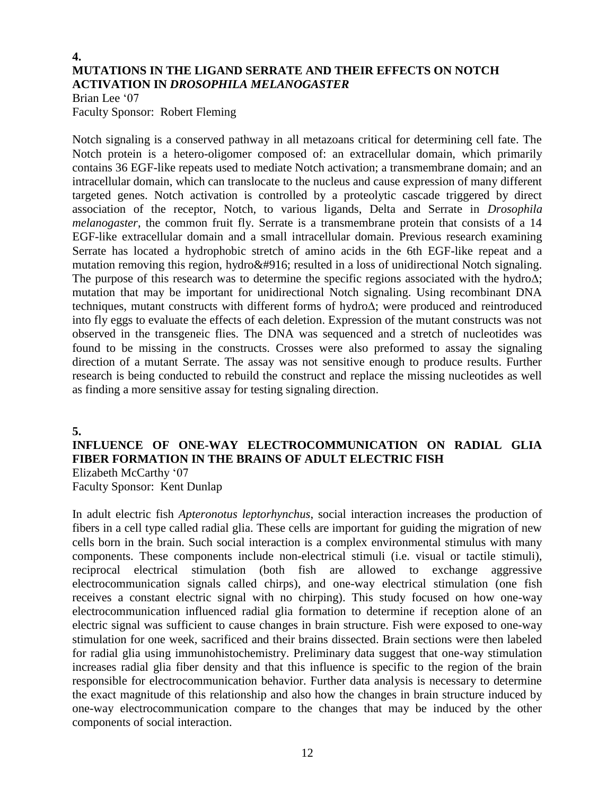#### **4. MUTATIONS IN THE LIGAND SERRATE AND THEIR EFFECTS ON NOTCH ACTIVATION IN** *DROSOPHILA MELANOGASTER*

Brian Lee '07 Faculty Sponsor: Robert Fleming

Notch signaling is a conserved pathway in all metazoans critical for determining cell fate. The Notch protein is a hetero-oligomer composed of: an extracellular domain, which primarily contains 36 EGF-like repeats used to mediate Notch activation; a transmembrane domain; and an intracellular domain, which can translocate to the nucleus and cause expression of many different targeted genes. Notch activation is controlled by a proteolytic cascade triggered by direct association of the receptor, Notch, to various ligands, Delta and Serrate in *Drosophila melanogaster*, the common fruit fly. Serrate is a transmembrane protein that consists of a 14 EGF-like extracellular domain and a small intracellular domain. Previous research examining Serrate has located a hydrophobic stretch of amino acids in the 6th EGF-like repeat and a mutation removing this region, hydroΔ resulted in a loss of unidirectional Notch signaling. The purpose of this research was to determine the specific regions associated with the hydro∆; mutation that may be important for unidirectional Notch signaling. Using recombinant DNA techniques, mutant constructs with different forms of hydro∆; were produced and reintroduced into fly eggs to evaluate the effects of each deletion. Expression of the mutant constructs was not observed in the transgeneic flies. The DNA was sequenced and a stretch of nucleotides was found to be missing in the constructs. Crosses were also preformed to assay the signaling direction of a mutant Serrate. The assay was not sensitive enough to produce results. Further research is being conducted to rebuild the construct and replace the missing nucleotides as well as finding a more sensitive assay for testing signaling direction.

**5.**

### **INFLUENCE OF ONE-WAY ELECTROCOMMUNICATION ON RADIAL GLIA FIBER FORMATION IN THE BRAINS OF ADULT ELECTRIC FISH** Elizabeth McCarthy '07

Faculty Sponsor: Kent Dunlap

In adult electric fish *Apteronotus leptorhynchus*, social interaction increases the production of fibers in a cell type called radial glia. These cells are important for guiding the migration of new cells born in the brain. Such social interaction is a complex environmental stimulus with many components. These components include non-electrical stimuli (i.e. visual or tactile stimuli), reciprocal electrical stimulation (both fish are allowed to exchange aggressive electrocommunication signals called chirps), and one-way electrical stimulation (one fish receives a constant electric signal with no chirping). This study focused on how one-way electrocommunication influenced radial glia formation to determine if reception alone of an electric signal was sufficient to cause changes in brain structure. Fish were exposed to one-way stimulation for one week, sacrificed and their brains dissected. Brain sections were then labeled for radial glia using immunohistochemistry. Preliminary data suggest that one-way stimulation increases radial glia fiber density and that this influence is specific to the region of the brain responsible for electrocommunication behavior. Further data analysis is necessary to determine the exact magnitude of this relationship and also how the changes in brain structure induced by one-way electrocommunication compare to the changes that may be induced by the other components of social interaction.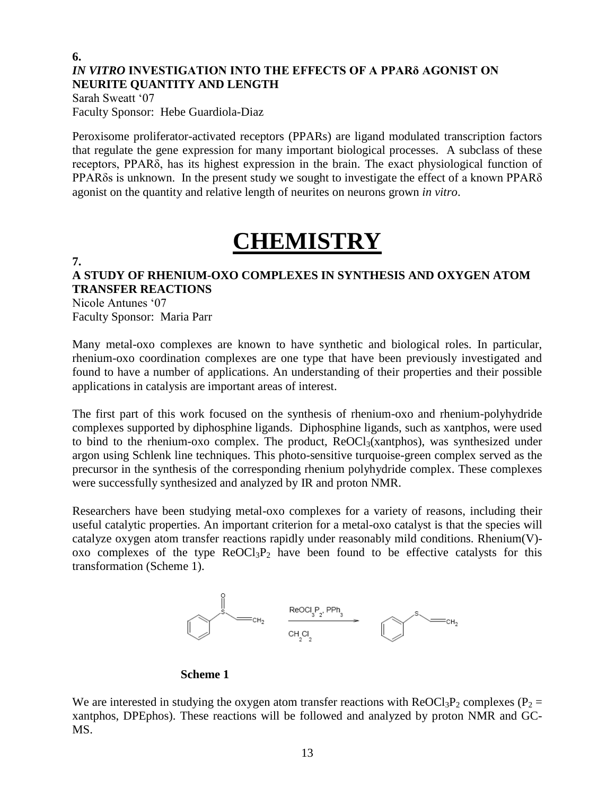#### **6.** *IN VITRO* **INVESTIGATION INTO THE EFFECTS OF A PPARδ AGONIST ON NEURITE QUANTITY AND LENGTH**

Sarah Sweatt '07 Faculty Sponsor: Hebe Guardiola-Diaz

Peroxisome proliferator-activated receptors (PPARs) are ligand modulated transcription factors that regulate the gene expression for many important biological processes. A subclass of these receptors, PPARδ, has its highest expression in the brain. The exact physiological function of PPARδs is unknown. In the present study we sought to investigate the effect of a known PPARδ agonist on the quantity and relative length of neurites on neurons grown *in vitro*.

## **CHEMISTRY**

#### **7.**

### **A STUDY OF RHENIUM-OXO COMPLEXES IN SYNTHESIS AND OXYGEN ATOM TRANSFER REACTIONS**

Nicole Antunes '07 Faculty Sponsor: Maria Parr

Many metal-oxo complexes are known to have synthetic and biological roles. In particular, rhenium-oxo coordination complexes are one type that have been previously investigated and found to have a number of applications. An understanding of their properties and their possible applications in catalysis are important areas of interest.

The first part of this work focused on the synthesis of rhenium-oxo and rhenium-polyhydride complexes supported by diphosphine ligands. Diphosphine ligands, such as xantphos, were used to bind to the rhenium-oxo complex. The product,  $ReOCl<sub>3</sub>(xantphos)$ , was synthesized under argon using Schlenk line techniques. This photo-sensitive turquoise-green complex served as the precursor in the synthesis of the corresponding rhenium polyhydride complex. These complexes were successfully synthesized and analyzed by IR and proton NMR.

Researchers have been studying metal-oxo complexes for a variety of reasons, including their useful catalytic properties. An important criterion for a metal-oxo catalyst is that the species will catalyze oxygen atom transfer reactions rapidly under reasonably mild conditions. Rhenium(V) oxo complexes of the type  $Re OCl<sub>3</sub>P<sub>2</sub>$  have been found to be effective catalysts for this transformation (Scheme 1).



#### **Scheme 1**

We are interested in studying the oxygen atom transfer reactions with  $ReOCl<sub>3</sub>P<sub>2</sub>$  complexes (P<sub>2</sub> = xantphos, DPEphos). These reactions will be followed and analyzed by proton NMR and GC-MS.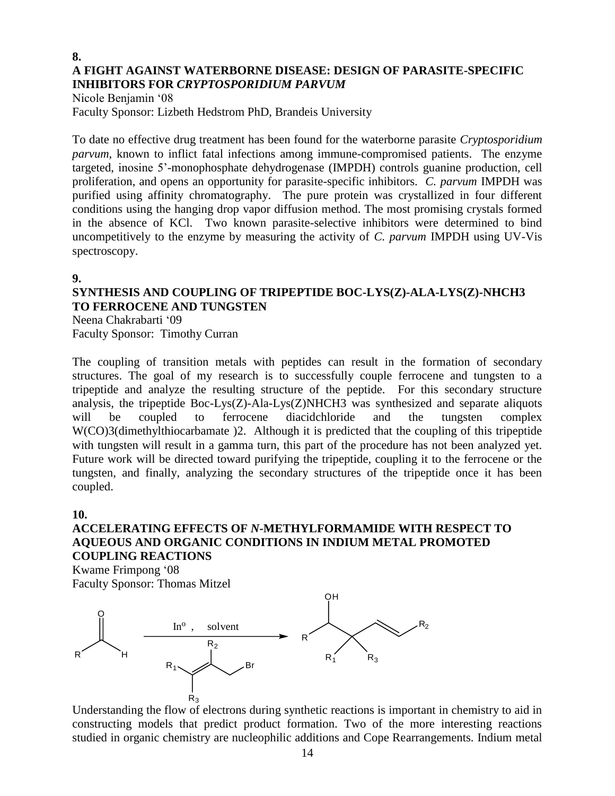#### **8. A FIGHT AGAINST WATERBORNE DISEASE: DESIGN OF PARASITE-SPECIFIC INHIBITORS FOR** *CRYPTOSPORIDIUM PARVUM*

Nicole Benjamin '08 Faculty Sponsor: Lizbeth Hedstrom PhD, Brandeis University

To date no effective drug treatment has been found for the waterborne parasite *Cryptosporidium parvum*, known to inflict fatal infections among immune-compromised patients. The enzyme targeted, inosine 5'-monophosphate dehydrogenase (IMPDH) controls guanine production, cell proliferation, and opens an opportunity for parasite-specific inhibitors. *C. parvum* IMPDH was purified using affinity chromatography. The pure protein was crystallized in four different conditions using the hanging drop vapor diffusion method. The most promising crystals formed in the absence of KCl. Two known parasite-selective inhibitors were determined to bind uncompetitively to the enzyme by measuring the activity of *C. parvum* IMPDH using UV-Vis spectroscopy.

#### **9.**

## **SYNTHESIS AND COUPLING OF TRIPEPTIDE BOC-LYS(Z)-ALA-LYS(Z)-NHCH3 TO FERROCENE AND TUNGSTEN**

Neena Chakrabarti '09 Faculty Sponsor: Timothy Curran

The coupling of transition metals with peptides can result in the formation of secondary structures. The goal of my research is to successfully couple ferrocene and tungsten to a tripeptide and analyze the resulting structure of the peptide. For this secondary structure analysis, the tripeptide Boc-Lys(Z)-Ala-Lys(Z)NHCH3 was synthesized and separate aliquots will be coupled to ferrocene diacidchloride and the tungsten complex W(CO)3(dimethylthiocarbamate)2. Although it is predicted that the coupling of this tripeptide with tungsten will result in a gamma turn, this part of the procedure has not been analyzed yet. Future work will be directed toward purifying the tripeptide, coupling it to the ferrocene or the tungsten, and finally, analyzing the secondary structures of the tripeptide once it has been coupled.

#### **10.**

### **ACCELERATING EFFECTS OF** *N***-METHYLFORMAMIDE WITH RESPECT TO AQUEOUS AND ORGANIC CONDITIONS IN INDIUM METAL PROMOTED COUPLING REACTIONS**

Kwame Frimpong '08 Faculty Sponsor: Thomas Mitzel



Understanding the flow of electrons during synthetic reactions is important in chemistry to aid in constructing models that predict product formation. Two of the more interesting reactions studied in organic chemistry are nucleophilic additions and Cope Rearrangements. Indium metal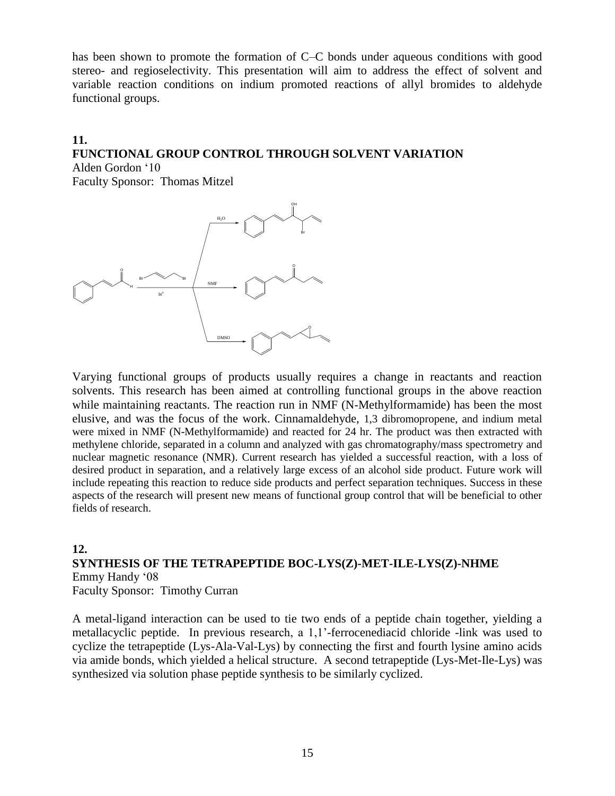has been shown to promote the formation of C–C bonds under aqueous conditions with good stereo- and regioselectivity. This presentation will aim to address the effect of solvent and variable reaction conditions on indium promoted reactions of allyl bromides to aldehyde functional groups.

## **11. FUNCTIONAL GROUP CONTROL THROUGH SOLVENT VARIATION**

Alden Gordon '10 Faculty Sponsor: Thomas Mitzel



Varying functional groups of products usually requires a change in reactants and reaction solvents. This research has been aimed at controlling functional groups in the above reaction while maintaining reactants. The reaction run in NMF (N-Methylformamide) has been the most elusive, and was the focus of the work. Cinnamaldehyde, 1,3 dibromopropene, and indium metal were mixed in NMF (N-Methylformamide) and reacted for 24 hr. The product was then extracted with methylene chloride, separated in a column and analyzed with gas chromatography/mass spectrometry and nuclear magnetic resonance (NMR). Current research has yielded a successful reaction, with a loss of desired product in separation, and a relatively large excess of an alcohol side product. Future work will include repeating this reaction to reduce side products and perfect separation techniques. Success in these aspects of the research will present new means of functional group control that will be beneficial to other fields of research.

#### **12. SYNTHESIS OF THE TETRAPEPTIDE BOC-LYS(Z)-MET-ILE-LYS(Z)-NHME** Emmy Handy '08 Faculty Sponsor: Timothy Curran

A metal-ligand interaction can be used to tie two ends of a peptide chain together, yielding a metallacyclic peptide. In previous research, a 1,1'-ferrocenediacid chloride -link was used to cyclize the tetrapeptide (Lys-Ala-Val-Lys) by connecting the first and fourth lysine amino acids via amide bonds, which yielded a helical structure. A second tetrapeptide (Lys-Met-Ile-Lys) was synthesized via solution phase peptide synthesis to be similarly cyclized.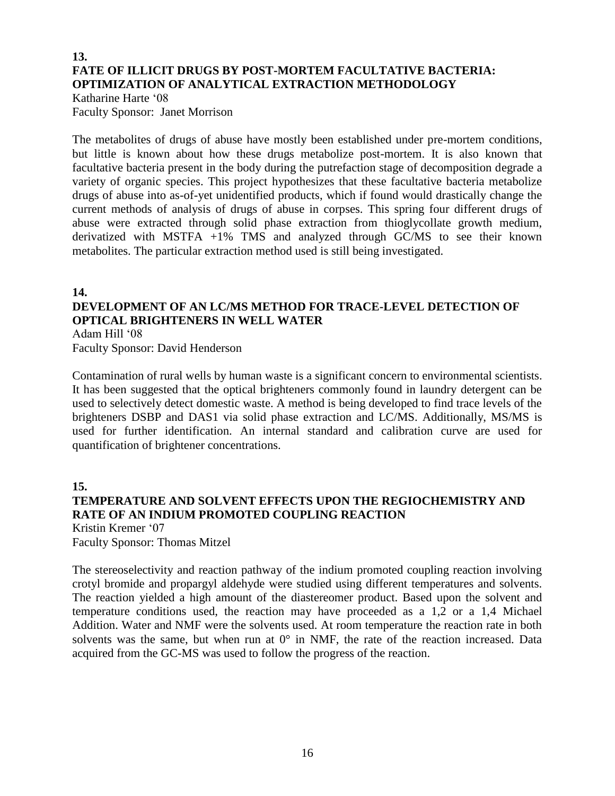#### **13. FATE OF ILLICIT DRUGS BY POST-MORTEM FACULTATIVE BACTERIA: OPTIMIZATION OF ANALYTICAL EXTRACTION METHODOLOGY**

Katharine Harte '08 Faculty Sponsor: Janet Morrison

The metabolites of drugs of abuse have mostly been established under pre-mortem conditions, but little is known about how these drugs metabolize post-mortem. It is also known that facultative bacteria present in the body during the putrefaction stage of decomposition degrade a variety of organic species. This project hypothesizes that these facultative bacteria metabolize drugs of abuse into as-of-yet unidentified products, which if found would drastically change the current methods of analysis of drugs of abuse in corpses. This spring four different drugs of abuse were extracted through solid phase extraction from thioglycollate growth medium, derivatized with MSTFA +1% TMS and analyzed through GC/MS to see their known metabolites. The particular extraction method used is still being investigated.

#### **14.**

## **DEVELOPMENT OF AN LC/MS METHOD FOR TRACE-LEVEL DETECTION OF OPTICAL BRIGHTENERS IN WELL WATER**

Adam Hill '08

Faculty Sponsor: David Henderson

Contamination of rural wells by human waste is a significant concern to environmental scientists. It has been suggested that the optical brighteners commonly found in laundry detergent can be used to selectively detect domestic waste. A method is being developed to find trace levels of the brighteners DSBP and DAS1 via solid phase extraction and LC/MS. Additionally, MS/MS is used for further identification. An internal standard and calibration curve are used for quantification of brightener concentrations.

#### **15. TEMPERATURE AND SOLVENT EFFECTS UPON THE REGIOCHEMISTRY AND RATE OF AN INDIUM PROMOTED COUPLING REACTION** Kristin Kremer '07

Faculty Sponsor: Thomas Mitzel

The stereoselectivity and reaction pathway of the indium promoted coupling reaction involving crotyl bromide and propargyl aldehyde were studied using different temperatures and solvents. The reaction yielded a high amount of the diastereomer product. Based upon the solvent and temperature conditions used, the reaction may have proceeded as a 1,2 or a 1,4 Michael Addition. Water and NMF were the solvents used. At room temperature the reaction rate in both solvents was the same, but when run at  $0^{\circ}$  in NMF, the rate of the reaction increased. Data acquired from the GC-MS was used to follow the progress of the reaction.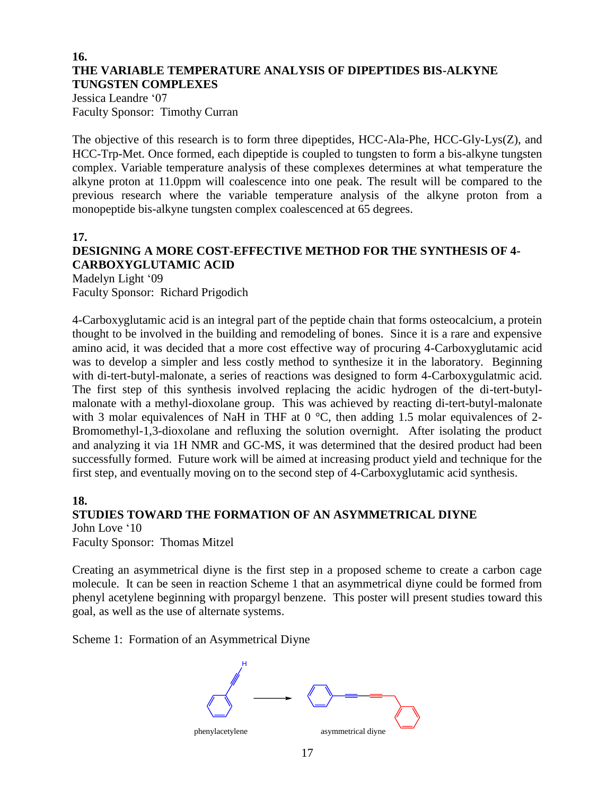#### **16. THE VARIABLE TEMPERATURE ANALYSIS OF DIPEPTIDES BIS-ALKYNE TUNGSTEN COMPLEXES**

Jessica Leandre '07 Faculty Sponsor: Timothy Curran

The objective of this research is to form three dipeptides, HCC-Ala-Phe, HCC-Gly-Lys(Z), and HCC-Trp-Met. Once formed, each dipeptide is coupled to tungsten to form a bis-alkyne tungsten complex. Variable temperature analysis of these complexes determines at what temperature the alkyne proton at 11.0ppm will coalescence into one peak. The result will be compared to the previous research where the variable temperature analysis of the alkyne proton from a monopeptide bis-alkyne tungsten complex coalescenced at 65 degrees.

#### **17.**

## **DESIGNING A MORE COST-EFFECTIVE METHOD FOR THE SYNTHESIS OF 4- CARBOXYGLUTAMIC ACID**

Madelyn Light '09 Faculty Sponsor: Richard Prigodich

4-Carboxyglutamic acid is an integral part of the peptide chain that forms osteocalcium, a protein thought to be involved in the building and remodeling of bones. Since it is a rare and expensive amino acid, it was decided that a more cost effective way of procuring 4-Carboxyglutamic acid was to develop a simpler and less costly method to synthesize it in the laboratory. Beginning with di-tert-butyl-malonate, a series of reactions was designed to form 4-Carboxygulatmic acid. The first step of this synthesis involved replacing the acidic hydrogen of the di-tert-butylmalonate with a methyl-dioxolane group. This was achieved by reacting di-tert-butyl-malonate with 3 molar equivalences of NaH in THF at 0 °C, then adding 1.5 molar equivalences of 2-Bromomethyl-1,3-dioxolane and refluxing the solution overnight. After isolating the product and analyzing it via 1H NMR and GC-MS, it was determined that the desired product had been successfully formed. Future work will be aimed at increasing product yield and technique for the first step, and eventually moving on to the second step of 4-Carboxyglutamic acid synthesis.

#### **18.**

#### **STUDIES TOWARD THE FORMATION OF AN ASYMMETRICAL DIYNE** John Love '10

Faculty Sponsor: Thomas Mitzel

Creating an asymmetrical diyne is the first step in a proposed scheme to create a carbon cage molecule. It can be seen in reaction Scheme 1 that an asymmetrical diyne could be formed from phenyl acetylene beginning with propargyl benzene. This poster will present studies toward this goal, as well as the use of alternate systems.

Scheme 1: Formation of an Asymmetrical Diyne

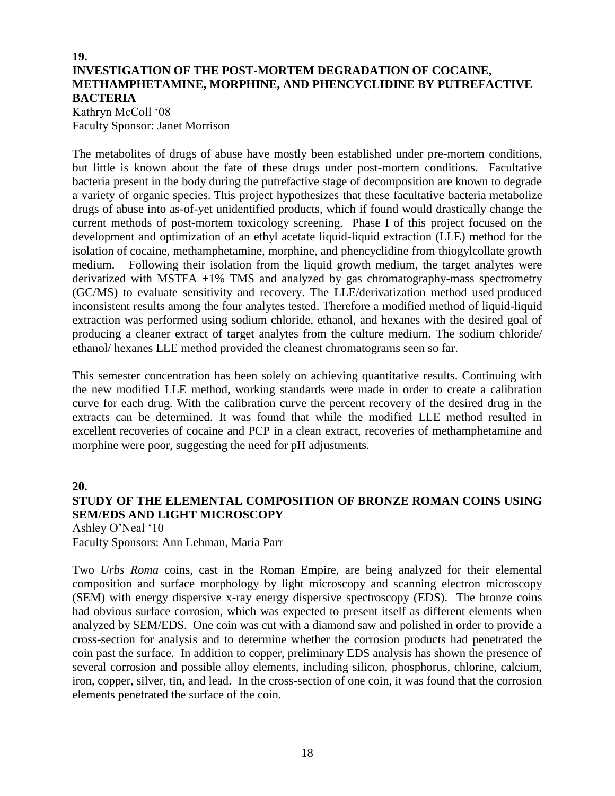## **19. INVESTIGATION OF THE POST-MORTEM DEGRADATION OF COCAINE, METHAMPHETAMINE, MORPHINE, AND PHENCYCLIDINE BY PUTREFACTIVE BACTERIA**

Kathryn McColl '08 Faculty Sponsor: Janet Morrison

The metabolites of drugs of abuse have mostly been established under pre-mortem conditions, but little is known about the fate of these drugs under post-mortem conditions. Facultative bacteria present in the body during the putrefactive stage of decomposition are known to degrade a variety of organic species. This project hypothesizes that these facultative bacteria metabolize drugs of abuse into as-of-yet unidentified products, which if found would drastically change the current methods of post-mortem toxicology screening. Phase I of this project focused on the development and optimization of an ethyl acetate liquid-liquid extraction (LLE) method for the isolation of cocaine, methamphetamine, morphine, and phencyclidine from thiogylcollate growth medium. Following their isolation from the liquid growth medium, the target analytes were derivatized with MSTFA +1% TMS and analyzed by gas chromatography-mass spectrometry (GC/MS) to evaluate sensitivity and recovery. The LLE/derivatization method used produced inconsistent results among the four analytes tested. Therefore a modified method of liquid-liquid extraction was performed using sodium chloride, ethanol, and hexanes with the desired goal of producing a cleaner extract of target analytes from the culture medium. The sodium chloride/ ethanol/ hexanes LLE method provided the cleanest chromatograms seen so far.

This semester concentration has been solely on achieving quantitative results. Continuing with the new modified LLE method, working standards were made in order to create a calibration curve for each drug. With the calibration curve the percent recovery of the desired drug in the extracts can be determined. It was found that while the modified LLE method resulted in excellent recoveries of cocaine and PCP in a clean extract, recoveries of methamphetamine and morphine were poor, suggesting the need for pH adjustments.

## **20. STUDY OF THE ELEMENTAL COMPOSITION OF BRONZE ROMAN COINS USING SEM/EDS AND LIGHT MICROSCOPY**

Ashley O'Neal '10 Faculty Sponsors: Ann Lehman, Maria Parr

Two *Urbs Roma* coins, cast in the Roman Empire, are being analyzed for their elemental composition and surface morphology by light microscopy and scanning electron microscopy (SEM) with energy dispersive x-ray energy dispersive spectroscopy (EDS). The bronze coins had obvious surface corrosion, which was expected to present itself as different elements when analyzed by SEM/EDS. One coin was cut with a diamond saw and polished in order to provide a cross-section for analysis and to determine whether the corrosion products had penetrated the coin past the surface. In addition to copper, preliminary EDS analysis has shown the presence of several corrosion and possible alloy elements, including silicon, phosphorus, chlorine, calcium, iron, copper, silver, tin, and lead. In the cross-section of one coin, it was found that the corrosion elements penetrated the surface of the coin.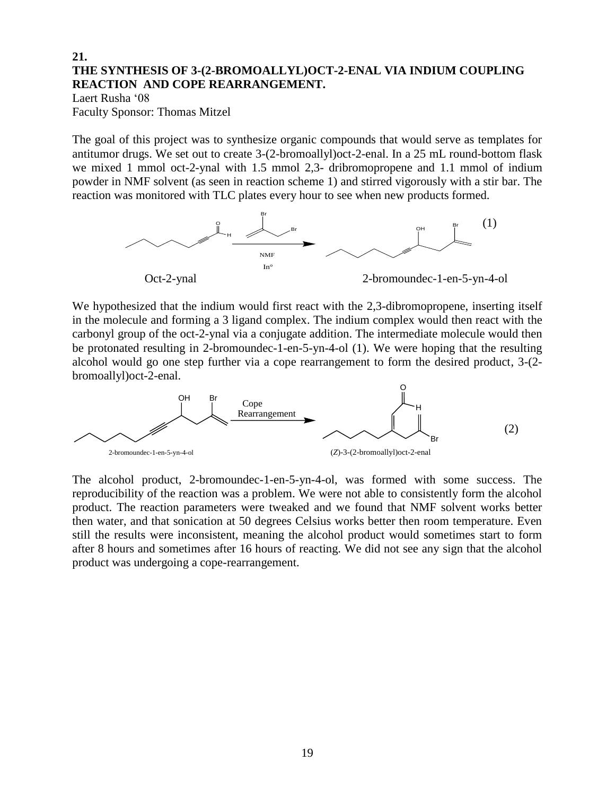#### **21. THE SYNTHESIS OF 3-(2-BROMOALLYL)OCT-2-ENAL VIA INDIUM COUPLING REACTION AND COPE REARRANGEMENT.**

Laert Rusha '08 Faculty Sponsor: Thomas Mitzel

The goal of this project was to synthesize organic compounds that would serve as templates for antitumor drugs. We set out to create 3-(2-bromoallyl)oct-2-enal. In a 25 mL round-bottom flask we mixed 1 mmol oct-2-ynal with 1.5 mmol 2,3- dribromopropene and 1.1 mmol of indium powder in NMF solvent (as seen in reaction scheme 1) and stirred vigorously with a stir bar. The reaction was monitored with TLC plates every hour to see when new products formed.



We hypothesized that the indium would first react with the 2,3-dibromopropene, inserting itself in the molecule and forming a 3 ligand complex. The indium complex would then react with the carbonyl group of the oct-2-ynal via a conjugate addition. The intermediate molecule would then be protonated resulting in 2-bromoundec-1-en-5-yn-4-ol (1). We were hoping that the resulting alcohol would go one step further via a cope rearrangement to form the desired product, 3-(2 bromoallyl)oct-2-enal.



The alcohol product, 2-bromoundec-1-en-5-yn-4-ol, was formed with some success. The reproducibility of the reaction was a problem. We were not able to consistently form the alcohol product. The reaction parameters were tweaked and we found that NMF solvent works better then water, and that sonication at 50 degrees Celsius works better then room temperature. Even still the results were inconsistent, meaning the alcohol product would sometimes start to form after 8 hours and sometimes after 16 hours of reacting. We did not see any sign that the alcohol product was undergoing a cope-rearrangement.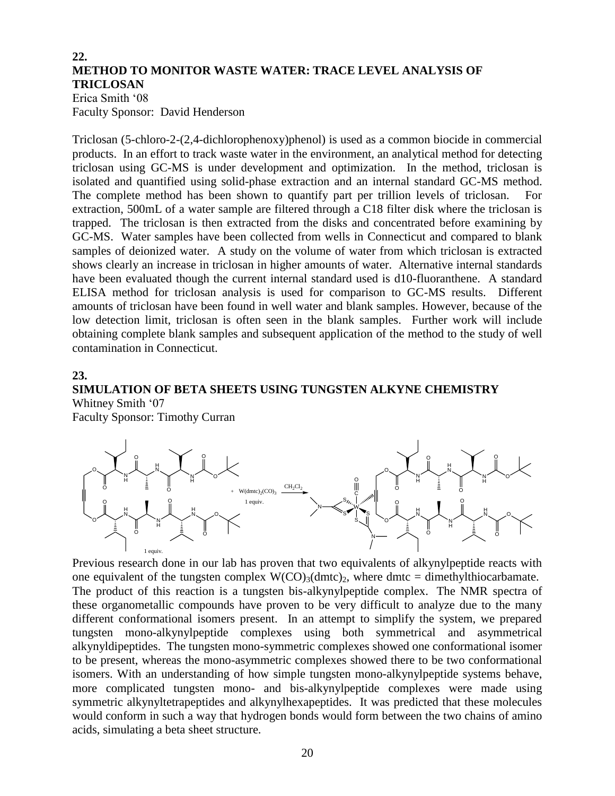### **22. METHOD TO MONITOR WASTE WATER: TRACE LEVEL ANALYSIS OF TRICLOSAN**

Erica Smith '08 Faculty Sponsor: David Henderson

Triclosan (5-chloro-2-(2,4-dichlorophenoxy)phenol) is used as a common biocide in commercial products. In an effort to track waste water in the environment, an analytical method for detecting triclosan using GC-MS is under development and optimization. In the method, triclosan is isolated and quantified using solid-phase extraction and an internal standard GC-MS method. The complete method has been shown to quantify part per trillion levels of triclosan. For extraction, 500mL of a water sample are filtered through a C18 filter disk where the triclosan is trapped. The triclosan is then extracted from the disks and concentrated before examining by GC-MS. Water samples have been collected from wells in Connecticut and compared to blank samples of deionized water. A study on the volume of water from which triclosan is extracted shows clearly an increase in triclosan in higher amounts of water. Alternative internal standards have been evaluated though the current internal standard used is d10-fluoranthene. A standard ELISA method for triclosan analysis is used for comparison to GC-MS results. Different amounts of triclosan have been found in well water and blank samples. However, because of the low detection limit, triclosan is often seen in the blank samples. Further work will include obtaining complete blank samples and subsequent application of the method to the study of well contamination in Connecticut.

#### **23.**

#### **SIMULATION OF BETA SHEETS USING TUNGSTEN ALKYNE CHEMISTRY** Whitney Smith '07

Faculty Sponsor: Timothy Curran



Previous research done in our lab has proven that two equivalents of alkynylpeptide reacts with one equivalent of the tungsten complex  $W(CO)_{3}(dmtc)_{2}$ , where dmtc = dimethylthiocarbamate. The product of this reaction is a tungsten bis-alkynylpeptide complex. The NMR spectra of these organometallic compounds have proven to be very difficult to analyze due to the many different conformational isomers present. In an attempt to simplify the system, we prepared tungsten mono-alkynylpeptide complexes using both symmetrical and asymmetrical alkynyldipeptides. The tungsten mono-symmetric complexes showed one conformational isomer to be present, whereas the mono-asymmetric complexes showed there to be two conformational isomers. With an understanding of how simple tungsten mono-alkynylpeptide systems behave, more complicated tungsten mono- and bis-alkynylpeptide complexes were made using symmetric alkynyltetrapeptides and alkynylhexapeptides. It was predicted that these molecules would conform in such a way that hydrogen bonds would form between the two chains of amino acids, simulating a beta sheet structure.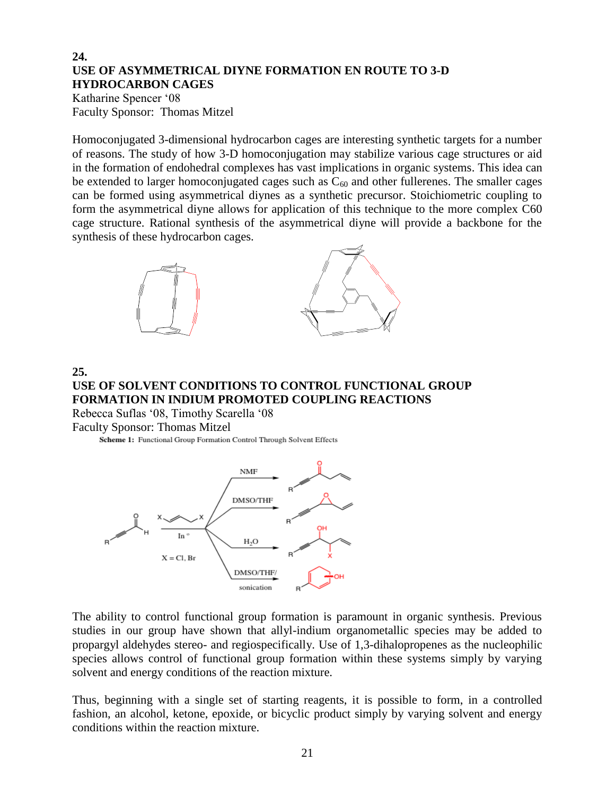#### **24. USE OF ASYMMETRICAL DIYNE FORMATION EN ROUTE TO 3-D HYDROCARBON CAGES**

Katharine Spencer '08 Faculty Sponsor: Thomas Mitzel

Homoconjugated 3-dimensional hydrocarbon cages are interesting synthetic targets for a number of reasons. The study of how 3-D homoconjugation may stabilize various cage structures or aid in the formation of endohedral complexes has vast implications in organic systems. This idea can be extended to larger homoconjugated cages such as  $C_{60}$  and other fullerenes. The smaller cages can be formed using asymmetrical diynes as a synthetic precursor. Stoichiometric coupling to form the asymmetrical diyne allows for application of this technique to the more complex C60 cage structure. Rational synthesis of the asymmetrical diyne will provide a backbone for the synthesis of these hydrocarbon cages.



**25.**

#### **USE OF SOLVENT CONDITIONS TO CONTROL FUNCTIONAL GROUP FORMATION IN INDIUM PROMOTED COUPLING REACTIONS** Rebecca Suflas '08, Timothy Scarella '08

Faculty Sponsor: Thomas Mitzel

Scheme 1: Functional Group Formation Control Through Solvent Effects



The ability to control functional group formation is paramount in organic synthesis. Previous studies in our group have shown that allyl-indium organometallic species may be added to propargyl aldehydes stereo- and regiospecifically. Use of 1,3-dihalopropenes as the nucleophilic species allows control of functional group formation within these systems simply by varying solvent and energy conditions of the reaction mixture.

Thus, beginning with a single set of starting reagents, it is possible to form, in a controlled fashion, an alcohol, ketone, epoxide, or bicyclic product simply by varying solvent and energy conditions within the reaction mixture.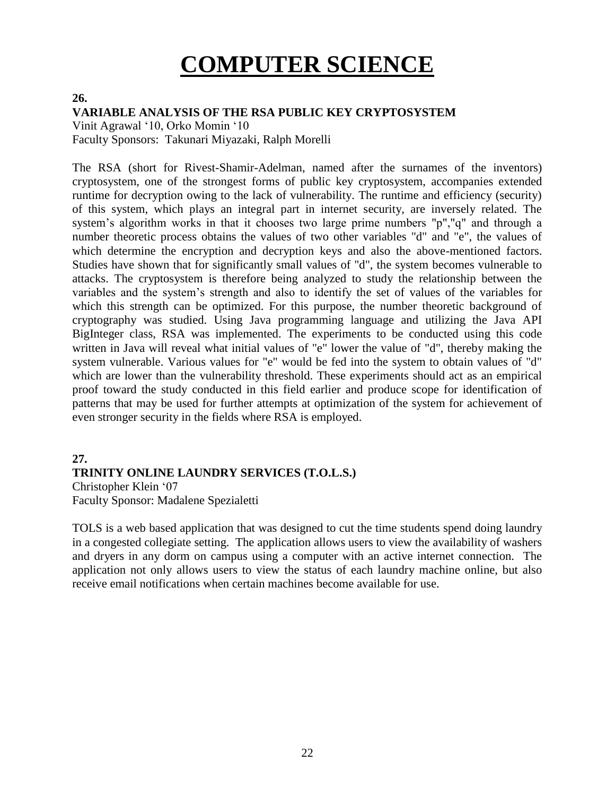# **COMPUTER SCIENCE**

#### **26.**

#### **VARIABLE ANALYSIS OF THE RSA PUBLIC KEY CRYPTOSYSTEM**

Vinit Agrawal '10, Orko Momin '10 Faculty Sponsors: Takunari Miyazaki, Ralph Morelli

The RSA (short for Rivest-Shamir-Adelman, named after the surnames of the inventors) cryptosystem, one of the strongest forms of public key cryptosystem, accompanies extended runtime for decryption owing to the lack of vulnerability. The runtime and efficiency (security) of this system, which plays an integral part in internet security, are inversely related. The system's algorithm works in that it chooses two large prime numbers "p","q" and through a number theoretic process obtains the values of two other variables "d" and "e", the values of which determine the encryption and decryption keys and also the above-mentioned factors. Studies have shown that for significantly small values of "d", the system becomes vulnerable to attacks. The cryptosystem is therefore being analyzed to study the relationship between the variables and the system's strength and also to identify the set of values of the variables for which this strength can be optimized. For this purpose, the number theoretic background of cryptography was studied. Using Java programming language and utilizing the Java API BigInteger class, RSA was implemented. The experiments to be conducted using this code written in Java will reveal what initial values of "e" lower the value of "d", thereby making the system vulnerable. Various values for "e" would be fed into the system to obtain values of "d" which are lower than the vulnerability threshold. These experiments should act as an empirical proof toward the study conducted in this field earlier and produce scope for identification of patterns that may be used for further attempts at optimization of the system for achievement of even stronger security in the fields where RSA is employed.

#### **27. TRINITY ONLINE LAUNDRY SERVICES (T.O.L.S.)**

Christopher Klein '07 Faculty Sponsor: Madalene Spezialetti

TOLS is a web based application that was designed to cut the time students spend doing laundry in a congested collegiate setting. The application allows users to view the availability of washers and dryers in any dorm on campus using a computer with an active internet connection. The application not only allows users to view the status of each laundry machine online, but also receive email notifications when certain machines become available for use.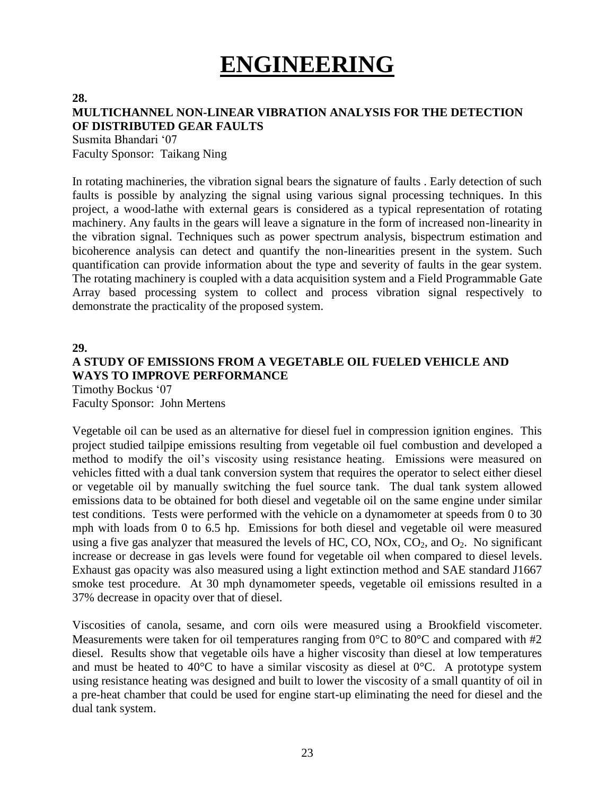## **ENGINEERING**

#### **28.**

## **MULTICHANNEL NON-LINEAR VIBRATION ANALYSIS FOR THE DETECTION OF DISTRIBUTED GEAR FAULTS**

Susmita Bhandari '07 Faculty Sponsor: Taikang Ning

In rotating machineries, the vibration signal bears the signature of faults . Early detection of such faults is possible by analyzing the signal using various signal processing techniques. In this project, a wood-lathe with external gears is considered as a typical representation of rotating machinery. Any faults in the gears will leave a signature in the form of increased non-linearity in the vibration signal. Techniques such as power spectrum analysis, bispectrum estimation and bicoherence analysis can detect and quantify the non-linearities present in the system. Such quantification can provide information about the type and severity of faults in the gear system. The rotating machinery is coupled with a data acquisition system and a Field Programmable Gate Array based processing system to collect and process vibration signal respectively to demonstrate the practicality of the proposed system.

#### **29.**

## **A STUDY OF EMISSIONS FROM A VEGETABLE OIL FUELED VEHICLE AND WAYS TO IMPROVE PERFORMANCE**

Timothy Bockus '07 Faculty Sponsor: John Mertens

Vegetable oil can be used as an alternative for diesel fuel in compression ignition engines. This project studied tailpipe emissions resulting from vegetable oil fuel combustion and developed a method to modify the oil's viscosity using resistance heating. Emissions were measured on vehicles fitted with a dual tank conversion system that requires the operator to select either diesel or vegetable oil by manually switching the fuel source tank. The dual tank system allowed emissions data to be obtained for both diesel and vegetable oil on the same engine under similar test conditions. Tests were performed with the vehicle on a dynamometer at speeds from 0 to 30 mph with loads from 0 to 6.5 hp. Emissions for both diesel and vegetable oil were measured using a five gas analyzer that measured the levels of HC, CO, NOx,  $CO_2$ , and  $O_2$ . No significant increase or decrease in gas levels were found for vegetable oil when compared to diesel levels. Exhaust gas opacity was also measured using a light extinction method and SAE standard J1667 smoke test procedure. At 30 mph dynamometer speeds, vegetable oil emissions resulted in a 37% decrease in opacity over that of diesel.

Viscosities of canola, sesame, and corn oils were measured using a Brookfield viscometer. Measurements were taken for oil temperatures ranging from  $0^{\circ}$ C to  $80^{\circ}$ C and compared with #2 diesel. Results show that vegetable oils have a higher viscosity than diesel at low temperatures and must be heated to 40 $\degree$ C to have a similar viscosity as diesel at 0 $\degree$ C. A prototype system using resistance heating was designed and built to lower the viscosity of a small quantity of oil in a pre-heat chamber that could be used for engine start-up eliminating the need for diesel and the dual tank system.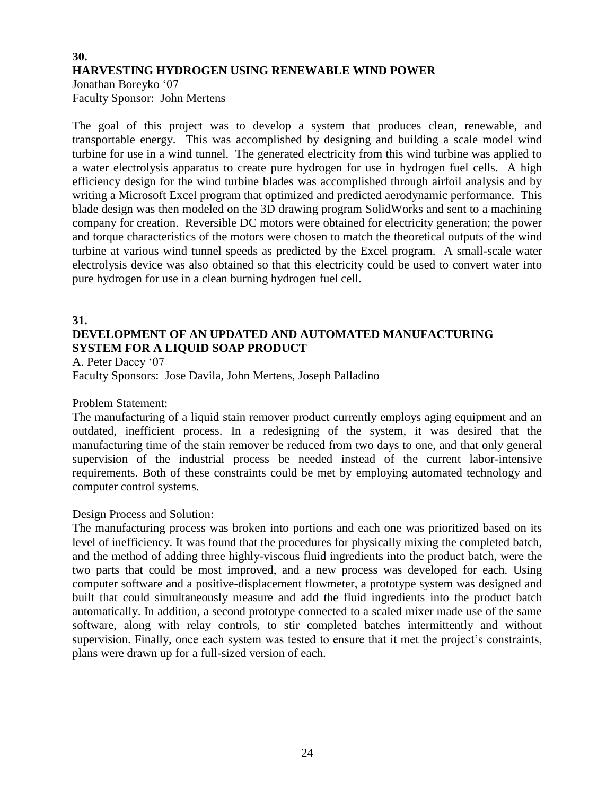## **30. HARVESTING HYDROGEN USING RENEWABLE WIND POWER** Jonathan Boreyko '07

Faculty Sponsor: John Mertens

The goal of this project was to develop a system that produces clean, renewable, and transportable energy. This was accomplished by designing and building a scale model wind turbine for use in a wind tunnel. The generated electricity from this wind turbine was applied to a water electrolysis apparatus to create pure hydrogen for use in hydrogen fuel cells. A high efficiency design for the wind turbine blades was accomplished through airfoil analysis and by writing a Microsoft Excel program that optimized and predicted aerodynamic performance. This blade design was then modeled on the 3D drawing program SolidWorks and sent to a machining company for creation. Reversible DC motors were obtained for electricity generation; the power and torque characteristics of the motors were chosen to match the theoretical outputs of the wind turbine at various wind tunnel speeds as predicted by the Excel program. A small-scale water electrolysis device was also obtained so that this electricity could be used to convert water into pure hydrogen for use in a clean burning hydrogen fuel cell.

#### **31. DEVELOPMENT OF AN UPDATED AND AUTOMATED MANUFACTURING SYSTEM FOR A LIQUID SOAP PRODUCT**

A. Peter Dacey '07 Faculty Sponsors: Jose Davila, John Mertens, Joseph Palladino

Problem Statement:

The manufacturing of a liquid stain remover product currently employs aging equipment and an outdated, inefficient process. In a redesigning of the system, it was desired that the manufacturing time of the stain remover be reduced from two days to one, and that only general supervision of the industrial process be needed instead of the current labor-intensive requirements. Both of these constraints could be met by employing automated technology and computer control systems.

#### Design Process and Solution:

The manufacturing process was broken into portions and each one was prioritized based on its level of inefficiency. It was found that the procedures for physically mixing the completed batch, and the method of adding three highly-viscous fluid ingredients into the product batch, were the two parts that could be most improved, and a new process was developed for each. Using computer software and a positive-displacement flowmeter, a prototype system was designed and built that could simultaneously measure and add the fluid ingredients into the product batch automatically. In addition, a second prototype connected to a scaled mixer made use of the same software, along with relay controls, to stir completed batches intermittently and without supervision. Finally, once each system was tested to ensure that it met the project's constraints, plans were drawn up for a full-sized version of each.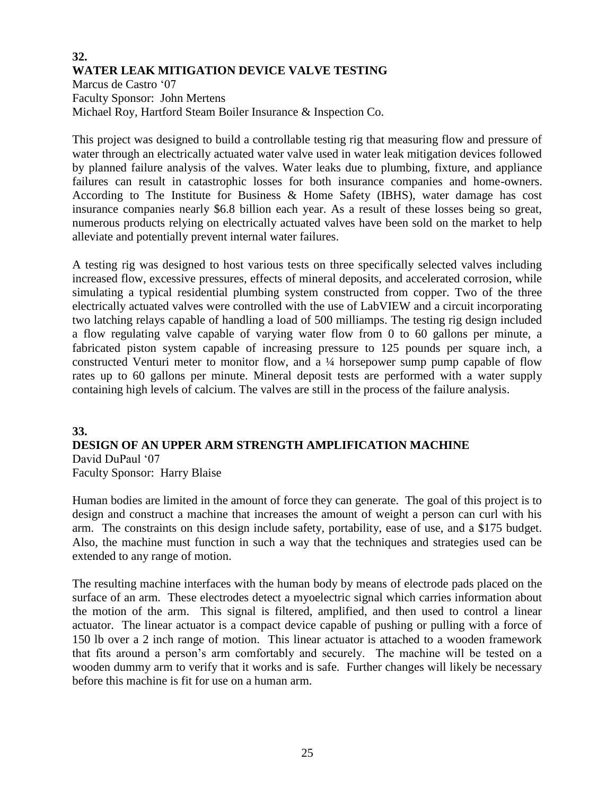## **32. WATER LEAK MITIGATION DEVICE VALVE TESTING**

Marcus de Castro '07 Faculty Sponsor: John Mertens Michael Roy, Hartford Steam Boiler Insurance & Inspection Co.

This project was designed to build a controllable testing rig that measuring flow and pressure of water through an electrically actuated water valve used in water leak mitigation devices followed by planned failure analysis of the valves. Water leaks due to plumbing, fixture, and appliance failures can result in catastrophic losses for both insurance companies and home-owners. According to The Institute for Business & Home Safety (IBHS), water damage has cost insurance companies nearly \$6.8 billion each year. As a result of these losses being so great, numerous products relying on electrically actuated valves have been sold on the market to help alleviate and potentially prevent internal water failures.

A testing rig was designed to host various tests on three specifically selected valves including increased flow, excessive pressures, effects of mineral deposits, and accelerated corrosion, while simulating a typical residential plumbing system constructed from copper. Two of the three electrically actuated valves were controlled with the use of LabVIEW and a circuit incorporating two latching relays capable of handling a load of 500 milliamps. The testing rig design included a flow regulating valve capable of varying water flow from 0 to 60 gallons per minute, a fabricated piston system capable of increasing pressure to 125 pounds per square inch, a constructed Venturi meter to monitor flow, and a ¼ horsepower sump pump capable of flow rates up to 60 gallons per minute. Mineral deposit tests are performed with a water supply containing high levels of calcium. The valves are still in the process of the failure analysis.

#### **33. DESIGN OF AN UPPER ARM STRENGTH AMPLIFICATION MACHINE** David DuPaul '07 Faculty Sponsor: Harry Blaise

Human bodies are limited in the amount of force they can generate. The goal of this project is to design and construct a machine that increases the amount of weight a person can curl with his arm. The constraints on this design include safety, portability, ease of use, and a \$175 budget. Also, the machine must function in such a way that the techniques and strategies used can be extended to any range of motion.

The resulting machine interfaces with the human body by means of electrode pads placed on the surface of an arm. These electrodes detect a myoelectric signal which carries information about the motion of the arm. This signal is filtered, amplified, and then used to control a linear actuator. The linear actuator is a compact device capable of pushing or pulling with a force of 150 lb over a 2 inch range of motion. This linear actuator is attached to a wooden framework that fits around a person's arm comfortably and securely. The machine will be tested on a wooden dummy arm to verify that it works and is safe. Further changes will likely be necessary before this machine is fit for use on a human arm.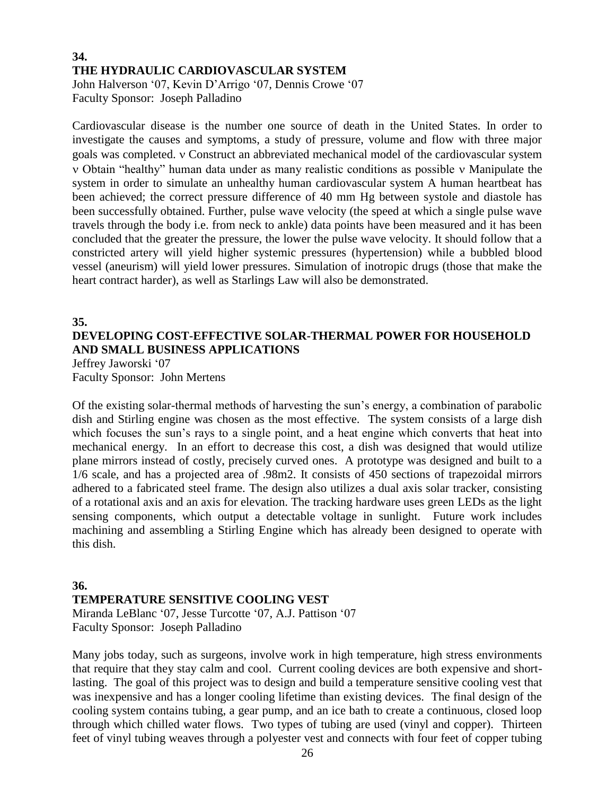#### **34. THE HYDRAULIC CARDIOVASCULAR SYSTEM** John Halverson '07, Kevin D'Arrigo '07, Dennis Crowe '07 Faculty Sponsor: Joseph Palladino

Cardiovascular disease is the number one source of death in the United States. In order to investigate the causes and symptoms, a study of pressure, volume and flow with three major goals was completed. v Construct an abbreviated mechanical model of the cardiovascular system Obtain "healthy" human data under as many realistic conditions as possible Manipulate the system in order to simulate an unhealthy human cardiovascular system A human heartbeat has been achieved; the correct pressure difference of 40 mm Hg between systole and diastole has been successfully obtained. Further, pulse wave velocity (the speed at which a single pulse wave travels through the body i.e. from neck to ankle) data points have been measured and it has been concluded that the greater the pressure, the lower the pulse wave velocity. It should follow that a constricted artery will yield higher systemic pressures (hypertension) while a bubbled blood vessel (aneurism) will yield lower pressures. Simulation of inotropic drugs (those that make the heart contract harder), as well as Starlings Law will also be demonstrated.

## **35. DEVELOPING COST-EFFECTIVE SOLAR-THERMAL POWER FOR HOUSEHOLD AND SMALL BUSINESS APPLICATIONS**

Jeffrey Jaworski '07 Faculty Sponsor: John Mertens

Of the existing solar-thermal methods of harvesting the sun's energy, a combination of parabolic dish and Stirling engine was chosen as the most effective. The system consists of a large dish which focuses the sun's rays to a single point, and a heat engine which converts that heat into mechanical energy. In an effort to decrease this cost, a dish was designed that would utilize plane mirrors instead of costly, precisely curved ones. A prototype was designed and built to a 1/6 scale, and has a projected area of .98m2. It consists of 450 sections of trapezoidal mirrors adhered to a fabricated steel frame. The design also utilizes a dual axis solar tracker, consisting of a rotational axis and an axis for elevation. The tracking hardware uses green LEDs as the light sensing components, which output a detectable voltage in sunlight. Future work includes machining and assembling a Stirling Engine which has already been designed to operate with this dish.

#### **36. TEMPERATURE SENSITIVE COOLING VEST**

Miranda LeBlanc '07, Jesse Turcotte '07, A.J. Pattison '07 Faculty Sponsor: Joseph Palladino

Many jobs today, such as surgeons, involve work in high temperature, high stress environments that require that they stay calm and cool. Current cooling devices are both expensive and shortlasting. The goal of this project was to design and build a temperature sensitive cooling vest that was inexpensive and has a longer cooling lifetime than existing devices. The final design of the cooling system contains tubing, a gear pump, and an ice bath to create a continuous, closed loop through which chilled water flows. Two types of tubing are used (vinyl and copper). Thirteen feet of vinyl tubing weaves through a polyester vest and connects with four feet of copper tubing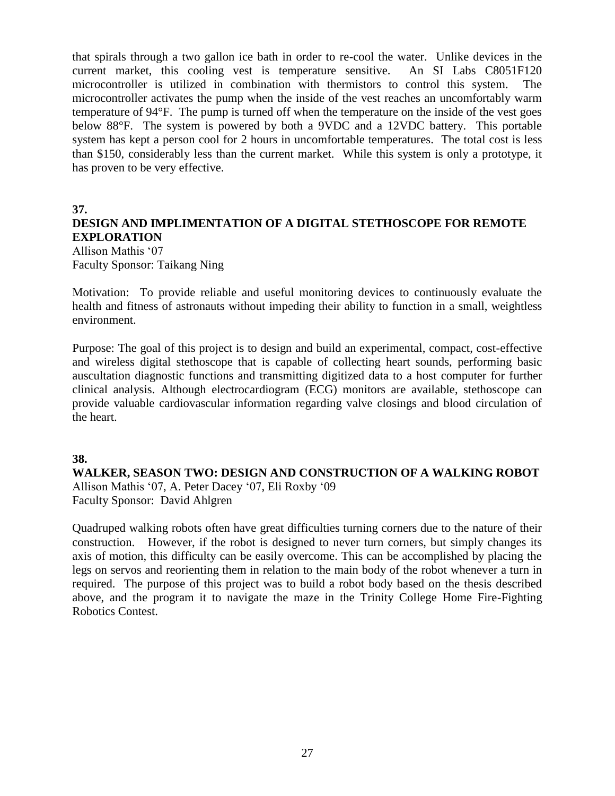that spirals through a two gallon ice bath in order to re-cool the water. Unlike devices in the current market, this cooling vest is temperature sensitive. An SI Labs C8051F120 microcontroller is utilized in combination with thermistors to control this system. The microcontroller activates the pump when the inside of the vest reaches an uncomfortably warm temperature of 94°F. The pump is turned off when the temperature on the inside of the vest goes below 88°F. The system is powered by both a 9VDC and a 12VDC battery. This portable system has kept a person cool for 2 hours in uncomfortable temperatures. The total cost is less than \$150, considerably less than the current market. While this system is only a prototype, it has proven to be very effective.

#### **37.**

#### **DESIGN AND IMPLIMENTATION OF A DIGITAL STETHOSCOPE FOR REMOTE EXPLORATION**

Allison Mathis '07 Faculty Sponsor: Taikang Ning

Motivation: To provide reliable and useful monitoring devices to continuously evaluate the health and fitness of astronauts without impeding their ability to function in a small, weightless environment.

Purpose: The goal of this project is to design and build an experimental, compact, cost-effective and wireless digital stethoscope that is capable of collecting heart sounds, performing basic auscultation diagnostic functions and transmitting digitized data to a host computer for further clinical analysis. Although electrocardiogram (ECG) monitors are available, stethoscope can provide valuable cardiovascular information regarding valve closings and blood circulation of the heart.

#### **38.**

#### **WALKER, SEASON TWO: DESIGN AND CONSTRUCTION OF A WALKING ROBOT**

Allison Mathis '07, A. Peter Dacey '07, Eli Roxby '09 Faculty Sponsor: David Ahlgren

Quadruped walking robots often have great difficulties turning corners due to the nature of their construction. However, if the robot is designed to never turn corners, but simply changes its axis of motion, this difficulty can be easily overcome. This can be accomplished by placing the legs on servos and reorienting them in relation to the main body of the robot whenever a turn in required. The purpose of this project was to build a robot body based on the thesis described above, and the program it to navigate the maze in the Trinity College Home Fire-Fighting Robotics Contest.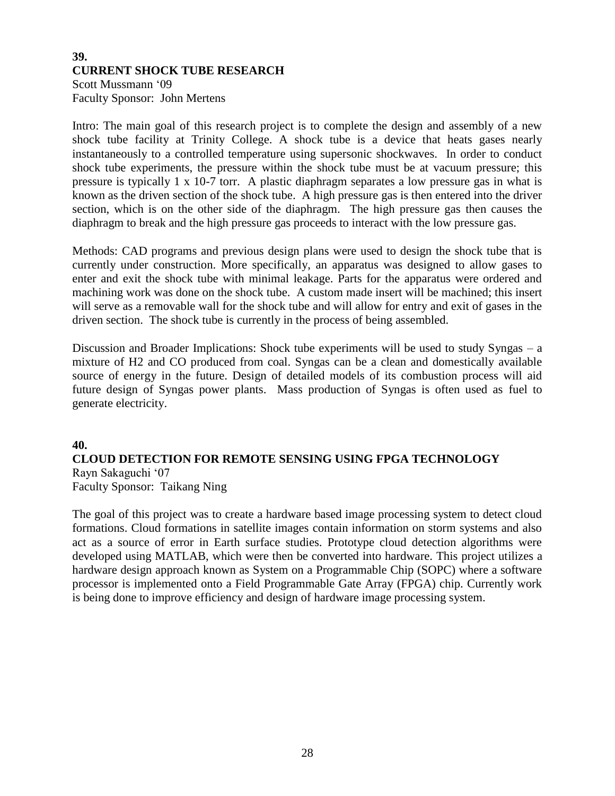#### **39. CURRENT SHOCK TUBE RESEARCH** Scott Mussmann '09 Faculty Sponsor: John Mertens

Intro: The main goal of this research project is to complete the design and assembly of a new shock tube facility at Trinity College. A shock tube is a device that heats gases nearly instantaneously to a controlled temperature using supersonic shockwaves. In order to conduct shock tube experiments, the pressure within the shock tube must be at vacuum pressure; this pressure is typically 1 x 10-7 torr. A plastic diaphragm separates a low pressure gas in what is known as the driven section of the shock tube. A high pressure gas is then entered into the driver section, which is on the other side of the diaphragm. The high pressure gas then causes the diaphragm to break and the high pressure gas proceeds to interact with the low pressure gas.

Methods: CAD programs and previous design plans were used to design the shock tube that is currently under construction. More specifically, an apparatus was designed to allow gases to enter and exit the shock tube with minimal leakage. Parts for the apparatus were ordered and machining work was done on the shock tube. A custom made insert will be machined; this insert will serve as a removable wall for the shock tube and will allow for entry and exit of gases in the driven section. The shock tube is currently in the process of being assembled.

Discussion and Broader Implications: Shock tube experiments will be used to study Syngas – a mixture of H2 and CO produced from coal. Syngas can be a clean and domestically available source of energy in the future. Design of detailed models of its combustion process will aid future design of Syngas power plants. Mass production of Syngas is often used as fuel to generate electricity.

#### **40. CLOUD DETECTION FOR REMOTE SENSING USING FPGA TECHNOLOGY** Rayn Sakaguchi '07 Faculty Sponsor: Taikang Ning

The goal of this project was to create a hardware based image processing system to detect cloud formations. Cloud formations in satellite images contain information on storm systems and also act as a source of error in Earth surface studies. Prototype cloud detection algorithms were developed using MATLAB, which were then be converted into hardware. This project utilizes a hardware design approach known as System on a Programmable Chip (SOPC) where a software processor is implemented onto a Field Programmable Gate Array (FPGA) chip. Currently work is being done to improve efficiency and design of hardware image processing system.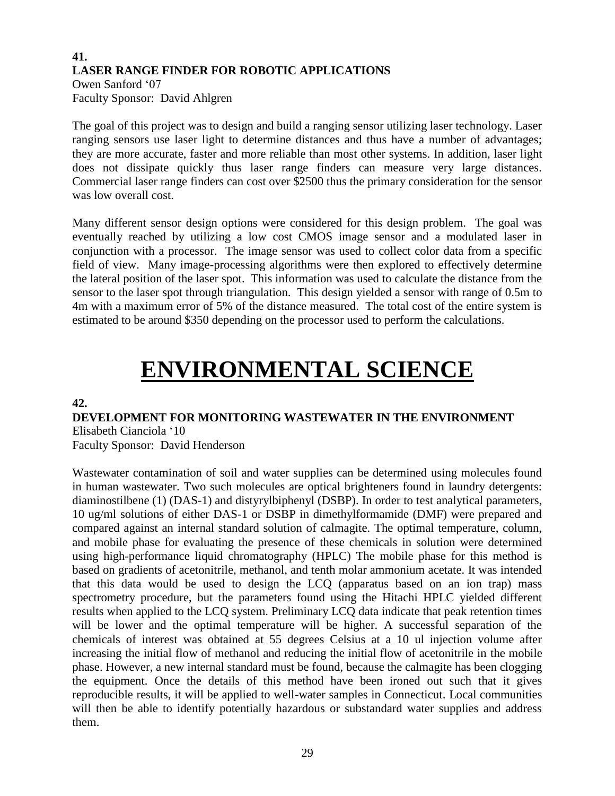## **41. LASER RANGE FINDER FOR ROBOTIC APPLICATIONS** Owen Sanford '07

Faculty Sponsor: David Ahlgren

The goal of this project was to design and build a ranging sensor utilizing laser technology. Laser ranging sensors use laser light to determine distances and thus have a number of advantages; they are more accurate, faster and more reliable than most other systems. In addition, laser light does not dissipate quickly thus laser range finders can measure very large distances. Commercial laser range finders can cost over \$2500 thus the primary consideration for the sensor was low overall cost.

Many different sensor design options were considered for this design problem. The goal was eventually reached by utilizing a low cost CMOS image sensor and a modulated laser in conjunction with a processor. The image sensor was used to collect color data from a specific field of view. Many image-processing algorithms were then explored to effectively determine the lateral position of the laser spot. This information was used to calculate the distance from the sensor to the laser spot through triangulation. This design yielded a sensor with range of 0.5m to 4m with a maximum error of 5% of the distance measured. The total cost of the entire system is estimated to be around \$350 depending on the processor used to perform the calculations.

## **ENVIRONMENTAL SCIENCE**

#### **42.**

#### **DEVELOPMENT FOR MONITORING WASTEWATER IN THE ENVIRONMENT** Elisabeth Cianciola '10

Faculty Sponsor: David Henderson

Wastewater contamination of soil and water supplies can be determined using molecules found in human wastewater. Two such molecules are optical brighteners found in laundry detergents: diaminostilbene (1) (DAS-1) and distyrylbiphenyl (DSBP). In order to test analytical parameters, 10 ug/ml solutions of either DAS-1 or DSBP in dimethylformamide (DMF) were prepared and compared against an internal standard solution of calmagite. The optimal temperature, column, and mobile phase for evaluating the presence of these chemicals in solution were determined using high-performance liquid chromatography (HPLC) The mobile phase for this method is based on gradients of acetonitrile, methanol, and tenth molar ammonium acetate. It was intended that this data would be used to design the LCQ (apparatus based on an ion trap) mass spectrometry procedure, but the parameters found using the Hitachi HPLC yielded different results when applied to the LCQ system. Preliminary LCQ data indicate that peak retention times will be lower and the optimal temperature will be higher. A successful separation of the chemicals of interest was obtained at 55 degrees Celsius at a 10 ul injection volume after increasing the initial flow of methanol and reducing the initial flow of acetonitrile in the mobile phase. However, a new internal standard must be found, because the calmagite has been clogging the equipment. Once the details of this method have been ironed out such that it gives reproducible results, it will be applied to well-water samples in Connecticut. Local communities will then be able to identify potentially hazardous or substandard water supplies and address them.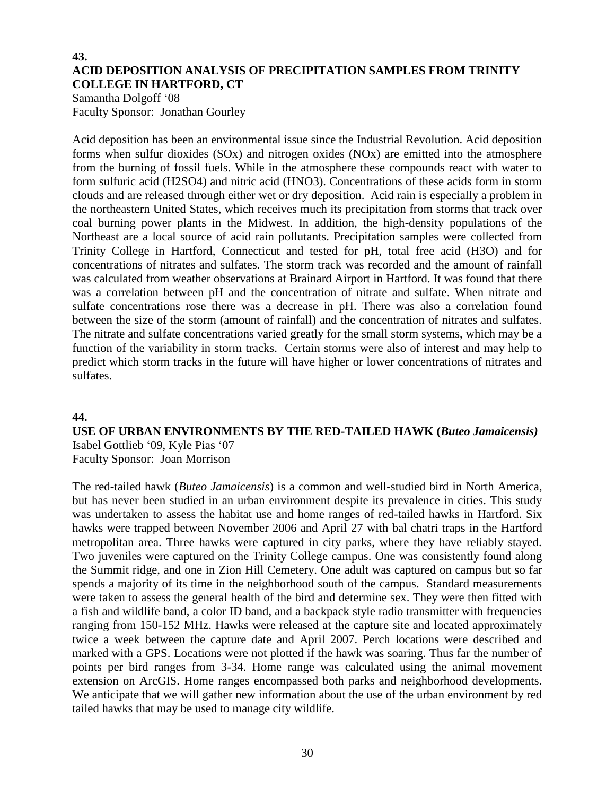#### **43. ACID DEPOSITION ANALYSIS OF PRECIPITATION SAMPLES FROM TRINITY COLLEGE IN HARTFORD, CT**

Samantha Dolgoff '08 Faculty Sponsor: Jonathan Gourley

Acid deposition has been an environmental issue since the Industrial Revolution. Acid deposition forms when sulfur dioxides (SOx) and nitrogen oxides (NOx) are emitted into the atmosphere from the burning of fossil fuels. While in the atmosphere these compounds react with water to form sulfuric acid (H2SO4) and nitric acid (HNO3). Concentrations of these acids form in storm clouds and are released through either wet or dry deposition. Acid rain is especially a problem in the northeastern United States, which receives much its precipitation from storms that track over coal burning power plants in the Midwest. In addition, the high-density populations of the Northeast are a local source of acid rain pollutants. Precipitation samples were collected from Trinity College in Hartford, Connecticut and tested for pH, total free acid (H3O) and for concentrations of nitrates and sulfates. The storm track was recorded and the amount of rainfall was calculated from weather observations at Brainard Airport in Hartford. It was found that there was a correlation between pH and the concentration of nitrate and sulfate. When nitrate and sulfate concentrations rose there was a decrease in pH. There was also a correlation found between the size of the storm (amount of rainfall) and the concentration of nitrates and sulfates. The nitrate and sulfate concentrations varied greatly for the small storm systems, which may be a function of the variability in storm tracks. Certain storms were also of interest and may help to predict which storm tracks in the future will have higher or lower concentrations of nitrates and sulfates.

#### **44.**

#### **USE OF URBAN ENVIRONMENTS BY THE RED-TAILED HAWK (***Buteo Jamaicensis)* Isabel Gottlieb '09, Kyle Pias '07 Faculty Sponsor: Joan Morrison

The red-tailed hawk (*Buteo Jamaicensis*) is a common and well-studied bird in North America, but has never been studied in an urban environment despite its prevalence in cities. This study was undertaken to assess the habitat use and home ranges of red-tailed hawks in Hartford. Six hawks were trapped between November 2006 and April 27 with bal chatri traps in the Hartford metropolitan area. Three hawks were captured in city parks, where they have reliably stayed. Two juveniles were captured on the Trinity College campus. One was consistently found along the Summit ridge, and one in Zion Hill Cemetery. One adult was captured on campus but so far spends a majority of its time in the neighborhood south of the campus. Standard measurements were taken to assess the general health of the bird and determine sex. They were then fitted with a fish and wildlife band, a color ID band, and a backpack style radio transmitter with frequencies ranging from 150-152 MHz. Hawks were released at the capture site and located approximately twice a week between the capture date and April 2007. Perch locations were described and marked with a GPS. Locations were not plotted if the hawk was soaring. Thus far the number of points per bird ranges from 3-34. Home range was calculated using the animal movement extension on ArcGIS. Home ranges encompassed both parks and neighborhood developments. We anticipate that we will gather new information about the use of the urban environment by red tailed hawks that may be used to manage city wildlife.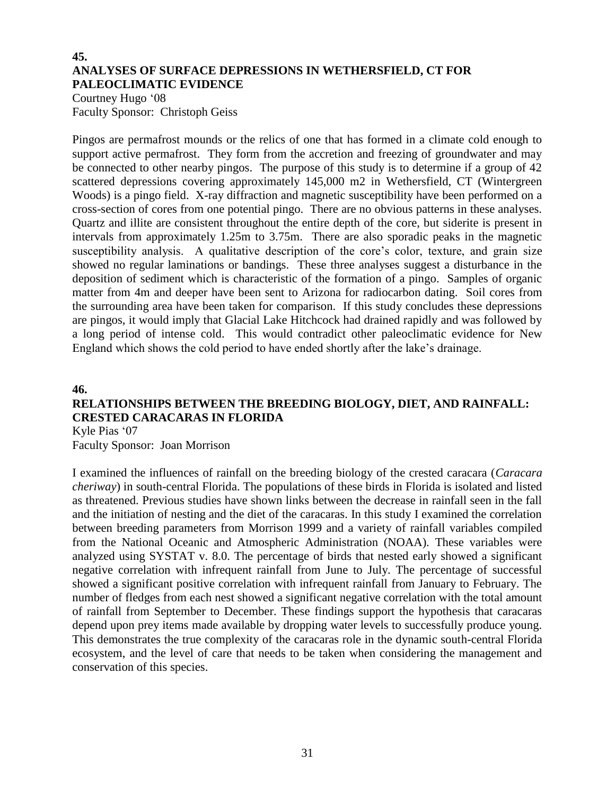#### **45. ANALYSES OF SURFACE DEPRESSIONS IN WETHERSFIELD, CT FOR PALEOCLIMATIC EVIDENCE**

Courtney Hugo '08 Faculty Sponsor: Christoph Geiss

Pingos are permafrost mounds or the relics of one that has formed in a climate cold enough to support active permafrost. They form from the accretion and freezing of groundwater and may be connected to other nearby pingos. The purpose of this study is to determine if a group of 42 scattered depressions covering approximately 145,000 m2 in Wethersfield, CT (Wintergreen Woods) is a pingo field. X-ray diffraction and magnetic susceptibility have been performed on a cross-section of cores from one potential pingo. There are no obvious patterns in these analyses. Quartz and illite are consistent throughout the entire depth of the core, but siderite is present in intervals from approximately 1.25m to 3.75m. There are also sporadic peaks in the magnetic susceptibility analysis. A qualitative description of the core's color, texture, and grain size showed no regular laminations or bandings. These three analyses suggest a disturbance in the deposition of sediment which is characteristic of the formation of a pingo. Samples of organic matter from 4m and deeper have been sent to Arizona for radiocarbon dating. Soil cores from the surrounding area have been taken for comparison. If this study concludes these depressions are pingos, it would imply that Glacial Lake Hitchcock had drained rapidly and was followed by a long period of intense cold. This would contradict other paleoclimatic evidence for New England which shows the cold period to have ended shortly after the lake's drainage.

#### **46.**

## **RELATIONSHIPS BETWEEN THE BREEDING BIOLOGY, DIET, AND RAINFALL: CRESTED CARACARAS IN FLORIDA**

Kyle Pias '07 Faculty Sponsor: Joan Morrison

I examined the influences of rainfall on the breeding biology of the crested caracara (*Caracara cheriway*) in south-central Florida. The populations of these birds in Florida is isolated and listed as threatened. Previous studies have shown links between the decrease in rainfall seen in the fall and the initiation of nesting and the diet of the caracaras. In this study I examined the correlation between breeding parameters from Morrison 1999 and a variety of rainfall variables compiled from the National Oceanic and Atmospheric Administration (NOAA). These variables were analyzed using SYSTAT v. 8.0. The percentage of birds that nested early showed a significant negative correlation with infrequent rainfall from June to July. The percentage of successful showed a significant positive correlation with infrequent rainfall from January to February. The number of fledges from each nest showed a significant negative correlation with the total amount of rainfall from September to December. These findings support the hypothesis that caracaras depend upon prey items made available by dropping water levels to successfully produce young. This demonstrates the true complexity of the caracaras role in the dynamic south-central Florida ecosystem, and the level of care that needs to be taken when considering the management and conservation of this species.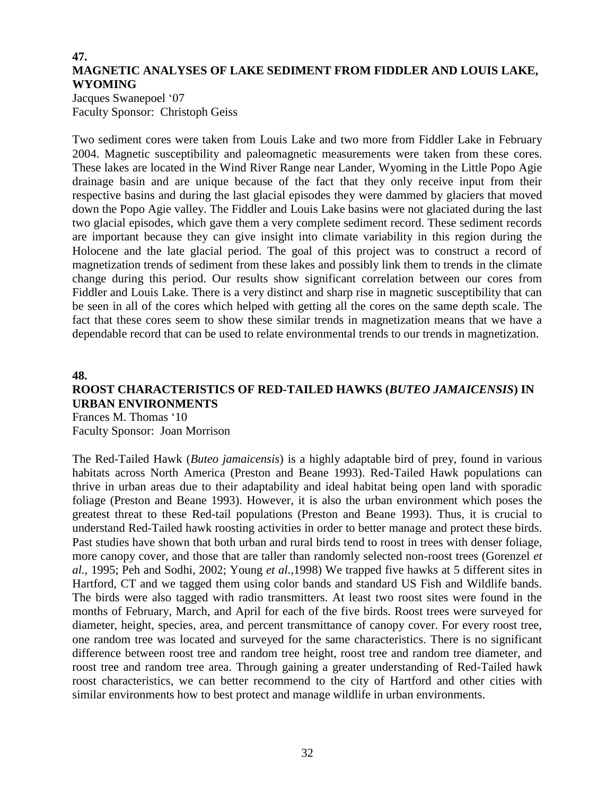#### **47. MAGNETIC ANALYSES OF LAKE SEDIMENT FROM FIDDLER AND LOUIS LAKE, WYOMING**

Jacques Swanepoel '07 Faculty Sponsor: Christoph Geiss

Two sediment cores were taken from Louis Lake and two more from Fiddler Lake in February 2004. Magnetic susceptibility and paleomagnetic measurements were taken from these cores. These lakes are located in the Wind River Range near Lander, Wyoming in the Little Popo Agie drainage basin and are unique because of the fact that they only receive input from their respective basins and during the last glacial episodes they were dammed by glaciers that moved down the Popo Agie valley. The Fiddler and Louis Lake basins were not glaciated during the last two glacial episodes, which gave them a very complete sediment record. These sediment records are important because they can give insight into climate variability in this region during the Holocene and the late glacial period. The goal of this project was to construct a record of magnetization trends of sediment from these lakes and possibly link them to trends in the climate change during this period. Our results show significant correlation between our cores from Fiddler and Louis Lake. There is a very distinct and sharp rise in magnetic susceptibility that can be seen in all of the cores which helped with getting all the cores on the same depth scale. The fact that these cores seem to show these similar trends in magnetization means that we have a dependable record that can be used to relate environmental trends to our trends in magnetization.

#### **48.**

### **ROOST CHARACTERISTICS OF RED-TAILED HAWKS (***BUTEO JAMAICENSIS***) IN URBAN ENVIRONMENTS**

Frances M. Thomas '10 Faculty Sponsor: Joan Morrison

The Red-Tailed Hawk (*Buteo jamaicensis*) is a highly adaptable bird of prey, found in various habitats across North America (Preston and Beane 1993). Red-Tailed Hawk populations can thrive in urban areas due to their adaptability and ideal habitat being open land with sporadic foliage (Preston and Beane 1993). However, it is also the urban environment which poses the greatest threat to these Red-tail populations (Preston and Beane 1993). Thus, it is crucial to understand Red-Tailed hawk roosting activities in order to better manage and protect these birds. Past studies have shown that both urban and rural birds tend to roost in trees with denser foliage, more canopy cover, and those that are taller than randomly selected non-roost trees (Gorenzel *et al.*, 1995; Peh and Sodhi, 2002; Young *et al.*,1998) We trapped five hawks at 5 different sites in Hartford, CT and we tagged them using color bands and standard US Fish and Wildlife bands. The birds were also tagged with radio transmitters. At least two roost sites were found in the months of February, March, and April for each of the five birds. Roost trees were surveyed for diameter, height, species, area, and percent transmittance of canopy cover. For every roost tree, one random tree was located and surveyed for the same characteristics. There is no significant difference between roost tree and random tree height, roost tree and random tree diameter, and roost tree and random tree area. Through gaining a greater understanding of Red-Tailed hawk roost characteristics, we can better recommend to the city of Hartford and other cities with similar environments how to best protect and manage wildlife in urban environments.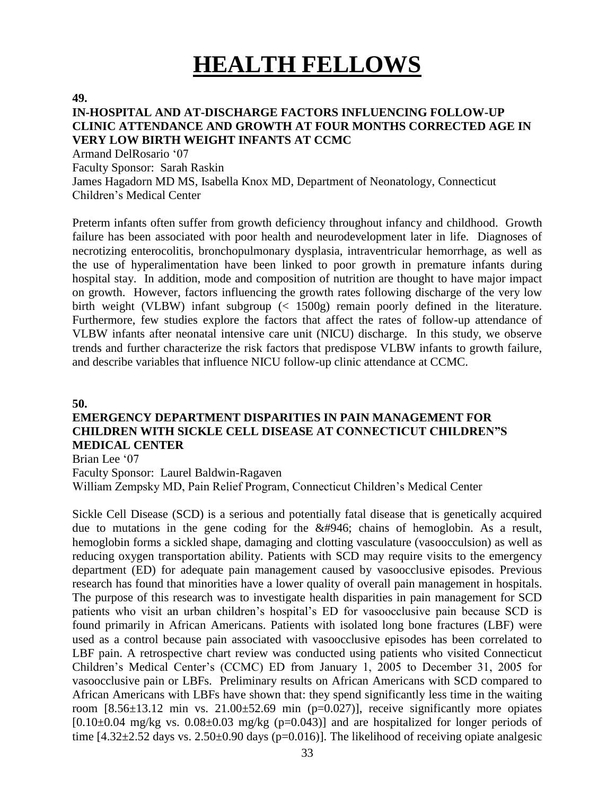## **HEALTH FELLOWS**

**49.**

#### **IN-HOSPITAL AND AT-DISCHARGE FACTORS INFLUENCING FOLLOW-UP CLINIC ATTENDANCE AND GROWTH AT FOUR MONTHS CORRECTED AGE IN VERY LOW BIRTH WEIGHT INFANTS AT CCMC**

Armand DelRosario '07

Faculty Sponsor: Sarah Raskin

James Hagadorn MD MS, Isabella Knox MD, Department of Neonatology, Connecticut Children's Medical Center

Preterm infants often suffer from growth deficiency throughout infancy and childhood. Growth failure has been associated with poor health and neurodevelopment later in life. Diagnoses of necrotizing enterocolitis, bronchopulmonary dysplasia, intraventricular hemorrhage, as well as the use of hyperalimentation have been linked to poor growth in premature infants during hospital stay. In addition, mode and composition of nutrition are thought to have major impact on growth. However, factors influencing the growth rates following discharge of the very low birth weight (VLBW) infant subgroup (< 1500g) remain poorly defined in the literature. Furthermore, few studies explore the factors that affect the rates of follow-up attendance of VLBW infants after neonatal intensive care unit (NICU) discharge. In this study, we observe trends and further characterize the risk factors that predispose VLBW infants to growth failure, and describe variables that influence NICU follow-up clinic attendance at CCMC.

**50.**

### **EMERGENCY DEPARTMENT DISPARITIES IN PAIN MANAGEMENT FOR CHILDREN WITH SICKLE CELL DISEASE AT CONNECTICUT CHILDREN"S MEDICAL CENTER**

Brian Lee '07

Faculty Sponsor: Laurel Baldwin-Ragaven

William Zempsky MD, Pain Relief Program, Connecticut Children's Medical Center

Sickle Cell Disease (SCD) is a serious and potentially fatal disease that is genetically acquired due to mutations in the gene coding for the β chains of hemoglobin. As a result, hemoglobin forms a sickled shape, damaging and clotting vasculature (vasoocculsion) as well as reducing oxygen transportation ability. Patients with SCD may require visits to the emergency department (ED) for adequate pain management caused by vasoocclusive episodes. Previous research has found that minorities have a lower quality of overall pain management in hospitals. The purpose of this research was to investigate health disparities in pain management for SCD patients who visit an urban children's hospital's ED for vasoocclusive pain because SCD is found primarily in African Americans. Patients with isolated long bone fractures (LBF) were used as a control because pain associated with vasoocclusive episodes has been correlated to LBF pain. A retrospective chart review was conducted using patients who visited Connecticut Children's Medical Center's (CCMC) ED from January 1, 2005 to December 31, 2005 for vasoocclusive pain or LBFs. Preliminary results on African Americans with SCD compared to African Americans with LBFs have shown that: they spend significantly less time in the waiting room  $[8.56\pm13.12 \text{ min} \text{ vs. } 21.00\pm52.69 \text{ min} \text{ (p=0.027)}]$ , receive significantly more opiates  $[0.10\pm0.04$  mg/kg vs.  $0.08\pm0.03$  mg/kg (p=0.043)] and are hospitalized for longer periods of time  $[4.32 \pm 2.52$  days vs.  $2.50 \pm 0.90$  days (p=0.016)]. The likelihood of receiving opiate analgesic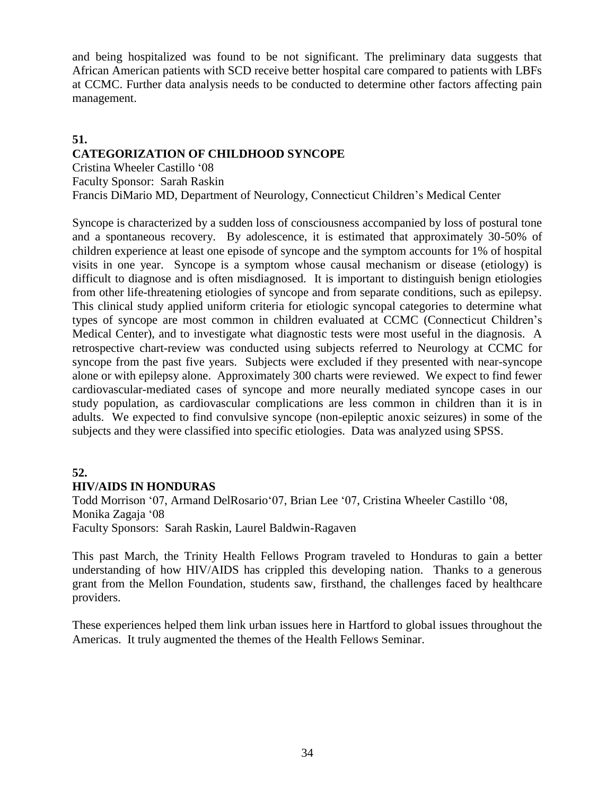and being hospitalized was found to be not significant. The preliminary data suggests that African American patients with SCD receive better hospital care compared to patients with LBFs at CCMC. Further data analysis needs to be conducted to determine other factors affecting pain management.

## **51.**

### **CATEGORIZATION OF CHILDHOOD SYNCOPE**

Cristina Wheeler Castillo '08 Faculty Sponsor: Sarah Raskin Francis DiMario MD, Department of Neurology, Connecticut Children's Medical Center

Syncope is characterized by a sudden loss of consciousness accompanied by loss of postural tone and a spontaneous recovery. By adolescence, it is estimated that approximately 30-50% of children experience at least one episode of syncope and the symptom accounts for 1% of hospital visits in one year. Syncope is a symptom whose causal mechanism or disease (etiology) is difficult to diagnose and is often misdiagnosed. It is important to distinguish benign etiologies from other life-threatening etiologies of syncope and from separate conditions, such as epilepsy. This clinical study applied uniform criteria for etiologic syncopal categories to determine what types of syncope are most common in children evaluated at CCMC (Connecticut Children's Medical Center), and to investigate what diagnostic tests were most useful in the diagnosis. A retrospective chart-review was conducted using subjects referred to Neurology at CCMC for syncope from the past five years. Subjects were excluded if they presented with near-syncope alone or with epilepsy alone. Approximately 300 charts were reviewed. We expect to find fewer cardiovascular-mediated cases of syncope and more neurally mediated syncope cases in our study population, as cardiovascular complications are less common in children than it is in adults. We expected to find convulsive syncope (non-epileptic anoxic seizures) in some of the subjects and they were classified into specific etiologies. Data was analyzed using SPSS.

#### **52.**

#### **HIV/AIDS IN HONDURAS**

Todd Morrison '07, Armand DelRosario'07, Brian Lee '07, Cristina Wheeler Castillo '08, Monika Zagaja '08 Faculty Sponsors: Sarah Raskin, Laurel Baldwin-Ragaven

This past March, the Trinity Health Fellows Program traveled to Honduras to gain a better understanding of how HIV/AIDS has crippled this developing nation. Thanks to a generous grant from the Mellon Foundation, students saw, firsthand, the challenges faced by healthcare providers.

These experiences helped them link urban issues here in Hartford to global issues throughout the Americas. It truly augmented the themes of the Health Fellows Seminar.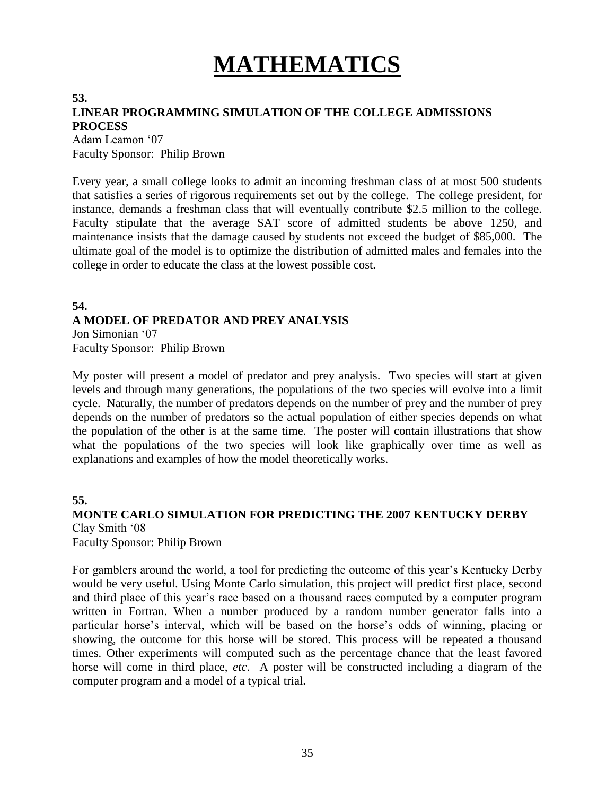# **MATHEMATICS**

## **53.**

### **LINEAR PROGRAMMING SIMULATION OF THE COLLEGE ADMISSIONS PROCESS**

Adam Leamon '07 Faculty Sponsor: Philip Brown

Every year, a small college looks to admit an incoming freshman class of at most 500 students that satisfies a series of rigorous requirements set out by the college. The college president, for instance, demands a freshman class that will eventually contribute \$2.5 million to the college. Faculty stipulate that the average SAT score of admitted students be above 1250, and maintenance insists that the damage caused by students not exceed the budget of \$85,000. The ultimate goal of the model is to optimize the distribution of admitted males and females into the college in order to educate the class at the lowest possible cost.

#### **54. A MODEL OF PREDATOR AND PREY ANALYSIS** Jon Simonian '07

Faculty Sponsor: Philip Brown

My poster will present a model of predator and prey analysis. Two species will start at given levels and through many generations, the populations of the two species will evolve into a limit cycle. Naturally, the number of predators depends on the number of prey and the number of prey depends on the number of predators so the actual population of either species depends on what the population of the other is at the same time. The poster will contain illustrations that show what the populations of the two species will look like graphically over time as well as explanations and examples of how the model theoretically works.

#### **55.**

### **MONTE CARLO SIMULATION FOR PREDICTING THE 2007 KENTUCKY DERBY** Clay Smith '08

Faculty Sponsor: Philip Brown

For gamblers around the world, a tool for predicting the outcome of this year's Kentucky Derby would be very useful. Using Monte Carlo simulation, this project will predict first place, second and third place of this year's race based on a thousand races computed by a computer program written in Fortran. When a number produced by a random number generator falls into a particular horse's interval, which will be based on the horse's odds of winning, placing or showing, the outcome for this horse will be stored. This process will be repeated a thousand times. Other experiments will computed such as the percentage chance that the least favored horse will come in third place, *etc*. A poster will be constructed including a diagram of the computer program and a model of a typical trial.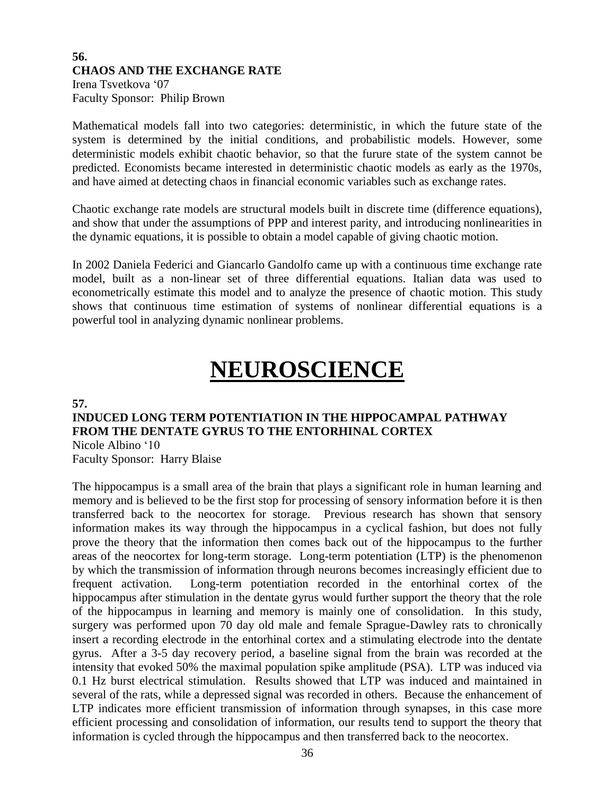#### **56. CHAOS AND THE EXCHANGE RATE** Irena Tsvetkova '07

Faculty Sponsor: Philip Brown

Mathematical models fall into two categories: deterministic, in which the future state of the system is determined by the initial conditions, and probabilistic models. However, some deterministic models exhibit chaotic behavior, so that the furure state of the system cannot be predicted. Economists became interested in deterministic chaotic models as early as the 1970s, and have aimed at detecting chaos in financial economic variables such as exchange rates.

Chaotic exchange rate models are structural models built in discrete time (difference equations), and show that under the assumptions of PPP and interest parity, and introducing nonlinearities in the dynamic equations, it is possible to obtain a model capable of giving chaotic motion.

In 2002 Daniela Federici and Giancarlo Gandolfo came up with a continuous time exchange rate model, built as a non-linear set of three differential equations. Italian data was used to econometrically estimate this model and to analyze the presence of chaotic motion. This study shows that continuous time estimation of systems of nonlinear differential equations is a powerful tool in analyzing dynamic nonlinear problems.

## **NEUROSCIENCE**

**57.**

## **INDUCED LONG TERM POTENTIATION IN THE HIPPOCAMPAL PATHWAY FROM THE DENTATE GYRUS TO THE ENTORHINAL CORTEX**

Nicole Albino '10 Faculty Sponsor: Harry Blaise

The hippocampus is a small area of the brain that plays a significant role in human learning and memory and is believed to be the first stop for processing of sensory information before it is then transferred back to the neocortex for storage. Previous research has shown that sensory information makes its way through the hippocampus in a cyclical fashion, but does not fully prove the theory that the information then comes back out of the hippocampus to the further areas of the neocortex for long-term storage. Long-term potentiation (LTP) is the phenomenon by which the transmission of information through neurons becomes increasingly efficient due to frequent activation. Long-term potentiation recorded in the entorhinal cortex of the hippocampus after stimulation in the dentate gyrus would further support the theory that the role of the hippocampus in learning and memory is mainly one of consolidation. In this study, surgery was performed upon 70 day old male and female Sprague-Dawley rats to chronically insert a recording electrode in the entorhinal cortex and a stimulating electrode into the dentate gyrus. After a 3-5 day recovery period, a baseline signal from the brain was recorded at the intensity that evoked 50% the maximal population spike amplitude (PSA). LTP was induced via 0.1 Hz burst electrical stimulation. Results showed that LTP was induced and maintained in several of the rats, while a depressed signal was recorded in others. Because the enhancement of LTP indicates more efficient transmission of information through synapses, in this case more efficient processing and consolidation of information, our results tend to support the theory that information is cycled through the hippocampus and then transferred back to the neocortex.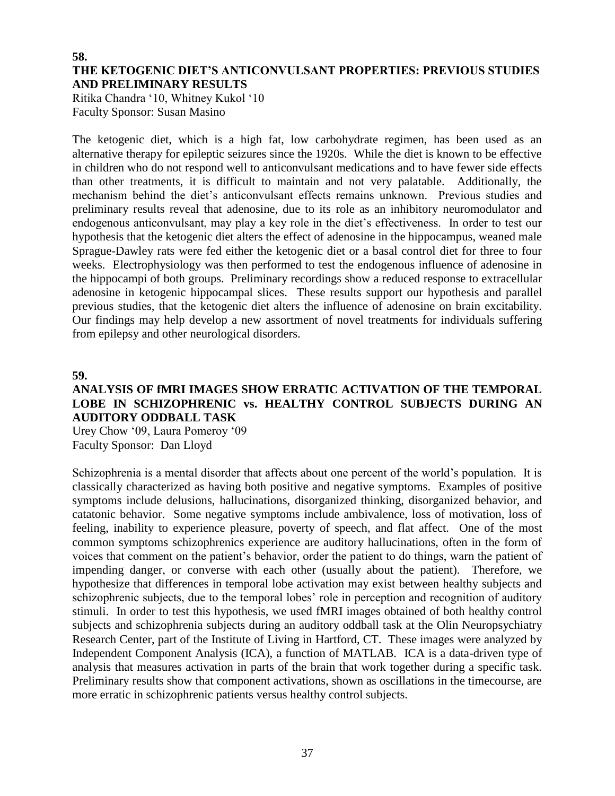#### **58. THE KETOGENIC DIET'S ANTICONVULSANT PROPERTIES: PREVIOUS STUDIES AND PRELIMINARY RESULTS**

Ritika Chandra '10, Whitney Kukol '10 Faculty Sponsor: Susan Masino

The ketogenic diet, which is a high fat, low carbohydrate regimen, has been used as an alternative therapy for epileptic seizures since the 1920s. While the diet is known to be effective in children who do not respond well to anticonvulsant medications and to have fewer side effects than other treatments, it is difficult to maintain and not very palatable. Additionally, the mechanism behind the diet's anticonvulsant effects remains unknown. Previous studies and preliminary results reveal that adenosine, due to its role as an inhibitory neuromodulator and endogenous anticonvulsant, may play a key role in the diet's effectiveness. In order to test our hypothesis that the ketogenic diet alters the effect of adenosine in the hippocampus, weaned male Sprague-Dawley rats were fed either the ketogenic diet or a basal control diet for three to four weeks. Electrophysiology was then performed to test the endogenous influence of adenosine in the hippocampi of both groups. Preliminary recordings show a reduced response to extracellular adenosine in ketogenic hippocampal slices. These results support our hypothesis and parallel previous studies, that the ketogenic diet alters the influence of adenosine on brain excitability. Our findings may help develop a new assortment of novel treatments for individuals suffering from epilepsy and other neurological disorders.

**59.**

### **ANALYSIS OF fMRI IMAGES SHOW ERRATIC ACTIVATION OF THE TEMPORAL LOBE IN SCHIZOPHRENIC vs. HEALTHY CONTROL SUBJECTS DURING AN AUDITORY ODDBALL TASK**

Urey Chow '09, Laura Pomeroy '09 Faculty Sponsor: Dan Lloyd

Schizophrenia is a mental disorder that affects about one percent of the world's population. It is classically characterized as having both positive and negative symptoms. Examples of positive symptoms include delusions, hallucinations, disorganized thinking, disorganized behavior, and catatonic behavior. Some negative symptoms include ambivalence, loss of motivation, loss of feeling, inability to experience pleasure, poverty of speech, and flat affect. One of the most common symptoms schizophrenics experience are auditory hallucinations, often in the form of voices that comment on the patient's behavior, order the patient to do things, warn the patient of impending danger, or converse with each other (usually about the patient). Therefore, we hypothesize that differences in temporal lobe activation may exist between healthy subjects and schizophrenic subjects, due to the temporal lobes' role in perception and recognition of auditory stimuli. In order to test this hypothesis, we used fMRI images obtained of both healthy control subjects and schizophrenia subjects during an auditory oddball task at the Olin Neuropsychiatry Research Center, part of the Institute of Living in Hartford, CT. These images were analyzed by Independent Component Analysis (ICA), a function of MATLAB. ICA is a data-driven type of analysis that measures activation in parts of the brain that work together during a specific task. Preliminary results show that component activations, shown as oscillations in the timecourse, are more erratic in schizophrenic patients versus healthy control subjects.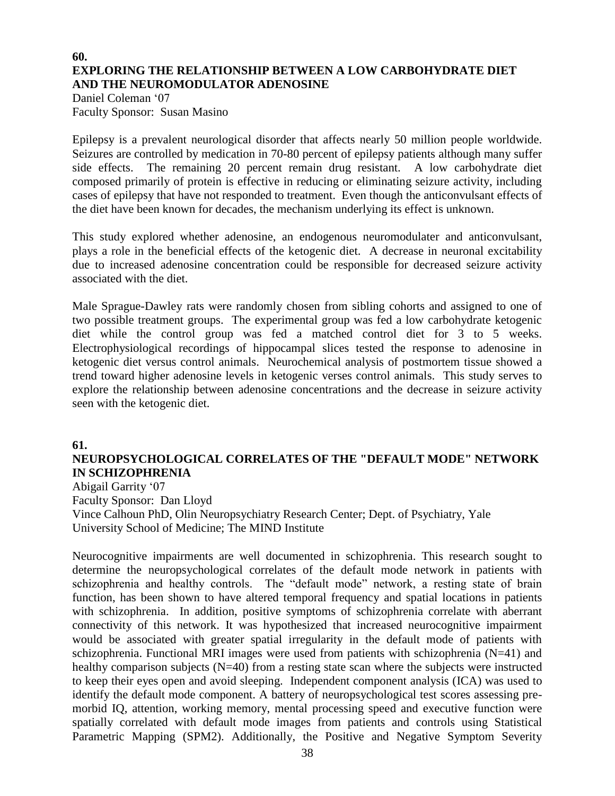#### **60. EXPLORING THE RELATIONSHIP BETWEEN A LOW CARBOHYDRATE DIET AND THE NEUROMODULATOR ADENOSINE**

Daniel Coleman '07 Faculty Sponsor: Susan Masino

Epilepsy is a prevalent neurological disorder that affects nearly 50 million people worldwide. Seizures are controlled by medication in 70-80 percent of epilepsy patients although many suffer side effects. The remaining 20 percent remain drug resistant. A low carbohydrate diet composed primarily of protein is effective in reducing or eliminating seizure activity, including cases of epilepsy that have not responded to treatment. Even though the anticonvulsant effects of the diet have been known for decades, the mechanism underlying its effect is unknown.

This study explored whether adenosine, an endogenous neuromodulater and anticonvulsant, plays a role in the beneficial effects of the ketogenic diet. A decrease in neuronal excitability due to increased adenosine concentration could be responsible for decreased seizure activity associated with the diet.

Male Sprague-Dawley rats were randomly chosen from sibling cohorts and assigned to one of two possible treatment groups. The experimental group was fed a low carbohydrate ketogenic diet while the control group was fed a matched control diet for 3 to 5 weeks. Electrophysiological recordings of hippocampal slices tested the response to adenosine in ketogenic diet versus control animals. Neurochemical analysis of postmortem tissue showed a trend toward higher adenosine levels in ketogenic verses control animals. This study serves to explore the relationship between adenosine concentrations and the decrease in seizure activity seen with the ketogenic diet.

#### **61.**

## **NEUROPSYCHOLOGICAL CORRELATES OF THE "DEFAULT MODE" NETWORK IN SCHIZOPHRENIA**

Abigail Garrity '07 Faculty Sponsor: Dan Lloyd Vince Calhoun PhD, Olin Neuropsychiatry Research Center; Dept. of Psychiatry, Yale University School of Medicine; The MIND Institute

Neurocognitive impairments are well documented in schizophrenia. This research sought to determine the neuropsychological correlates of the default mode network in patients with schizophrenia and healthy controls. The "default mode" network, a resting state of brain function, has been shown to have altered temporal frequency and spatial locations in patients with schizophrenia. In addition, positive symptoms of schizophrenia correlate with aberrant connectivity of this network. It was hypothesized that increased neurocognitive impairment would be associated with greater spatial irregularity in the default mode of patients with schizophrenia. Functional MRI images were used from patients with schizophrenia (N=41) and healthy comparison subjects (N=40) from a resting state scan where the subjects were instructed to keep their eyes open and avoid sleeping. Independent component analysis (ICA) was used to identify the default mode component. A battery of neuropsychological test scores assessing premorbid IQ, attention, working memory, mental processing speed and executive function were spatially correlated with default mode images from patients and controls using Statistical Parametric Mapping (SPM2). Additionally, the Positive and Negative Symptom Severity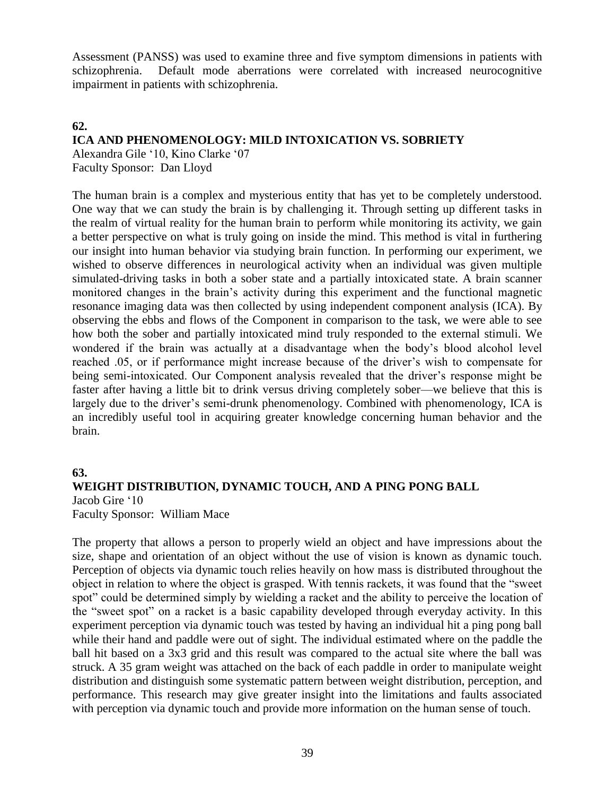Assessment (PANSS) was used to examine three and five symptom dimensions in patients with schizophrenia. Default mode aberrations were correlated with increased neurocognitive impairment in patients with schizophrenia.

#### **62.**

#### **ICA AND PHENOMENOLOGY: MILD INTOXICATION VS. SOBRIETY**

Alexandra Gile '10, Kino Clarke '07 Faculty Sponsor: Dan Lloyd

The human brain is a complex and mysterious entity that has yet to be completely understood. One way that we can study the brain is by challenging it. Through setting up different tasks in the realm of virtual reality for the human brain to perform while monitoring its activity, we gain a better perspective on what is truly going on inside the mind. This method is vital in furthering our insight into human behavior via studying brain function. In performing our experiment, we wished to observe differences in neurological activity when an individual was given multiple simulated-driving tasks in both a sober state and a partially intoxicated state. A brain scanner monitored changes in the brain's activity during this experiment and the functional magnetic resonance imaging data was then collected by using independent component analysis (ICA). By observing the ebbs and flows of the Component in comparison to the task, we were able to see how both the sober and partially intoxicated mind truly responded to the external stimuli. We wondered if the brain was actually at a disadvantage when the body's blood alcohol level reached .05, or if performance might increase because of the driver's wish to compensate for being semi-intoxicated. Our Component analysis revealed that the driver's response might be faster after having a little bit to drink versus driving completely sober—we believe that this is largely due to the driver's semi-drunk phenomenology. Combined with phenomenology, ICA is an incredibly useful tool in acquiring greater knowledge concerning human behavior and the brain.

#### **63.**

#### **WEIGHT DISTRIBUTION, DYNAMIC TOUCH, AND A PING PONG BALL** Jacob Gire '10

Faculty Sponsor: William Mace

The property that allows a person to properly wield an object and have impressions about the size, shape and orientation of an object without the use of vision is known as dynamic touch. Perception of objects via dynamic touch relies heavily on how mass is distributed throughout the object in relation to where the object is grasped. With tennis rackets, it was found that the "sweet spot" could be determined simply by wielding a racket and the ability to perceive the location of the "sweet spot" on a racket is a basic capability developed through everyday activity. In this experiment perception via dynamic touch was tested by having an individual hit a ping pong ball while their hand and paddle were out of sight. The individual estimated where on the paddle the ball hit based on a 3x3 grid and this result was compared to the actual site where the ball was struck. A 35 gram weight was attached on the back of each paddle in order to manipulate weight distribution and distinguish some systematic pattern between weight distribution, perception, and performance. This research may give greater insight into the limitations and faults associated with perception via dynamic touch and provide more information on the human sense of touch.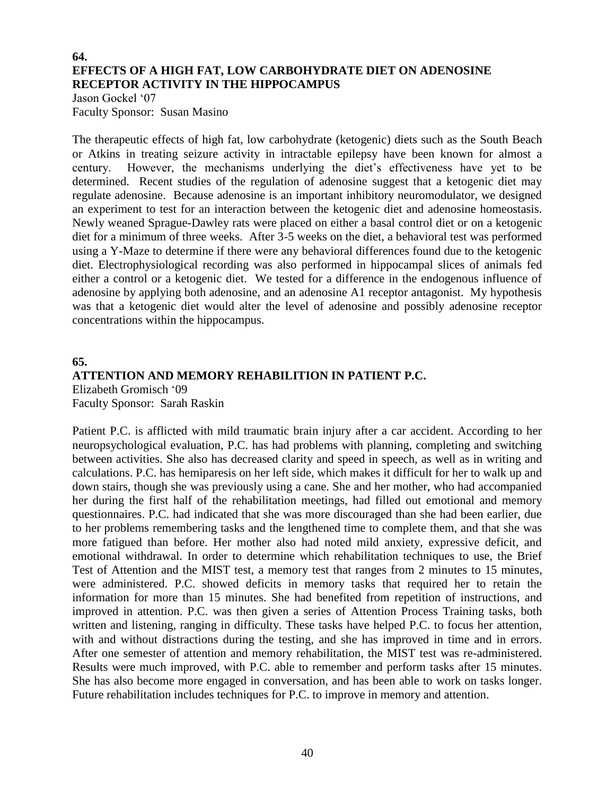#### **64. EFFECTS OF A HIGH FAT, LOW CARBOHYDRATE DIET ON ADENOSINE RECEPTOR ACTIVITY IN THE HIPPOCAMPUS**

Jason Gockel '07 Faculty Sponsor: Susan Masino

The therapeutic effects of high fat, low carbohydrate (ketogenic) diets such as the South Beach or Atkins in treating seizure activity in intractable epilepsy have been known for almost a century. However, the mechanisms underlying the diet's effectiveness have yet to be determined. Recent studies of the regulation of adenosine suggest that a ketogenic diet may regulate adenosine. Because adenosine is an important inhibitory neuromodulator, we designed an experiment to test for an interaction between the ketogenic diet and adenosine homeostasis. Newly weaned Sprague-Dawley rats were placed on either a basal control diet or on a ketogenic diet for a minimum of three weeks. After 3-5 weeks on the diet, a behavioral test was performed using a Y-Maze to determine if there were any behavioral differences found due to the ketogenic diet. Electrophysiological recording was also performed in hippocampal slices of animals fed either a control or a ketogenic diet. We tested for a difference in the endogenous influence of adenosine by applying both adenosine, and an adenosine A1 receptor antagonist. My hypothesis was that a ketogenic diet would alter the level of adenosine and possibly adenosine receptor concentrations within the hippocampus.

## **65. ATTENTION AND MEMORY REHABILITION IN PATIENT P.C.**

Elizabeth Gromisch '09 Faculty Sponsor: Sarah Raskin

Patient P.C. is afflicted with mild traumatic brain injury after a car accident. According to her neuropsychological evaluation, P.C. has had problems with planning, completing and switching between activities. She also has decreased clarity and speed in speech, as well as in writing and calculations. P.C. has hemiparesis on her left side, which makes it difficult for her to walk up and down stairs, though she was previously using a cane. She and her mother, who had accompanied her during the first half of the rehabilitation meetings, had filled out emotional and memory questionnaires. P.C. had indicated that she was more discouraged than she had been earlier, due to her problems remembering tasks and the lengthened time to complete them, and that she was more fatigued than before. Her mother also had noted mild anxiety, expressive deficit, and emotional withdrawal. In order to determine which rehabilitation techniques to use, the Brief Test of Attention and the MIST test, a memory test that ranges from 2 minutes to 15 minutes, were administered. P.C. showed deficits in memory tasks that required her to retain the information for more than 15 minutes. She had benefited from repetition of instructions, and improved in attention. P.C. was then given a series of Attention Process Training tasks, both written and listening, ranging in difficulty. These tasks have helped P.C. to focus her attention, with and without distractions during the testing, and she has improved in time and in errors. After one semester of attention and memory rehabilitation, the MIST test was re-administered. Results were much improved, with P.C. able to remember and perform tasks after 15 minutes. She has also become more engaged in conversation, and has been able to work on tasks longer. Future rehabilitation includes techniques for P.C. to improve in memory and attention.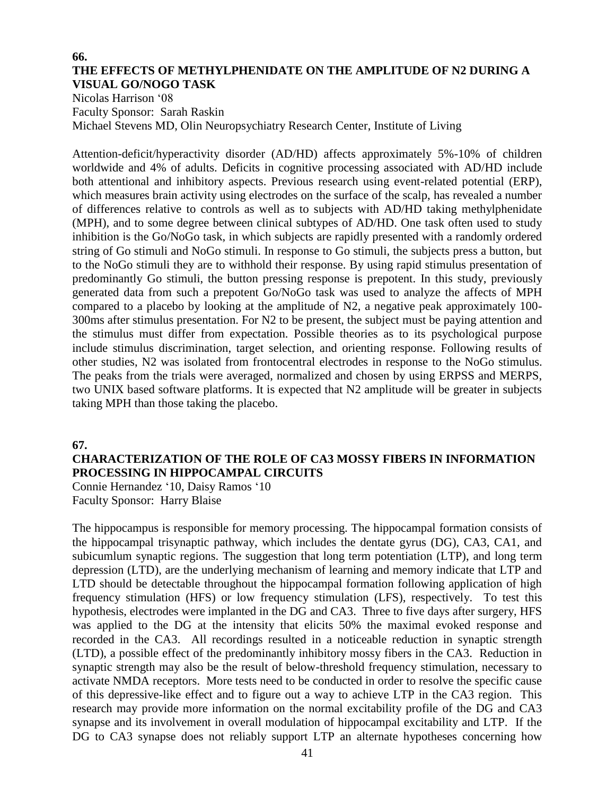#### **66. THE EFFECTS OF METHYLPHENIDATE ON THE AMPLITUDE OF N2 DURING A VISUAL GO/NOGO TASK**

Nicolas Harrison '08 Faculty Sponsor: Sarah Raskin Michael Stevens MD, Olin Neuropsychiatry Research Center, Institute of Living

Attention-deficit/hyperactivity disorder (AD/HD) affects approximately 5%-10% of children worldwide and 4% of adults. Deficits in cognitive processing associated with AD/HD include both attentional and inhibitory aspects. Previous research using event-related potential (ERP), which measures brain activity using electrodes on the surface of the scalp, has revealed a number of differences relative to controls as well as to subjects with AD/HD taking methylphenidate (MPH), and to some degree between clinical subtypes of AD/HD. One task often used to study inhibition is the Go/NoGo task, in which subjects are rapidly presented with a randomly ordered string of Go stimuli and NoGo stimuli. In response to Go stimuli, the subjects press a button, but to the NoGo stimuli they are to withhold their response. By using rapid stimulus presentation of predominantly Go stimuli, the button pressing response is prepotent. In this study, previously generated data from such a prepotent Go/NoGo task was used to analyze the affects of MPH compared to a placebo by looking at the amplitude of N2, a negative peak approximately 100- 300ms after stimulus presentation. For N2 to be present, the subject must be paying attention and the stimulus must differ from expectation. Possible theories as to its psychological purpose include stimulus discrimination, target selection, and orienting response. Following results of other studies, N2 was isolated from frontocentral electrodes in response to the NoGo stimulus. The peaks from the trials were averaged, normalized and chosen by using ERPSS and MERPS, two UNIX based software platforms. It is expected that N2 amplitude will be greater in subjects taking MPH than those taking the placebo.

#### **67.**

### **CHARACTERIZATION OF THE ROLE OF CA3 MOSSY FIBERS IN INFORMATION PROCESSING IN HIPPOCAMPAL CIRCUITS**

Connie Hernandez '10, Daisy Ramos '10 Faculty Sponsor: Harry Blaise

The hippocampus is responsible for memory processing. The hippocampal formation consists of the hippocampal trisynaptic pathway, which includes the dentate gyrus (DG), CA3, CA1, and subicumlum synaptic regions. The suggestion that long term potentiation (LTP), and long term depression (LTD), are the underlying mechanism of learning and memory indicate that LTP and LTD should be detectable throughout the hippocampal formation following application of high frequency stimulation (HFS) or low frequency stimulation (LFS), respectively. To test this hypothesis, electrodes were implanted in the DG and CA3. Three to five days after surgery, HFS was applied to the DG at the intensity that elicits 50% the maximal evoked response and recorded in the CA3. All recordings resulted in a noticeable reduction in synaptic strength (LTD), a possible effect of the predominantly inhibitory mossy fibers in the CA3. Reduction in synaptic strength may also be the result of below-threshold frequency stimulation, necessary to activate NMDA receptors. More tests need to be conducted in order to resolve the specific cause of this depressive-like effect and to figure out a way to achieve LTP in the CA3 region. This research may provide more information on the normal excitability profile of the DG and CA3 synapse and its involvement in overall modulation of hippocampal excitability and LTP. If the DG to CA3 synapse does not reliably support LTP an alternate hypotheses concerning how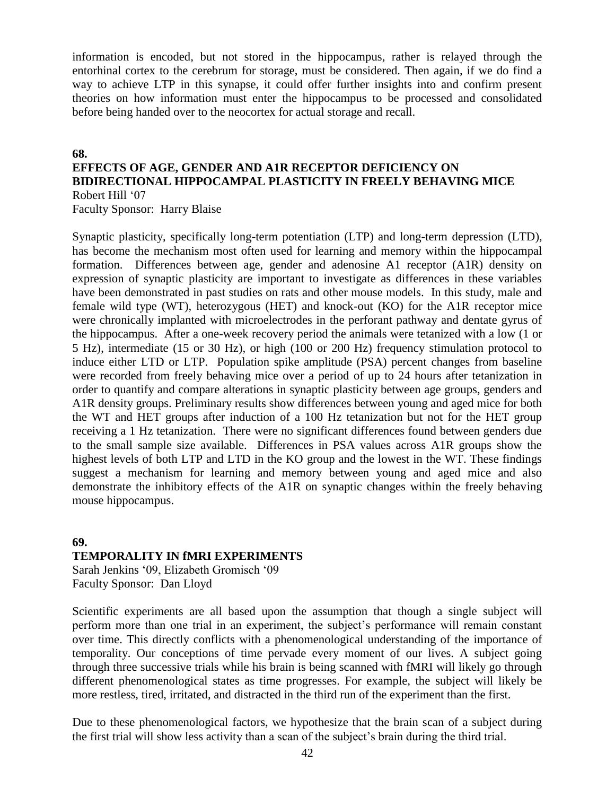information is encoded, but not stored in the hippocampus, rather is relayed through the entorhinal cortex to the cerebrum for storage, must be considered. Then again, if we do find a way to achieve LTP in this synapse, it could offer further insights into and confirm present theories on how information must enter the hippocampus to be processed and consolidated before being handed over to the neocortex for actual storage and recall.

#### **68.**

## **EFFECTS OF AGE, GENDER AND A1R RECEPTOR DEFICIENCY ON BIDIRECTIONAL HIPPOCAMPAL PLASTICITY IN FREELY BEHAVING MICE** Robert Hill '07

Faculty Sponsor: Harry Blaise

Synaptic plasticity, specifically long-term potentiation (LTP) and long-term depression (LTD), has become the mechanism most often used for learning and memory within the hippocampal formation. Differences between age, gender and adenosine A1 receptor (A1R) density on expression of synaptic plasticity are important to investigate as differences in these variables have been demonstrated in past studies on rats and other mouse models. In this study, male and female wild type (WT), heterozygous (HET) and knock-out (KO) for the A1R receptor mice were chronically implanted with microelectrodes in the perforant pathway and dentate gyrus of the hippocampus. After a one-week recovery period the animals were tetanized with a low (1 or 5 Hz), intermediate (15 or 30 Hz), or high (100 or 200 Hz) frequency stimulation protocol to induce either LTD or LTP. Population spike amplitude (PSA) percent changes from baseline were recorded from freely behaving mice over a period of up to 24 hours after tetanization in order to quantify and compare alterations in synaptic plasticity between age groups, genders and A1R density groups. Preliminary results show differences between young and aged mice for both the WT and HET groups after induction of a 100 Hz tetanization but not for the HET group receiving a 1 Hz tetanization. There were no significant differences found between genders due to the small sample size available. Differences in PSA values across A1R groups show the highest levels of both LTP and LTD in the KO group and the lowest in the WT. These findings suggest a mechanism for learning and memory between young and aged mice and also demonstrate the inhibitory effects of the A1R on synaptic changes within the freely behaving mouse hippocampus.

## **69. TEMPORALITY IN fMRI EXPERIMENTS**

Sarah Jenkins '09, Elizabeth Gromisch '09 Faculty Sponsor: Dan Lloyd

Scientific experiments are all based upon the assumption that though a single subject will perform more than one trial in an experiment, the subject's performance will remain constant over time. This directly conflicts with a phenomenological understanding of the importance of temporality. Our conceptions of time pervade every moment of our lives. A subject going through three successive trials while his brain is being scanned with fMRI will likely go through different phenomenological states as time progresses. For example, the subject will likely be more restless, tired, irritated, and distracted in the third run of the experiment than the first.

Due to these phenomenological factors, we hypothesize that the brain scan of a subject during the first trial will show less activity than a scan of the subject's brain during the third trial.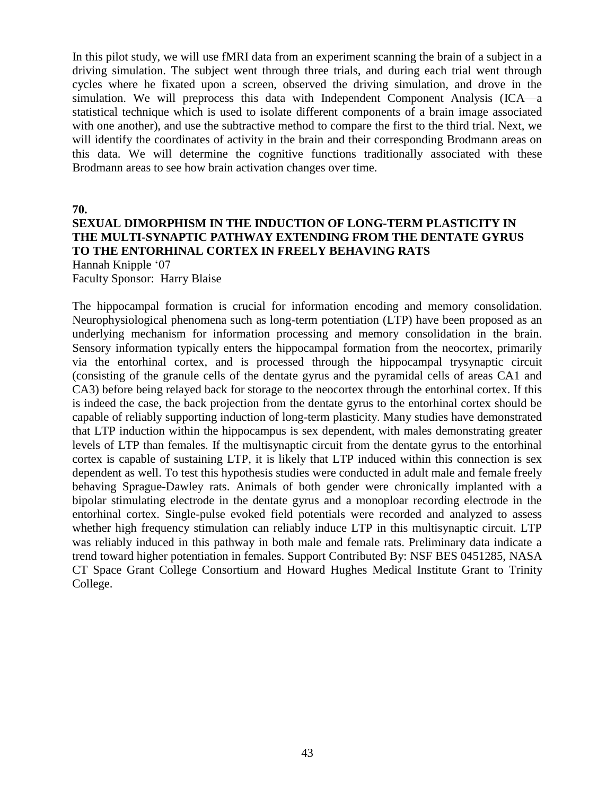In this pilot study, we will use fMRI data from an experiment scanning the brain of a subject in a driving simulation. The subject went through three trials, and during each trial went through cycles where he fixated upon a screen, observed the driving simulation, and drove in the simulation. We will preprocess this data with Independent Component Analysis (ICA—a statistical technique which is used to isolate different components of a brain image associated with one another), and use the subtractive method to compare the first to the third trial. Next, we will identify the coordinates of activity in the brain and their corresponding Brodmann areas on this data. We will determine the cognitive functions traditionally associated with these Brodmann areas to see how brain activation changes over time.

**70.**

#### **SEXUAL DIMORPHISM IN THE INDUCTION OF LONG-TERM PLASTICITY IN THE MULTI-SYNAPTIC PATHWAY EXTENDING FROM THE DENTATE GYRUS TO THE ENTORHINAL CORTEX IN FREELY BEHAVING RATS**

Hannah Knipple '07

Faculty Sponsor: Harry Blaise

The hippocampal formation is crucial for information encoding and memory consolidation. Neurophysiological phenomena such as long-term potentiation (LTP) have been proposed as an underlying mechanism for information processing and memory consolidation in the brain. Sensory information typically enters the hippocampal formation from the neocortex, primarily via the entorhinal cortex, and is processed through the hippocampal trysynaptic circuit (consisting of the granule cells of the dentate gyrus and the pyramidal cells of areas CA1 and CA3) before being relayed back for storage to the neocortex through the entorhinal cortex. If this is indeed the case, the back projection from the dentate gyrus to the entorhinal cortex should be capable of reliably supporting induction of long-term plasticity. Many studies have demonstrated that LTP induction within the hippocampus is sex dependent, with males demonstrating greater levels of LTP than females. If the multisynaptic circuit from the dentate gyrus to the entorhinal cortex is capable of sustaining LTP, it is likely that LTP induced within this connection is sex dependent as well. To test this hypothesis studies were conducted in adult male and female freely behaving Sprague-Dawley rats. Animals of both gender were chronically implanted with a bipolar stimulating electrode in the dentate gyrus and a monoploar recording electrode in the entorhinal cortex. Single-pulse evoked field potentials were recorded and analyzed to assess whether high frequency stimulation can reliably induce LTP in this multisynaptic circuit. LTP was reliably induced in this pathway in both male and female rats. Preliminary data indicate a trend toward higher potentiation in females. Support Contributed By: NSF BES 0451285, NASA CT Space Grant College Consortium and Howard Hughes Medical Institute Grant to Trinity College.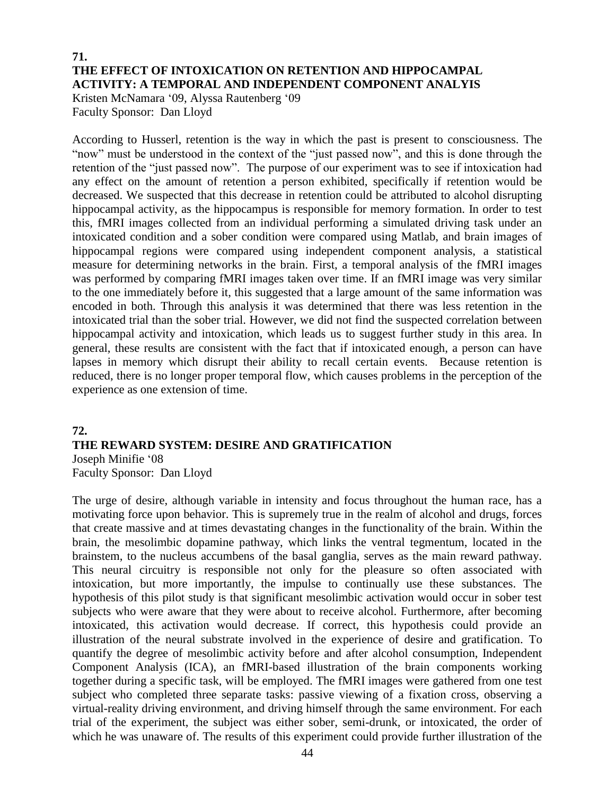#### **71. THE EFFECT OF INTOXICATION ON RETENTION AND HIPPOCAMPAL ACTIVITY: A TEMPORAL AND INDEPENDENT COMPONENT ANALYIS**

Kristen McNamara '09, Alyssa Rautenberg '09 Faculty Sponsor: Dan Lloyd

According to Husserl, retention is the way in which the past is present to consciousness. The "now" must be understood in the context of the "just passed now", and this is done through the retention of the "just passed now". The purpose of our experiment was to see if intoxication had any effect on the amount of retention a person exhibited, specifically if retention would be decreased. We suspected that this decrease in retention could be attributed to alcohol disrupting hippocampal activity, as the hippocampus is responsible for memory formation. In order to test this, fMRI images collected from an individual performing a simulated driving task under an intoxicated condition and a sober condition were compared using Matlab, and brain images of hippocampal regions were compared using independent component analysis, a statistical measure for determining networks in the brain. First, a temporal analysis of the fMRI images was performed by comparing fMRI images taken over time. If an fMRI image was very similar to the one immediately before it, this suggested that a large amount of the same information was encoded in both. Through this analysis it was determined that there was less retention in the intoxicated trial than the sober trial. However, we did not find the suspected correlation between hippocampal activity and intoxication, which leads us to suggest further study in this area. In general, these results are consistent with the fact that if intoxicated enough, a person can have lapses in memory which disrupt their ability to recall certain events. Because retention is reduced, there is no longer proper temporal flow, which causes problems in the perception of the experience as one extension of time.

#### **72. THE REWARD SYSTEM: DESIRE AND GRATIFICATION** Joseph Minifie '08 Faculty Sponsor: Dan Lloyd

The urge of desire, although variable in intensity and focus throughout the human race, has a motivating force upon behavior. This is supremely true in the realm of alcohol and drugs, forces that create massive and at times devastating changes in the functionality of the brain. Within the brain, the mesolimbic dopamine pathway, which links the ventral tegmentum, located in the brainstem, to the nucleus accumbens of the basal ganglia, serves as the main reward pathway. This neural circuitry is responsible not only for the pleasure so often associated with intoxication, but more importantly, the impulse to continually use these substances. The hypothesis of this pilot study is that significant mesolimbic activation would occur in sober test subjects who were aware that they were about to receive alcohol. Furthermore, after becoming intoxicated, this activation would decrease. If correct, this hypothesis could provide an illustration of the neural substrate involved in the experience of desire and gratification. To quantify the degree of mesolimbic activity before and after alcohol consumption, Independent Component Analysis (ICA), an fMRI-based illustration of the brain components working together during a specific task, will be employed. The fMRI images were gathered from one test subject who completed three separate tasks: passive viewing of a fixation cross, observing a virtual-reality driving environment, and driving himself through the same environment. For each trial of the experiment, the subject was either sober, semi-drunk, or intoxicated, the order of which he was unaware of. The results of this experiment could provide further illustration of the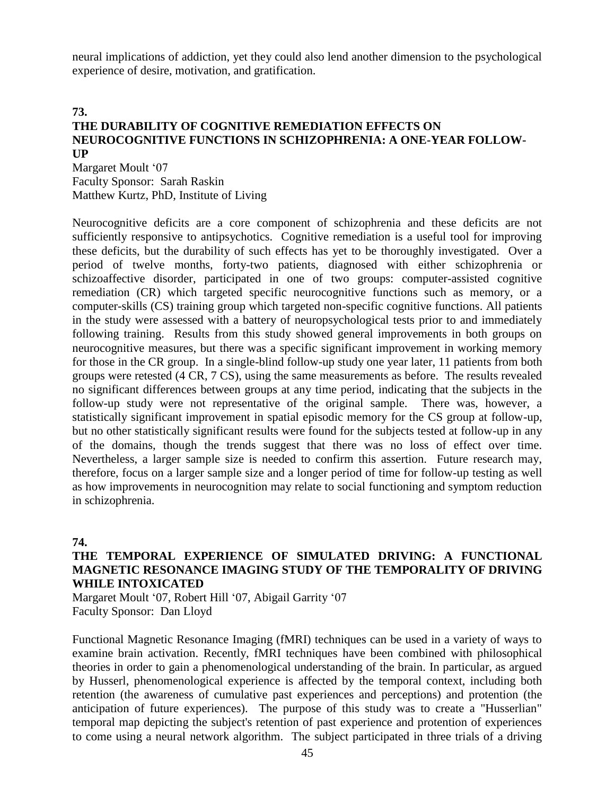neural implications of addiction, yet they could also lend another dimension to the psychological experience of desire, motivation, and gratification.

#### **73. THE DURABILITY OF COGNITIVE REMEDIATION EFFECTS ON NEUROCOGNITIVE FUNCTIONS IN SCHIZOPHRENIA: A ONE-YEAR FOLLOW-UP**

Margaret Moult '07 Faculty Sponsor: Sarah Raskin Matthew Kurtz, PhD, Institute of Living

Neurocognitive deficits are a core component of schizophrenia and these deficits are not sufficiently responsive to antipsychotics. Cognitive remediation is a useful tool for improving these deficits, but the durability of such effects has yet to be thoroughly investigated. Over a period of twelve months, forty-two patients, diagnosed with either schizophrenia or schizoaffective disorder, participated in one of two groups: computer-assisted cognitive remediation (CR) which targeted specific neurocognitive functions such as memory, or a computer-skills (CS) training group which targeted non-specific cognitive functions. All patients in the study were assessed with a battery of neuropsychological tests prior to and immediately following training. Results from this study showed general improvements in both groups on neurocognitive measures, but there was a specific significant improvement in working memory for those in the CR group. In a single-blind follow-up study one year later, 11 patients from both groups were retested (4 CR, 7 CS), using the same measurements as before. The results revealed no significant differences between groups at any time period, indicating that the subjects in the follow-up study were not representative of the original sample. There was, however, a statistically significant improvement in spatial episodic memory for the CS group at follow-up, but no other statistically significant results were found for the subjects tested at follow-up in any of the domains, though the trends suggest that there was no loss of effect over time. Nevertheless, a larger sample size is needed to confirm this assertion. Future research may, therefore, focus on a larger sample size and a longer period of time for follow-up testing as well as how improvements in neurocognition may relate to social functioning and symptom reduction in schizophrenia.

#### **74.**

#### **THE TEMPORAL EXPERIENCE OF SIMULATED DRIVING: A FUNCTIONAL MAGNETIC RESONANCE IMAGING STUDY OF THE TEMPORALITY OF DRIVING WHILE INTOXICATED**

Margaret Moult '07, Robert Hill '07, Abigail Garrity '07 Faculty Sponsor: Dan Lloyd

Functional Magnetic Resonance Imaging (fMRI) techniques can be used in a variety of ways to examine brain activation. Recently, fMRI techniques have been combined with philosophical theories in order to gain a phenomenological understanding of the brain. In particular, as argued by Husserl, phenomenological experience is affected by the temporal context, including both retention (the awareness of cumulative past experiences and perceptions) and protention (the anticipation of future experiences). The purpose of this study was to create a "Husserlian" temporal map depicting the subject's retention of past experience and protention of experiences to come using a neural network algorithm. The subject participated in three trials of a driving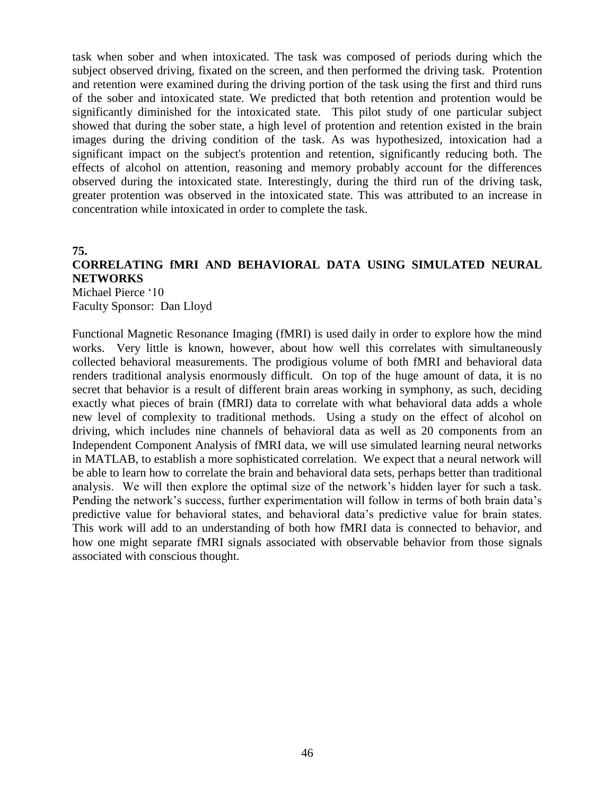task when sober and when intoxicated. The task was composed of periods during which the subject observed driving, fixated on the screen, and then performed the driving task. Protention and retention were examined during the driving portion of the task using the first and third runs of the sober and intoxicated state. We predicted that both retention and protention would be significantly diminished for the intoxicated state. This pilot study of one particular subject showed that during the sober state, a high level of protention and retention existed in the brain images during the driving condition of the task. As was hypothesized, intoxication had a significant impact on the subject's protention and retention, significantly reducing both. The effects of alcohol on attention, reasoning and memory probably account for the differences observed during the intoxicated state. Interestingly, during the third run of the driving task, greater protention was observed in the intoxicated state. This was attributed to an increase in concentration while intoxicated in order to complete the task.

#### **75.**

## **CORRELATING fMRI AND BEHAVIORAL DATA USING SIMULATED NEURAL NETWORKS**

Michael Pierce '10 Faculty Sponsor: Dan Lloyd

Functional Magnetic Resonance Imaging (fMRI) is used daily in order to explore how the mind works. Very little is known, however, about how well this correlates with simultaneously collected behavioral measurements. The prodigious volume of both fMRI and behavioral data renders traditional analysis enormously difficult. On top of the huge amount of data, it is no secret that behavior is a result of different brain areas working in symphony, as such, deciding exactly what pieces of brain (fMRI) data to correlate with what behavioral data adds a whole new level of complexity to traditional methods. Using a study on the effect of alcohol on driving, which includes nine channels of behavioral data as well as 20 components from an Independent Component Analysis of fMRI data, we will use simulated learning neural networks in MATLAB, to establish a more sophisticated correlation. We expect that a neural network will be able to learn how to correlate the brain and behavioral data sets, perhaps better than traditional analysis. We will then explore the optimal size of the network's hidden layer for such a task. Pending the network's success, further experimentation will follow in terms of both brain data's predictive value for behavioral states, and behavioral data's predictive value for brain states. This work will add to an understanding of both how fMRI data is connected to behavior, and how one might separate fMRI signals associated with observable behavior from those signals associated with conscious thought.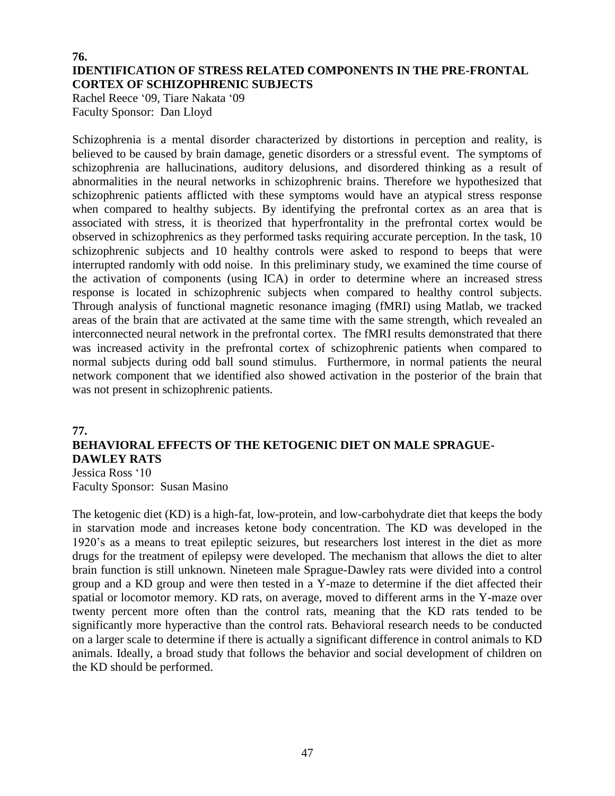#### **76. IDENTIFICATION OF STRESS RELATED COMPONENTS IN THE PRE-FRONTAL CORTEX OF SCHIZOPHRENIC SUBJECTS**

Rachel Reece '09, Tiare Nakata '09 Faculty Sponsor: Dan Lloyd

Schizophrenia is a mental disorder characterized by distortions in perception and reality, is believed to be caused by brain damage, genetic disorders or a stressful event. The symptoms of schizophrenia are hallucinations, auditory delusions, and disordered thinking as a result of abnormalities in the neural networks in schizophrenic brains. Therefore we hypothesized that schizophrenic patients afflicted with these symptoms would have an atypical stress response when compared to healthy subjects. By identifying the prefrontal cortex as an area that is associated with stress, it is theorized that hyperfrontality in the prefrontal cortex would be observed in schizophrenics as they performed tasks requiring accurate perception. In the task, 10 schizophrenic subjects and 10 healthy controls were asked to respond to beeps that were interrupted randomly with odd noise. In this preliminary study, we examined the time course of the activation of components (using ICA) in order to determine where an increased stress response is located in schizophrenic subjects when compared to healthy control subjects. Through analysis of functional magnetic resonance imaging (fMRI) using Matlab, we tracked areas of the brain that are activated at the same time with the same strength, which revealed an interconnected neural network in the prefrontal cortex. The fMRI results demonstrated that there was increased activity in the prefrontal cortex of schizophrenic patients when compared to normal subjects during odd ball sound stimulus. Furthermore, in normal patients the neural network component that we identified also showed activation in the posterior of the brain that was not present in schizophrenic patients.

#### **77.**

#### **BEHAVIORAL EFFECTS OF THE KETOGENIC DIET ON MALE SPRAGUE-DAWLEY RATS** Jessica Ross '10

Faculty Sponsor: Susan Masino

The ketogenic diet (KD) is a high-fat, low-protein, and low-carbohydrate diet that keeps the body in starvation mode and increases ketone body concentration. The KD was developed in the 1920's as a means to treat epileptic seizures, but researchers lost interest in the diet as more drugs for the treatment of epilepsy were developed. The mechanism that allows the diet to alter brain function is still unknown. Nineteen male Sprague-Dawley rats were divided into a control group and a KD group and were then tested in a Y-maze to determine if the diet affected their spatial or locomotor memory. KD rats, on average, moved to different arms in the Y-maze over twenty percent more often than the control rats, meaning that the KD rats tended to be significantly more hyperactive than the control rats. Behavioral research needs to be conducted on a larger scale to determine if there is actually a significant difference in control animals to KD animals. Ideally, a broad study that follows the behavior and social development of children on the KD should be performed.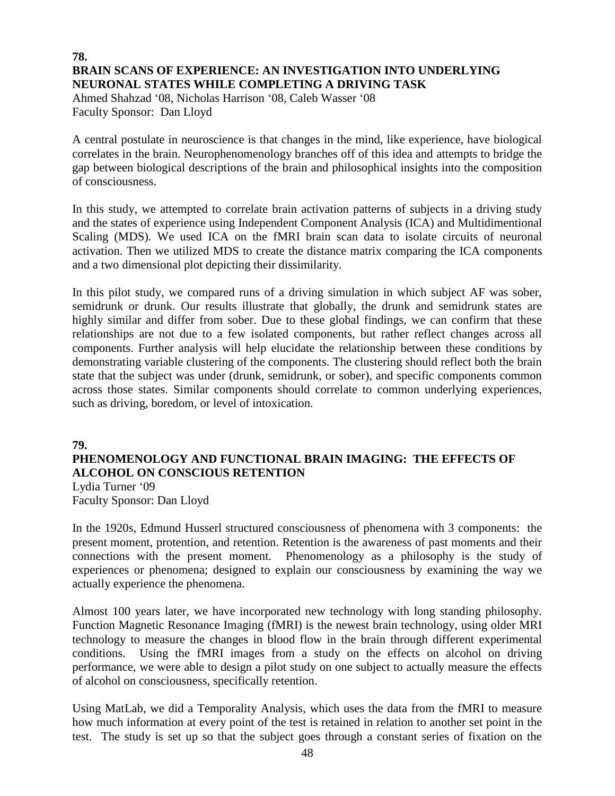#### **78. BRAIN SCANS OF EXPERIENCE: AN INVESTIGATION INTO UNDERLYING NEURONAL STATES WHILE COMPLETING A DRIVING TASK**

Ahmed Shahzad '08, Nicholas Harrison '08, Caleb Wasser '08 Faculty Sponsor: Dan Lloyd

A central postulate in neuroscience is that changes in the mind, like experience, have biological correlates in the brain. Neurophenomenology branches off of this idea and attempts to bridge the gap between biological descriptions of the brain and philosophical insights into the composition of consciousness.

In this study, we attempted to correlate brain activation patterns of subjects in a driving study and the states of experience using Independent Component Analysis (ICA) and Multidimentional Scaling (MDS). We used ICA on the fMRI brain scan data to isolate circuits of neuronal activation. Then we utilized MDS to create the distance matrix comparing the ICA components and a two dimensional plot depicting their dissimilarity.

In this pilot study, we compared runs of a driving simulation in which subject AF was sober, semidrunk or drunk. Our results illustrate that globally, the drunk and semidrunk states are highly similar and differ from sober. Due to these global findings, we can confirm that these relationships are not due to a few isolated components, but rather reflect changes across all components. Further analysis will help elucidate the relationship between these conditions by demonstrating variable clustering of the components. The clustering should reflect both the brain state that the subject was under (drunk, semidrunk, or sober), and specific components common across those states. Similar components should correlate to common underlying experiences, such as driving, boredom, or level of intoxication.

#### **79.**

## **PHENOMENOLOGY AND FUNCTIONAL BRAIN IMAGING: THE EFFECTS OF ALCOHOL ON CONSCIOUS RETENTION**

Lydia Turner '09 Faculty Sponsor: Dan Lloyd

In the 1920s, Edmund Husserl structured consciousness of phenomena with 3 components: the present moment, protention, and retention. Retention is the awareness of past moments and their connections with the present moment. Phenomenology as a philosophy is the study of experiences or phenomena; designed to explain our consciousness by examining the way we actually experience the phenomena.

Almost 100 years later, we have incorporated new technology with long standing philosophy. Function Magnetic Resonance Imaging (fMRI) is the newest brain technology, using older MRI technology to measure the changes in blood flow in the brain through different experimental conditions. Using the fMRI images from a study on the effects on alcohol on driving performance, we were able to design a pilot study on one subject to actually measure the effects of alcohol on consciousness, specifically retention.

Using MatLab, we did a Temporality Analysis, which uses the data from the fMRI to measure how much information at every point of the test is retained in relation to another set point in the test. The study is set up so that the subject goes through a constant series of fixation on the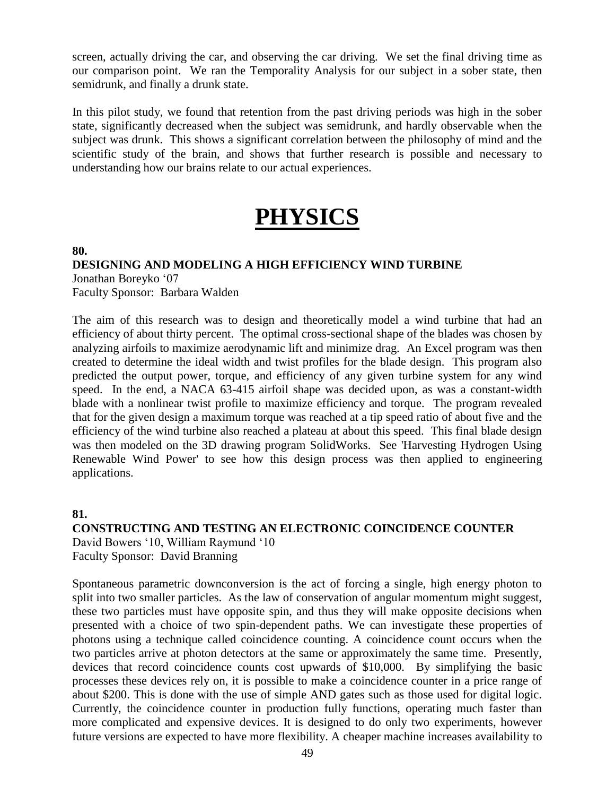screen, actually driving the car, and observing the car driving. We set the final driving time as our comparison point. We ran the Temporality Analysis for our subject in a sober state, then semidrunk, and finally a drunk state.

In this pilot study, we found that retention from the past driving periods was high in the sober state, significantly decreased when the subject was semidrunk, and hardly observable when the subject was drunk. This shows a significant correlation between the philosophy of mind and the scientific study of the brain, and shows that further research is possible and necessary to understanding how our brains relate to our actual experiences.

## **PHYSICS**

**80.**

### **DESIGNING AND MODELING A HIGH EFFICIENCY WIND TURBINE** Jonathan Boreyko '07 Faculty Sponsor: Barbara Walden

The aim of this research was to design and theoretically model a wind turbine that had an efficiency of about thirty percent. The optimal cross-sectional shape of the blades was chosen by analyzing airfoils to maximize aerodynamic lift and minimize drag. An Excel program was then created to determine the ideal width and twist profiles for the blade design. This program also predicted the output power, torque, and efficiency of any given turbine system for any wind speed. In the end, a NACA 63-415 airfoil shape was decided upon, as was a constant-width blade with a nonlinear twist profile to maximize efficiency and torque. The program revealed that for the given design a maximum torque was reached at a tip speed ratio of about five and the efficiency of the wind turbine also reached a plateau at about this speed. This final blade design was then modeled on the 3D drawing program SolidWorks. See 'Harvesting Hydrogen Using Renewable Wind Power' to see how this design process was then applied to engineering applications.

#### **81.**

**CONSTRUCTING AND TESTING AN ELECTRONIC COINCIDENCE COUNTER** David Bowers '10, William Raymund '10 Faculty Sponsor: David Branning

Spontaneous parametric downconversion is the act of forcing a single, high energy photon to split into two smaller particles. As the law of conservation of angular momentum might suggest, these two particles must have opposite spin, and thus they will make opposite decisions when presented with a choice of two spin-dependent paths. We can investigate these properties of photons using a technique called coincidence counting. A coincidence count occurs when the two particles arrive at photon detectors at the same or approximately the same time. Presently, devices that record coincidence counts cost upwards of \$10,000. By simplifying the basic processes these devices rely on, it is possible to make a coincidence counter in a price range of about \$200. This is done with the use of simple AND gates such as those used for digital logic. Currently, the coincidence counter in production fully functions, operating much faster than more complicated and expensive devices. It is designed to do only two experiments, however future versions are expected to have more flexibility. A cheaper machine increases availability to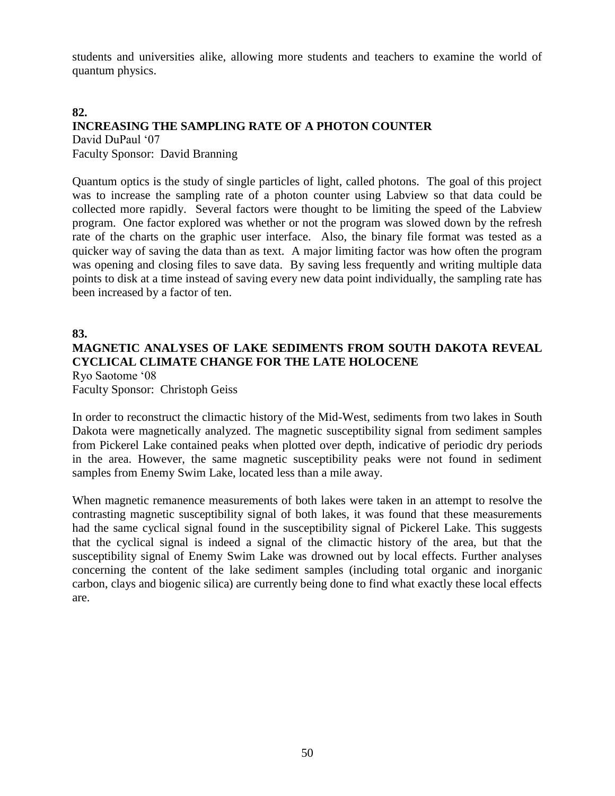students and universities alike, allowing more students and teachers to examine the world of quantum physics.

#### **82. INCREASING THE SAMPLING RATE OF A PHOTON COUNTER** David DuPaul '07

Faculty Sponsor: David Branning

Quantum optics is the study of single particles of light, called photons. The goal of this project was to increase the sampling rate of a photon counter using Labview so that data could be collected more rapidly. Several factors were thought to be limiting the speed of the Labview program. One factor explored was whether or not the program was slowed down by the refresh rate of the charts on the graphic user interface. Also, the binary file format was tested as a quicker way of saving the data than as text. A major limiting factor was how often the program was opening and closing files to save data. By saving less frequently and writing multiple data points to disk at a time instead of saving every new data point individually, the sampling rate has been increased by a factor of ten.

**83.**

#### **MAGNETIC ANALYSES OF LAKE SEDIMENTS FROM SOUTH DAKOTA REVEAL CYCLICAL CLIMATE CHANGE FOR THE LATE HOLOCENE** Ryo Saotome '08

Faculty Sponsor: Christoph Geiss

In order to reconstruct the climactic history of the Mid-West, sediments from two lakes in South Dakota were magnetically analyzed. The magnetic susceptibility signal from sediment samples from Pickerel Lake contained peaks when plotted over depth, indicative of periodic dry periods in the area. However, the same magnetic susceptibility peaks were not found in sediment samples from Enemy Swim Lake, located less than a mile away.

When magnetic remanence measurements of both lakes were taken in an attempt to resolve the contrasting magnetic susceptibility signal of both lakes, it was found that these measurements had the same cyclical signal found in the susceptibility signal of Pickerel Lake. This suggests that the cyclical signal is indeed a signal of the climactic history of the area, but that the susceptibility signal of Enemy Swim Lake was drowned out by local effects. Further analyses concerning the content of the lake sediment samples (including total organic and inorganic carbon, clays and biogenic silica) are currently being done to find what exactly these local effects are.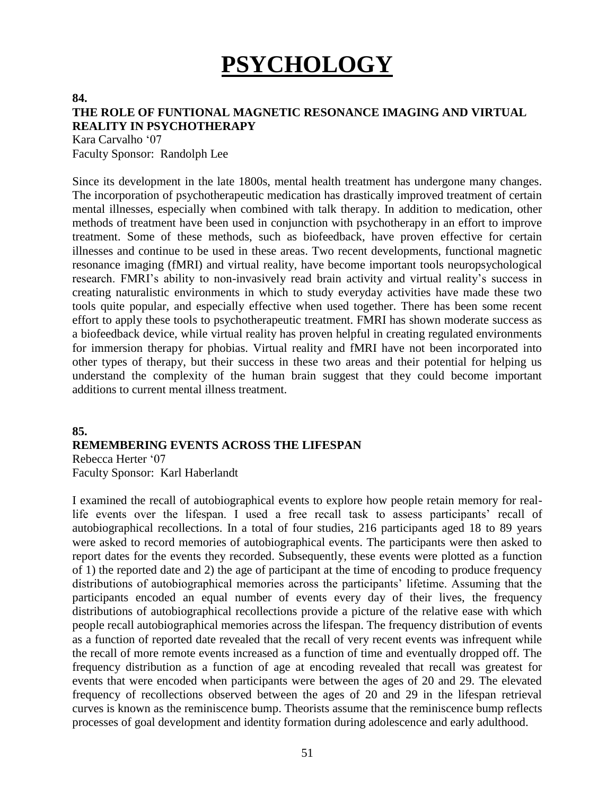# **PSYCHOLOGY**

#### **84.**

### **THE ROLE OF FUNTIONAL MAGNETIC RESONANCE IMAGING AND VIRTUAL REALITY IN PSYCHOTHERAPY**

Kara Carvalho '07 Faculty Sponsor: Randolph Lee

Since its development in the late 1800s, mental health treatment has undergone many changes. The incorporation of psychotherapeutic medication has drastically improved treatment of certain mental illnesses, especially when combined with talk therapy. In addition to medication, other methods of treatment have been used in conjunction with psychotherapy in an effort to improve treatment. Some of these methods, such as biofeedback, have proven effective for certain illnesses and continue to be used in these areas. Two recent developments, functional magnetic resonance imaging (fMRI) and virtual reality, have become important tools neuropsychological research. FMRI's ability to non-invasively read brain activity and virtual reality's success in creating naturalistic environments in which to study everyday activities have made these two tools quite popular, and especially effective when used together. There has been some recent effort to apply these tools to psychotherapeutic treatment. FMRI has shown moderate success as a biofeedback device, while virtual reality has proven helpful in creating regulated environments for immersion therapy for phobias. Virtual reality and fMRI have not been incorporated into other types of therapy, but their success in these two areas and their potential for helping us understand the complexity of the human brain suggest that they could become important additions to current mental illness treatment.

### **85. REMEMBERING EVENTS ACROSS THE LIFESPAN** Rebecca Herter '07

Faculty Sponsor: Karl Haberlandt

I examined the recall of autobiographical events to explore how people retain memory for reallife events over the lifespan. I used a free recall task to assess participants' recall of autobiographical recollections. In a total of four studies, 216 participants aged 18 to 89 years were asked to record memories of autobiographical events. The participants were then asked to report dates for the events they recorded. Subsequently, these events were plotted as a function of 1) the reported date and 2) the age of participant at the time of encoding to produce frequency distributions of autobiographical memories across the participants' lifetime. Assuming that the participants encoded an equal number of events every day of their lives, the frequency distributions of autobiographical recollections provide a picture of the relative ease with which people recall autobiographical memories across the lifespan. The frequency distribution of events as a function of reported date revealed that the recall of very recent events was infrequent while the recall of more remote events increased as a function of time and eventually dropped off. The frequency distribution as a function of age at encoding revealed that recall was greatest for events that were encoded when participants were between the ages of 20 and 29. The elevated frequency of recollections observed between the ages of 20 and 29 in the lifespan retrieval curves is known as the reminiscence bump. Theorists assume that the reminiscence bump reflects processes of goal development and identity formation during adolescence and early adulthood.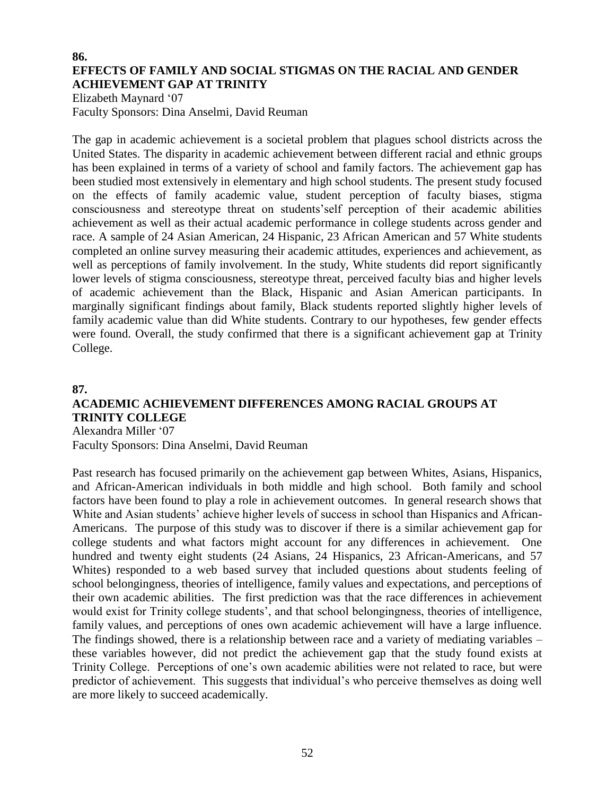#### **86. EFFECTS OF FAMILY AND SOCIAL STIGMAS ON THE RACIAL AND GENDER ACHIEVEMENT GAP AT TRINITY**

Elizabeth Maynard '07 Faculty Sponsors: Dina Anselmi, David Reuman

The gap in academic achievement is a societal problem that plagues school districts across the United States. The disparity in academic achievement between different racial and ethnic groups has been explained in terms of a variety of school and family factors. The achievement gap has been studied most extensively in elementary and high school students. The present study focused on the effects of family academic value, student perception of faculty biases, stigma consciousness and stereotype threat on students'self perception of their academic abilities achievement as well as their actual academic performance in college students across gender and race. A sample of 24 Asian American, 24 Hispanic, 23 African American and 57 White students completed an online survey measuring their academic attitudes, experiences and achievement, as well as perceptions of family involvement. In the study, White students did report significantly lower levels of stigma consciousness, stereotype threat, perceived faculty bias and higher levels of academic achievement than the Black, Hispanic and Asian American participants. In marginally significant findings about family, Black students reported slightly higher levels of family academic value than did White students. Contrary to our hypotheses, few gender effects were found. Overall, the study confirmed that there is a significant achievement gap at Trinity College.

## **87. ACADEMIC ACHIEVEMENT DIFFERENCES AMONG RACIAL GROUPS AT TRINITY COLLEGE**

Alexandra Miller '07

Faculty Sponsors: Dina Anselmi, David Reuman

Past research has focused primarily on the achievement gap between Whites, Asians, Hispanics, and African-American individuals in both middle and high school. Both family and school factors have been found to play a role in achievement outcomes. In general research shows that White and Asian students' achieve higher levels of success in school than Hispanics and African-Americans. The purpose of this study was to discover if there is a similar achievement gap for college students and what factors might account for any differences in achievement. One hundred and twenty eight students (24 Asians, 24 Hispanics, 23 African-Americans, and 57 Whites) responded to a web based survey that included questions about students feeling of school belongingness, theories of intelligence, family values and expectations, and perceptions of their own academic abilities. The first prediction was that the race differences in achievement would exist for Trinity college students', and that school belongingness, theories of intelligence, family values, and perceptions of ones own academic achievement will have a large influence. The findings showed, there is a relationship between race and a variety of mediating variables – these variables however, did not predict the achievement gap that the study found exists at Trinity College. Perceptions of one's own academic abilities were not related to race, but were predictor of achievement. This suggests that individual's who perceive themselves as doing well are more likely to succeed academically.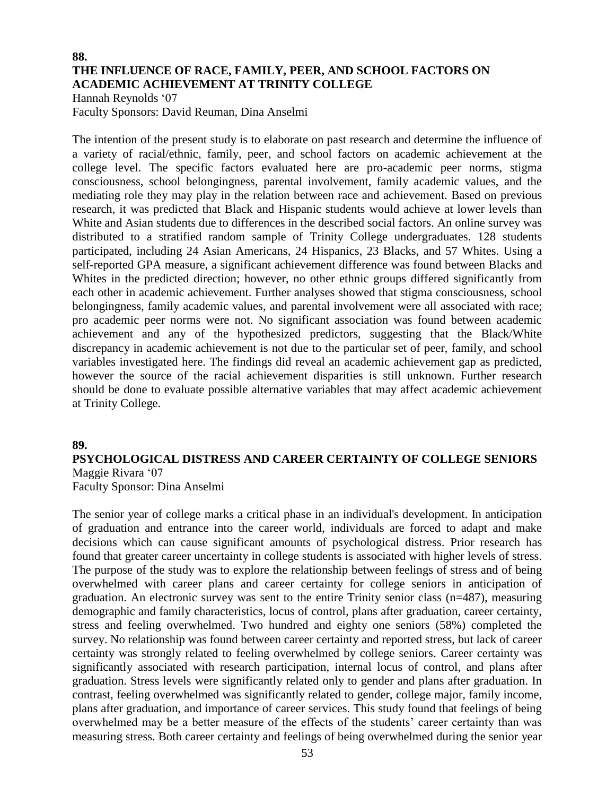#### **88. THE INFLUENCE OF RACE, FAMILY, PEER, AND SCHOOL FACTORS ON ACADEMIC ACHIEVEMENT AT TRINITY COLLEGE**

Hannah Reynolds '07 Faculty Sponsors: David Reuman, Dina Anselmi

The intention of the present study is to elaborate on past research and determine the influence of a variety of racial/ethnic, family, peer, and school factors on academic achievement at the college level. The specific factors evaluated here are pro-academic peer norms, stigma consciousness, school belongingness, parental involvement, family academic values, and the mediating role they may play in the relation between race and achievement. Based on previous research, it was predicted that Black and Hispanic students would achieve at lower levels than White and Asian students due to differences in the described social factors. An online survey was distributed to a stratified random sample of Trinity College undergraduates. 128 students participated, including 24 Asian Americans, 24 Hispanics, 23 Blacks, and 57 Whites. Using a self-reported GPA measure, a significant achievement difference was found between Blacks and Whites in the predicted direction; however, no other ethnic groups differed significantly from each other in academic achievement. Further analyses showed that stigma consciousness, school belongingness, family academic values, and parental involvement were all associated with race; pro academic peer norms were not. No significant association was found between academic achievement and any of the hypothesized predictors, suggesting that the Black/White discrepancy in academic achievement is not due to the particular set of peer, family, and school variables investigated here. The findings did reveal an academic achievement gap as predicted, however the source of the racial achievement disparities is still unknown. Further research should be done to evaluate possible alternative variables that may affect academic achievement at Trinity College.

#### **89.**

## **PSYCHOLOGICAL DISTRESS AND CAREER CERTAINTY OF COLLEGE SENIORS** Maggie Rivara '07

Faculty Sponsor: Dina Anselmi

The senior year of college marks a critical phase in an individual's development. In anticipation of graduation and entrance into the career world, individuals are forced to adapt and make decisions which can cause significant amounts of psychological distress. Prior research has found that greater career uncertainty in college students is associated with higher levels of stress. The purpose of the study was to explore the relationship between feelings of stress and of being overwhelmed with career plans and career certainty for college seniors in anticipation of graduation. An electronic survey was sent to the entire Trinity senior class (n=487), measuring demographic and family characteristics, locus of control, plans after graduation, career certainty, stress and feeling overwhelmed. Two hundred and eighty one seniors (58%) completed the survey. No relationship was found between career certainty and reported stress, but lack of career certainty was strongly related to feeling overwhelmed by college seniors. Career certainty was significantly associated with research participation, internal locus of control, and plans after graduation. Stress levels were significantly related only to gender and plans after graduation. In contrast, feeling overwhelmed was significantly related to gender, college major, family income, plans after graduation, and importance of career services. This study found that feelings of being overwhelmed may be a better measure of the effects of the students' career certainty than was measuring stress. Both career certainty and feelings of being overwhelmed during the senior year